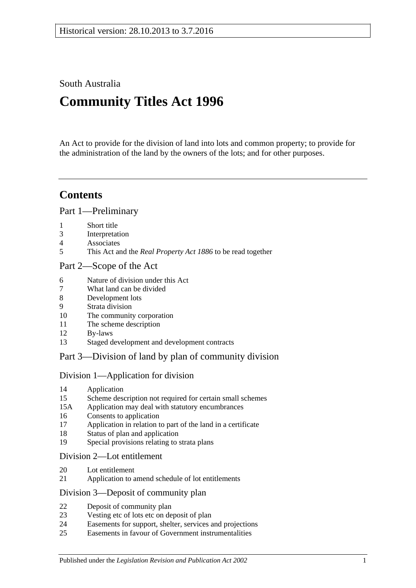South Australia

# **Community Titles Act 1996**

An Act to provide for the division of land into lots and common property; to provide for the administration of the land by the owners of the lots; and for other purposes.

# **Contents**

[Part 1—Preliminary](#page-6-0)

- [Short title](#page-6-1)
- [Interpretation](#page-6-2)
- [Associates](#page-12-0)
- This Act and the *Real Property Act 1886* [to be read together](#page-13-0)

### [Part 2—Scope of the Act](#page-14-0)

- [Nature of division under this Act](#page-14-1)
- [What land can be divided](#page-14-2)
- [Development lots](#page-14-3)
- [Strata division](#page-14-4)
- [The community corporation](#page-15-0)
- [The scheme description](#page-15-1)
- [By-laws](#page-15-2)
- [Staged development and development contracts](#page-15-3)

## [Part 3—Division of land by plan of community division](#page-18-0)

## [Division 1—Application for division](#page-18-1)

- [Application](#page-18-2)
- [Scheme description not required for certain small schemes](#page-20-0)
- 15A [Application may deal with statutory encumbrances](#page-20-1)
- [Consents to application](#page-20-2)
- [Application in relation to part of the land in a certificate](#page-21-0)
- [Status of plan and application](#page-21-1)
- [Special provisions relating to strata plans](#page-21-2)

### [Division 2—Lot entitlement](#page-22-0)

- [Lot entitlement](#page-22-1)
- [Application to amend schedule of lot entitlements](#page-22-2)

#### [Division 3—Deposit of community plan](#page-24-0)

- [Deposit of community plan](#page-24-1)
- [Vesting etc of lots etc on deposit of plan](#page-25-0)
- [Easements for support, shelter, services and projections](#page-26-0)
- [Easements in favour of Government instrumentalities](#page-27-0)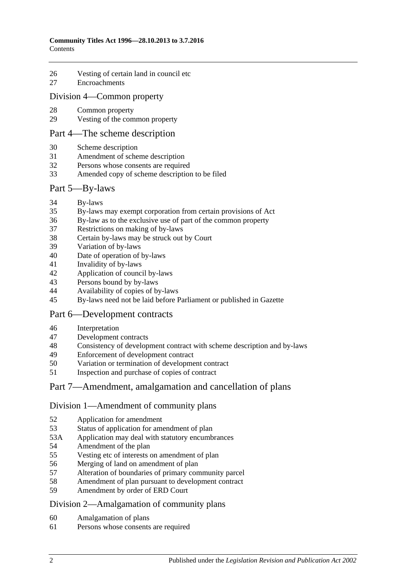- [Vesting of certain land in council etc](#page-27-1)
- [Encroachments](#page-28-0)

#### [Division 4—Common property](#page-29-0)

- [Common property](#page-29-1)
- [Vesting of the common property](#page-29-2)

#### [Part 4—The scheme description](#page-32-0)

- [Scheme description](#page-32-1)
- [Amendment of scheme description](#page-33-0)
- Persons whose [consents are required](#page-34-0)
- [Amended copy of scheme description to be filed](#page-35-0)

#### [Part 5—By-laws](#page-36-0)

- [By-laws](#page-36-1)
- [By-laws may exempt corporation from certain provisions of Act](#page-38-0)
- [By-law as to the exclusive use of part of the common property](#page-38-1)
- [Restrictions on making of by-laws](#page-39-0)
- [Certain by-laws may be struck out by Court](#page-40-0)
- [Variation of by-laws](#page-40-1)
- [Date of operation of by-laws](#page-41-0)
- [Invalidity of by-laws](#page-41-1)
- [Application of council by-laws](#page-41-2)
- [Persons bound by by-laws](#page-41-3)
- [Availability of copies of by-laws](#page-42-0)
- [By-laws need not be laid before Parliament or published in Gazette](#page-42-1)

## [Part 6—Development contracts](#page-44-0)

- [Interpretation](#page-44-1)
- [Development contracts](#page-44-2)
- [Consistency of development contract with scheme description and by-laws](#page-46-0)
- [Enforcement of development contract](#page-46-1)
- [Variation or termination of development contract](#page-47-0)
- [Inspection and purchase of copies of contract](#page-48-0)

## [Part 7—Amendment, amalgamation and cancellation of plans](#page-50-0)

#### [Division 1—Amendment of community plans](#page-50-1)

- [Application for amendment](#page-50-2)
- [Status of application for amendment of plan](#page-52-0)
- 53A [Application may deal with statutory encumbrances](#page-52-1)
- [Amendment of the plan](#page-53-0)
- [Vesting etc of interests on amendment of plan](#page-53-1)
- [Merging of land on amendment of plan](#page-54-0)
- [Alteration of boundaries of primary community parcel](#page-54-1)
- [Amendment of plan pursuant to development contract](#page-55-0)
- [Amendment by order of ERD Court](#page-56-0)

#### [Division 2—Amalgamation of community plans](#page-57-0)

- [Amalgamation of plans](#page-57-1)
- [Persons whose consents are required](#page-58-0)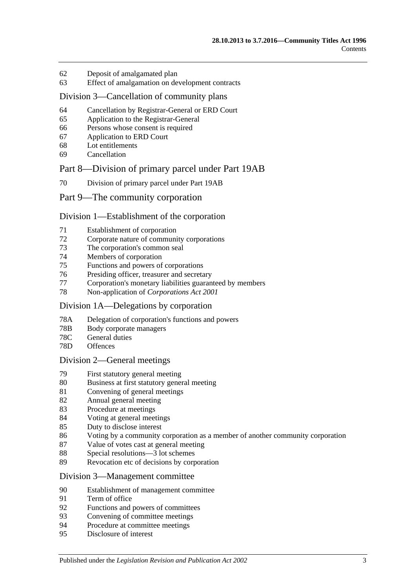- [Deposit of amalgamated plan](#page-60-0)
- [Effect of amalgamation on development contracts](#page-61-0)

#### [Division 3—Cancellation of community plans](#page-61-1)

- [Cancellation by Registrar-General or ERD Court](#page-61-2)
- [Application to the Registrar-General](#page-61-3)
- [Persons whose consent is required](#page-61-4)
- [Application to ERD Court](#page-62-0)
- [Lot entitlements](#page-63-0)
- [Cancellation](#page-63-1)

### [Part 8—Division of primary parcel under Part 19AB](#page-66-0)

[Division of primary parcel under Part 19AB](#page-66-1)

### [Part 9—The community corporation](#page-68-0)

### [Division 1—Establishment of the corporation](#page-68-1)

- [Establishment of corporation](#page-68-2)
- [Corporate nature of community corporations](#page-68-3)
- [The corporation's common seal](#page-68-4)
- [Members of corporation](#page-68-5)
- Functions [and powers of corporations](#page-69-0)
- [Presiding officer, treasurer and secretary](#page-69-1)
- [Corporation's monetary liabilities guaranteed by members](#page-70-0)
- [Non-application of](#page-71-0) *Corporations Act 2001*

#### [Division 1A—Delegations by corporation](#page-71-1)

- 78A [Delegation of corporation's functions and powers](#page-71-2)
- 78B [Body corporate managers](#page-72-0)
- 78C [General duties](#page-74-0)
- 78D [Offences](#page-74-1)

#### [Division 2—General meetings](#page-75-0)

- [First statutory general meeting](#page-75-1)
- [Business at first statutory general meeting](#page-75-2)
- [Convening of general meetings](#page-76-0)
- [Annual general meeting](#page-77-0)
- [Procedure at meetings](#page-77-1)
- [Voting at general meetings](#page-78-0)
- [Duty to disclose interest](#page-81-0)
- [Voting by a community corporation as a member of another community corporation](#page-82-0)
- [Value of votes cast at general meeting](#page-82-1)
- [Special resolutions—3 lot schemes](#page-83-0)
- [Revocation etc of decisions by corporation](#page-83-1)

### [Division 3—Management committee](#page-84-0)

- [Establishment of management committee](#page-84-1)
- [Term of office](#page-84-2)
- [Functions and powers of committees](#page-85-0)
- [Convening of committee meetings](#page-85-1)
- [Procedure at committee meetings](#page-85-2)
- [Disclosure of interest](#page-86-0)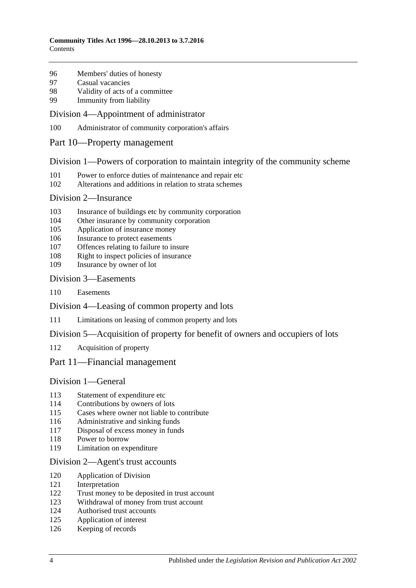- [Members' duties of honesty](#page-86-1)
- [Casual vacancies](#page-86-2)
- [Validity of acts of a committee](#page-87-0)
- [Immunity from liability](#page-87-1)

#### [Division 4—Appointment of administrator](#page-87-2)

- [Administrator of community corporation's affairs](#page-87-3)
- [Part 10—Property management](#page-90-0)

#### [Division 1—Powers of corporation to maintain integrity of the community scheme](#page-90-1)

- [Power to enforce duties of maintenance and repair etc](#page-90-2)
- [Alterations and additions in relation to strata schemes](#page-91-0)

#### [Division 2—Insurance](#page-91-1)

- [Insurance of buildings etc by community corporation](#page-91-2)
- [Other insurance by community corporation](#page-92-0)
- [Application of insurance money](#page-92-1)
- [Insurance to protect easements](#page-93-0)
- [Offences relating to failure to insure](#page-93-1)
- [Right to inspect policies of insurance](#page-94-0)
- [Insurance by owner of lot](#page-94-1)

#### [Division 3—Easements](#page-95-0)

[Easements](#page-95-1)

[Division 4—Leasing of common property and lots](#page-95-2)

- [Limitations on leasing of common property and lots](#page-95-3)
- [Division 5—Acquisition of property for benefit of owners and occupiers of lots](#page-96-0)
- [Acquisition of property](#page-96-1)

#### [Part 11—Financial management](#page-98-0)

## [Division 1—General](#page-98-1)

- [Statement of expenditure etc](#page-98-2)
- [Contributions by owners of lots](#page-98-3)
- [Cases where owner not liable to contribute](#page-99-0)
- [Administrative and sinking funds](#page-99-1)
- [Disposal of excess money in funds](#page-100-0)
- [Power to borrow](#page-100-1)
- [Limitation on expenditure](#page-100-2)

#### [Division 2—Agent's trust accounts](#page-101-0)

- [Application of Division](#page-101-1)
- [Interpretation](#page-101-2)
- [Trust money to be deposited in trust account](#page-101-3)
- [Withdrawal of money from trust account](#page-101-4)
- [Authorised trust accounts](#page-102-0)
- [Application of interest](#page-102-1)
- [Keeping of records](#page-102-2)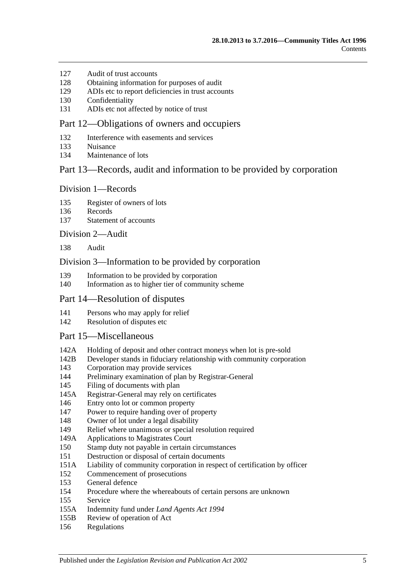- [Audit of trust accounts](#page-102-3)
- [Obtaining information for purposes of audit](#page-103-0)
- [ADIs etc to report deficiencies in trust accounts](#page-103-1)
- [Confidentiality](#page-103-2)
- [ADIs etc not affected by notice of trust](#page-104-0)

### [Part 12—Obligations of owners and occupiers](#page-106-0)

- [Interference with easements and services](#page-106-1)
- [Nuisance](#page-106-2)
- [Maintenance of lots](#page-106-3)

### [Part 13—Records, audit and information to be provided by corporation](#page-108-0)

#### [Division 1—Records](#page-108-1)

- [Register of owners of lots](#page-108-2)
- [Records](#page-108-3)
- [Statement of accounts](#page-108-4)

#### [Division 2—Audit](#page-109-0)

[Audit](#page-109-1)

#### [Division 3—Information to be provided by corporation](#page-109-2)

- [Information to be provided by corporation](#page-109-3)
- [Information as to higher tier of community scheme](#page-111-0)

#### [Part 14—Resolution of disputes](#page-112-0)

- [Persons who may apply for relief](#page-112-1)
- [Resolution of disputes etc](#page-112-2)

#### [Part 15—Miscellaneous](#page-116-0)

- 142A [Holding of deposit and other contract moneys when lot is pre-sold](#page-116-1)
- 142B [Developer stands in fiduciary relationship with community corporation](#page-117-0)
- [Corporation may provide services](#page-117-1)
- [Preliminary examination of plan by Registrar-General](#page-117-2)
- [Filing of documents with plan](#page-117-3)
- 145A [Registrar-General may rely on certificates](#page-117-4)
- [Entry onto lot or common property](#page-118-0)
- [Power to require handing over of property](#page-118-1)
- [Owner of lot under a legal disability](#page-119-0)
- [Relief where unanimous or special resolution required](#page-119-1)
- 149A [Applications to Magistrates Court](#page-120-0)
- [Stamp duty not payable in certain circumstances](#page-120-1)
- [Destruction or disposal of certain documents](#page-120-2)
- 151A [Liability of community corporation in respect of certification by officer](#page-120-3)
- [Commencement of prosecutions](#page-120-4)
- [General defence](#page-121-0)
- [Procedure where the whereabouts of certain persons are unknown](#page-121-1)
- [Service](#page-121-2)
- 155A [Indemnity fund under](#page-122-0) *Land Agents Act 1994*
- 155B [Review of operation of Act](#page-122-1)
- [Regulations](#page-123-0)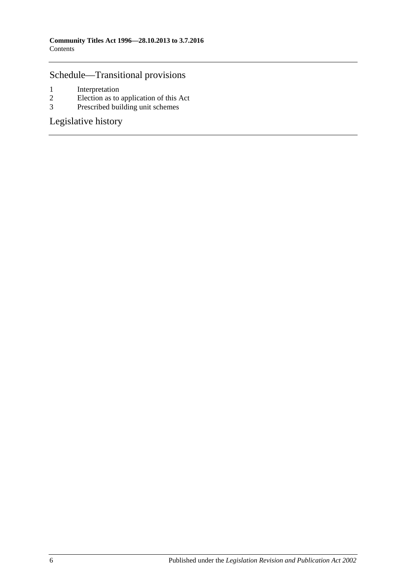# [Schedule—Transitional provisions](#page-124-0)

- 1 [Interpretation](#page-124-1)<br>2 Election as to
- 2 [Election as to application of this Act](#page-124-2)<br>3 Prescribed building unit schemes
- [Prescribed building unit schemes](#page-125-0)

[Legislative history](#page-128-0)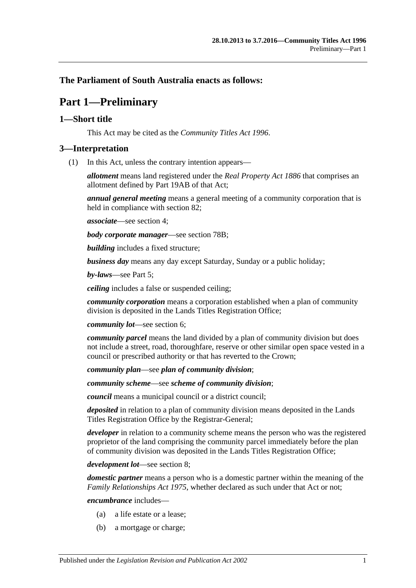## <span id="page-6-0"></span>**The Parliament of South Australia enacts as follows:**

# **Part 1—Preliminary**

### <span id="page-6-1"></span>**1—Short title**

This Act may be cited as the *Community Titles Act 1996*.

### <span id="page-6-2"></span>**3—Interpretation**

(1) In this Act, unless the contrary intention appears—

*allotment* means land registered under the *[Real Property Act](http://www.legislation.sa.gov.au/index.aspx?action=legref&type=act&legtitle=Real%20Property%20Act%201886) 1886* that comprises an allotment defined by Part 19AB of that Act;

*annual general meeting* means a general meeting of a community corporation that is held in compliance with [section](#page-77-0) 82;

*associate*—see [section](#page-12-0) 4;

*body corporate manager*—see [section](#page-72-0) 78B;

*building* includes a fixed structure;

*business day* means any day except Saturday, Sunday or a public holiday;

*by-laws*—see [Part 5;](#page-36-0)

*ceiling* includes a false or suspended ceiling;

*community corporation* means a corporation established when a plan of community division is deposited in the Lands Titles Registration Office;

*community lot*—see [section](#page-14-1) 6;

*community parcel* means the land divided by a plan of community division but does not include a street, road, thoroughfare, reserve or other similar open space vested in a council or prescribed authority or that has reverted to the Crown;

*community plan*—see *plan of community division*;

*community scheme*—see *scheme of community division*;

*council* means a municipal council or a district council;

*deposited* in relation to a plan of community division means deposited in the Lands Titles Registration Office by the Registrar-General;

*developer* in relation to a community scheme means the person who was the registered proprietor of the land comprising the community parcel immediately before the plan of community division was deposited in the Lands Titles Registration Office;

*development lot*—see [section](#page-14-3) 8;

*domestic partner* means a person who is a domestic partner within the meaning of the *[Family Relationships Act](http://www.legislation.sa.gov.au/index.aspx?action=legref&type=act&legtitle=Family%20Relationships%20Act%201975) 1975*, whether declared as such under that Act or not;

*encumbrance* includes—

- (a) a life estate or a lease;
- (b) a mortgage or charge;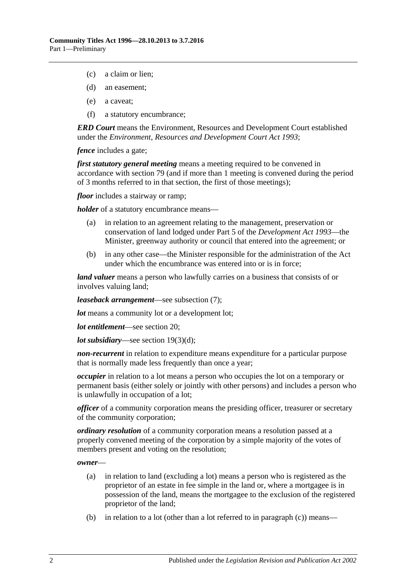- (c) a claim or lien;
- (d) an easement;
- (e) a caveat;
- (f) a statutory encumbrance;

*ERD Court* means the Environment, Resources and Development Court established under the *[Environment, Resources and Development Court Act](http://www.legislation.sa.gov.au/index.aspx?action=legref&type=act&legtitle=Environment%20Resources%20and%20Development%20Court%20Act%201993) 1993*;

*fence* includes a gate:

*first statutory general meeting* means a meeting required to be convened in accordance with [section](#page-75-1) 79 (and if more than 1 meeting is convened during the period of 3 months referred to in that section, the first of those meetings);

*floor* includes a stairway or ramp;

*holder* of a statutory encumbrance means—

- (a) in relation to an agreement relating to the management, preservation or conservation of land lodged under Part 5 of the *[Development Act](http://www.legislation.sa.gov.au/index.aspx?action=legref&type=act&legtitle=Development%20Act%201993) 1993*—the Minister, greenway authority or council that entered into the agreement; or
- (b) in any other case—the Minister responsible for the administration of the Act under which the encumbrance was entered into or is in force;

*land valuer* means a person who lawfully carries on a business that consists of or involves valuing land;

*leaseback arrangement*—see [subsection](#page-11-0) (7);

*lot* means a community lot or a development lot:

*lot entitlement*—see [section](#page-22-1) 20;

*lot subsidiary*—see section [19\(3\)\(d\);](#page-22-3)

*non-recurrent* in relation to expenditure means expenditure for a particular purpose that is normally made less frequently than once a year;

*occupier* in relation to a lot means a person who occupies the lot on a temporary or permanent basis (either solely or jointly with other persons) and includes a person who is unlawfully in occupation of a lot;

*officer* of a community corporation means the presiding officer, treasurer or secretary of the community corporation;

*ordinary resolution* of a community corporation means a resolution passed at a properly convened meeting of the corporation by a simple majority of the votes of members present and voting on the resolution;

*owner*—

- (a) in relation to land (excluding a lot) means a person who is registered as the proprietor of an estate in fee simple in the land or, where a mortgagee is in possession of the land, means the mortgagee to the exclusion of the registered proprietor of the land;
- (b) in relation to a lot (other than a lot referred to in [paragraph](#page-8-0) (c)) means—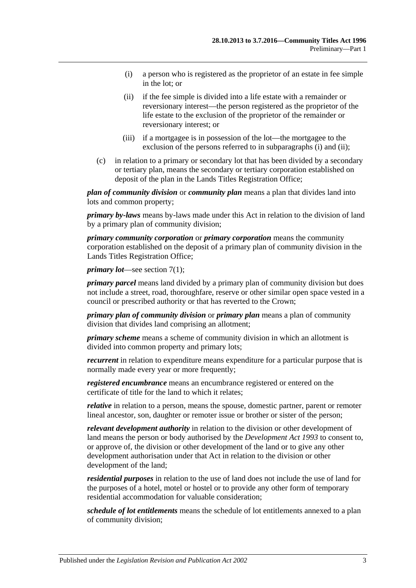- <span id="page-8-1"></span>(i) a person who is registered as the proprietor of an estate in fee simple in the lot; or
- <span id="page-8-2"></span>(ii) if the fee simple is divided into a life estate with a remainder or reversionary interest—the person registered as the proprietor of the life estate to the exclusion of the proprietor of the remainder or reversionary interest; or
- (iii) if a mortgagee is in possession of the lot—the mortgagee to the exclusion of the persons referred to in [subparagraphs](#page-8-1) (i) and [\(ii\);](#page-8-2)
- <span id="page-8-0"></span>(c) in relation to a primary or secondary lot that has been divided by a secondary or tertiary plan, means the secondary or tertiary corporation established on deposit of the plan in the Lands Titles Registration Office;

*plan of community division* or *community plan* means a plan that divides land into lots and common property;

*primary by-laws* means by-laws made under this Act in relation to the division of land by a primary plan of community division;

*primary community corporation* or *primary corporation* means the community corporation established on the deposit of a primary plan of community division in the Lands Titles Registration Office;

*primary lot*—see [section](#page-14-5) 7(1);

*primary parcel* means land divided by a primary plan of community division but does not include a street, road, thoroughfare, reserve or other similar open space vested in a council or prescribed authority or that has reverted to the Crown;

*primary plan of community division* or *primary plan* means a plan of community division that divides land comprising an allotment;

*primary scheme* means a scheme of community division in which an allotment is divided into common property and primary lots;

*recurrent* in relation to expenditure means expenditure for a particular purpose that is normally made every year or more frequently;

*registered encumbrance* means an encumbrance registered or entered on the certificate of title for the land to which it relates;

*relative* in relation to a person, means the spouse, domestic partner, parent or remoter lineal ancestor, son, daughter or remoter issue or brother or sister of the person;

*relevant development authority* in relation to the division or other development of land means the person or body authorised by the *[Development Act](http://www.legislation.sa.gov.au/index.aspx?action=legref&type=act&legtitle=Development%20Act%201993) 1993* to consent to, or approve of, the division or other development of the land or to give any other development authorisation under that Act in relation to the division or other development of the land;

*residential purposes* in relation to the use of land does not include the use of land for the purposes of a hotel, motel or hostel or to provide any other form of temporary residential accommodation for valuable consideration;

*schedule of lot entitlements* means the schedule of lot entitlements annexed to a plan of community division;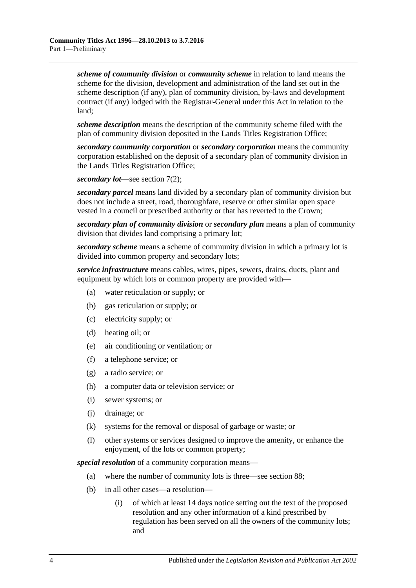*scheme of community division* or *community scheme* in relation to land means the scheme for the division, development and administration of the land set out in the scheme description (if any), plan of community division, by-laws and development contract (if any) lodged with the Registrar-General under this Act in relation to the land;

*scheme description* means the description of the community scheme filed with the plan of community division deposited in the Lands Titles Registration Office;

*secondary community corporation* or *secondary corporation* means the community corporation established on the deposit of a secondary plan of community division in the Lands Titles Registration Office;

*secondary lot*—see [section](#page-14-6) 7(2);

*secondary parcel* means land divided by a secondary plan of community division but does not include a street, road, thoroughfare, reserve or other similar open space vested in a council or prescribed authority or that has reverted to the Crown;

*secondary plan of community division* or *secondary plan* means a plan of community division that divides land comprising a primary lot;

*secondary scheme* means a scheme of community division in which a primary lot is divided into common property and secondary lots;

*service infrastructure* means cables, wires, pipes, sewers, drains, ducts, plant and equipment by which lots or common property are provided with—

- (a) water reticulation or supply; or
- (b) gas reticulation or supply; or
- (c) electricity supply; or
- (d) heating oil; or
- (e) air conditioning or ventilation; or
- (f) a telephone service; or
- (g) a radio service; or
- (h) a computer data or television service; or
- (i) sewer systems; or
- (j) drainage; or
- (k) systems for the removal or disposal of garbage or waste; or
- (l) other systems or services designed to improve the amenity, or enhance the enjoyment, of the lots or common property;

*special resolution* of a community corporation means—

- (a) where the number of community lots is three—see [section](#page-83-0) 88;
- (b) in all other cases—a resolution—
	- (i) of which at least 14 days notice setting out the text of the proposed resolution and any other information of a kind prescribed by regulation has been served on all the owners of the community lots; and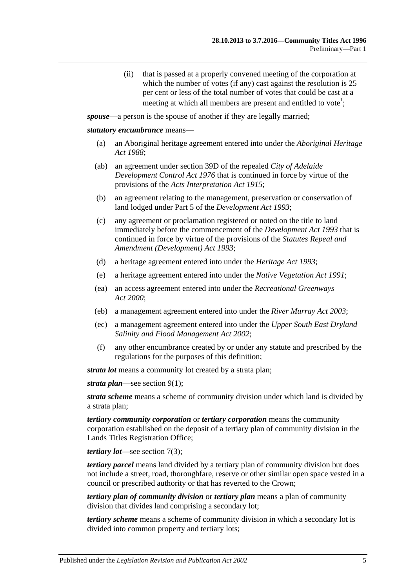(ii) that is passed at a properly convened meeting of the corporation at which the number of votes (if any) cast against the resolution is 25 per cent or less of the total number of votes that could be cast at a meeting at which all members are present and entitled to vote<sup>1</sup>;

<span id="page-10-0"></span>*spouse*—a person is the spouse of another if they are legally married;

#### *statutory encumbrance* means—

- (a) an Aboriginal heritage agreement entered into under the *[Aboriginal Heritage](http://www.legislation.sa.gov.au/index.aspx?action=legref&type=act&legtitle=Aboriginal%20Heritage%20Act%201988)  Act [1988](http://www.legislation.sa.gov.au/index.aspx?action=legref&type=act&legtitle=Aboriginal%20Heritage%20Act%201988)*;
- (ab) an agreement under section 39D of the repealed *[City of Adelaide](http://www.legislation.sa.gov.au/index.aspx?action=legref&type=act&legtitle=City%20of%20Adelaide%20Development%20Control%20Act%201976)  [Development Control Act](http://www.legislation.sa.gov.au/index.aspx?action=legref&type=act&legtitle=City%20of%20Adelaide%20Development%20Control%20Act%201976) 1976* that is continued in force by virtue of the provisions of the *[Acts Interpretation Act](http://www.legislation.sa.gov.au/index.aspx?action=legref&type=act&legtitle=Acts%20Interpretation%20Act%201915) 1915*;
- (b) an agreement relating to the management, preservation or conservation of land lodged under Part 5 of the *[Development Act](http://www.legislation.sa.gov.au/index.aspx?action=legref&type=act&legtitle=Development%20Act%201993) 1993*;
- (c) any agreement or proclamation registered or noted on the title to land immediately before the commencement of the *[Development Act](http://www.legislation.sa.gov.au/index.aspx?action=legref&type=act&legtitle=Development%20Act%201993) 1993* that is continued in force by virtue of the provisions of the *[Statutes Repeal and](http://www.legislation.sa.gov.au/index.aspx?action=legref&type=act&legtitle=Statutes%20Repeal%20and%20Amendment%20(Development)%20Act%201993)  [Amendment \(Development\) Act](http://www.legislation.sa.gov.au/index.aspx?action=legref&type=act&legtitle=Statutes%20Repeal%20and%20Amendment%20(Development)%20Act%201993) 1993*;
- (d) a heritage agreement entered into under the *[Heritage Act](http://www.legislation.sa.gov.au/index.aspx?action=legref&type=act&legtitle=Heritage%20Act%201993) 1993*;
- (e) a heritage agreement entered into under the *[Native Vegetation Act](http://www.legislation.sa.gov.au/index.aspx?action=legref&type=act&legtitle=Native%20Vegetation%20Act%201991) 1991*;
- (ea) an access agreement entered into under the *[Recreational Greenways](http://www.legislation.sa.gov.au/index.aspx?action=legref&type=act&legtitle=Recreational%20Greenways%20Act%202000)  Act [2000](http://www.legislation.sa.gov.au/index.aspx?action=legref&type=act&legtitle=Recreational%20Greenways%20Act%202000)*;
- (eb) a management agreement entered into under the *[River Murray Act](http://www.legislation.sa.gov.au/index.aspx?action=legref&type=act&legtitle=River%20Murray%20Act%202003) 2003*;
- (ec) a management agreement entered into under the *[Upper South East Dryland](http://www.legislation.sa.gov.au/index.aspx?action=legref&type=act&legtitle=Upper%20South%20East%20Dryland%20Salinity%20and%20Flood%20Management%20Act%202002)  [Salinity and Flood Management Act](http://www.legislation.sa.gov.au/index.aspx?action=legref&type=act&legtitle=Upper%20South%20East%20Dryland%20Salinity%20and%20Flood%20Management%20Act%202002) 2002*;
- (f) any other encumbrance created by or under any statute and prescribed by the regulations for the purposes of this definition;

*strata lot* means a community lot created by a strata plan;

*strata plan*—see [section](#page-14-7) 9(1);

*strata scheme* means a scheme of community division under which land is divided by a strata plan;

*tertiary community corporation* or *tertiary corporation* means the community corporation established on the deposit of a tertiary plan of community division in the Lands Titles Registration Office;

*tertiary lot*—see [section](#page-14-8) 7(3);

*tertiary parcel* means land divided by a tertiary plan of community division but does not include a street, road, thoroughfare, reserve or other similar open space vested in a council or prescribed authority or that has reverted to the Crown;

*tertiary plan of community division* or *tertiary plan* means a plan of community division that divides land comprising a secondary lot;

*tertiary scheme* means a scheme of community division in which a secondary lot is divided into common property and tertiary lots;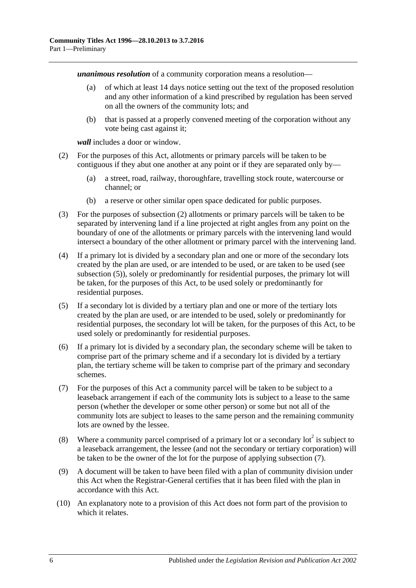*unanimous resolution* of a community corporation means a resolution—

- (a) of which at least 14 days notice setting out the text of the proposed resolution and any other information of a kind prescribed by regulation has been served on all the owners of the community lots; and
- (b) that is passed at a properly convened meeting of the corporation without any vote being cast against it;

*wall* includes a door or window.

- <span id="page-11-1"></span>(2) For the purposes of this Act, allotments or primary parcels will be taken to be contiguous if they abut one another at any point or if they are separated only by—
	- (a) a street, road, railway, thoroughfare, travelling stock route, watercourse or channel; or
	- (b) a reserve or other similar open space dedicated for public purposes.
- (3) For the purposes of [subsection](#page-11-1) (2) allotments or primary parcels will be taken to be separated by intervening land if a line projected at right angles from any point on the boundary of one of the allotments or primary parcels with the intervening land would intersect a boundary of the other allotment or primary parcel with the intervening land.
- (4) If a primary lot is divided by a secondary plan and one or more of the secondary lots created by the plan are used, or are intended to be used, or are taken to be used (see [subsection](#page-11-2) (5)), solely or predominantly for residential purposes, the primary lot will be taken, for the purposes of this Act, to be used solely or predominantly for residential purposes.
- <span id="page-11-2"></span>(5) If a secondary lot is divided by a tertiary plan and one or more of the tertiary lots created by the plan are used, or are intended to be used, solely or predominantly for residential purposes, the secondary lot will be taken, for the purposes of this Act, to be used solely or predominantly for residential purposes.
- (6) If a primary lot is divided by a secondary plan, the secondary scheme will be taken to comprise part of the primary scheme and if a secondary lot is divided by a tertiary plan, the tertiary scheme will be taken to comprise part of the primary and secondary schemes.
- <span id="page-11-0"></span>(7) For the purposes of this Act a community parcel will be taken to be subject to a leaseback arrangement if each of the community lots is subject to a lease to the same person (whether the developer or some other person) or some but not all of the community lots are subject to leases to the same person and the remaining community lots are owned by the lessee.
- (8) Where a community parcel comprised of a primary lot or a secondary lot<sup>2</sup> is subject to a leaseback arrangement, the lessee (and not the secondary or tertiary corporation) will be taken to be the owner of the lot for the purpose of applying [subsection](#page-11-0) (7).
- (9) A document will be taken to have been filed with a plan of community division under this Act when the Registrar-General certifies that it has been filed with the plan in accordance with this Act.
- (10) An explanatory note to a provision of this Act does not form part of the provision to which it relates.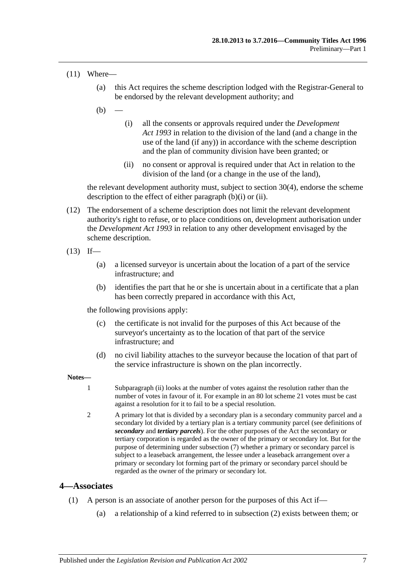#### (11) Where—

- (a) this Act requires the scheme description lodged with the Registrar-General to be endorsed by the relevant development authority; and
- <span id="page-12-1"></span> $(b)$
- (i) all the consents or approvals required under the *[Development](http://www.legislation.sa.gov.au/index.aspx?action=legref&type=act&legtitle=Development%20Act%201993)  Act [1993](http://www.legislation.sa.gov.au/index.aspx?action=legref&type=act&legtitle=Development%20Act%201993)* in relation to the division of the land (and a change in the use of the land (if any)) in accordance with the scheme description and the plan of community division have been granted; or
- (ii) no consent or approval is required under that Act in relation to the division of the land (or a change in the use of the land),

<span id="page-12-2"></span>the relevant development authority must, subject to [section](#page-33-1) 30(4), endorse the scheme description to the effect of either [paragraph](#page-12-1) (b)(i) or [\(ii\).](#page-12-2)

(12) The endorsement of a scheme description does not limit the relevant development authority's right to refuse, or to place conditions on, development authorisation under the *[Development Act](http://www.legislation.sa.gov.au/index.aspx?action=legref&type=act&legtitle=Development%20Act%201993) 1993* in relation to any other development envisaged by the scheme description.

 $(13)$  If—

- (a) a licensed surveyor is uncertain about the location of a part of the service infrastructure; and
- (b) identifies the part that he or she is uncertain about in a certificate that a plan has been correctly prepared in accordance with this Act,

the following provisions apply:

- (c) the certificate is not invalid for the purposes of this Act because of the surveyor's uncertainty as to the location of that part of the service infrastructure; and
- (d) no civil liability attaches to the surveyor because the location of that part of the service infrastructure is shown on the plan incorrectly.

**Notes—**

- 1 [Subparagraph](#page-10-0) (ii) looks at the number of votes against the resolution rather than the number of votes in favour of it. For example in an 80 lot scheme 21 votes must be cast against a resolution for it to fail to be a special resolution.
- 2 A primary lot that is divided by a secondary plan is a secondary community parcel and a secondary lot divided by a tertiary plan is a tertiary community parcel (see definitions of *secondary* and *tertiary parcels*). For the other purposes of the Act the secondary or tertiary corporation is regarded as the owner of the primary or secondary lot. But for the purpose of determining unde[r subsection](#page-11-0) (7) whether a primary or secondary parcel is subject to a leaseback arrangement, the lessee under a leaseback arrangement over a primary or secondary lot forming part of the primary or secondary parcel should be regarded as the owner of the primary or secondary lot.

## <span id="page-12-3"></span><span id="page-12-0"></span>**4—Associates**

- (1) A person is an associate of another person for the purposes of this Act if—
	- (a) a relationship of a kind referred to in [subsection](#page-13-1) (2) exists between them; or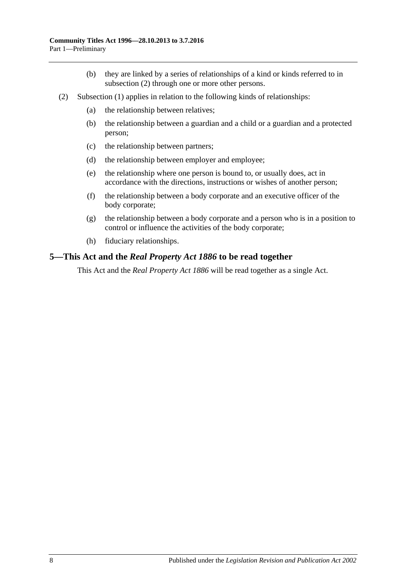- (b) they are linked by a series of relationships of a kind or kinds referred to in [subsection](#page-13-1) (2) through one or more other persons.
- <span id="page-13-1"></span>(2) [Subsection](#page-12-3) (1) applies in relation to the following kinds of relationships:
	- (a) the relationship between relatives;
	- (b) the relationship between a guardian and a child or a guardian and a protected person;
	- (c) the relationship between partners;
	- (d) the relationship between employer and employee;
	- (e) the relationship where one person is bound to, or usually does, act in accordance with the directions, instructions or wishes of another person;
	- (f) the relationship between a body corporate and an executive officer of the body corporate;
	- (g) the relationship between a body corporate and a person who is in a position to control or influence the activities of the body corporate;
	- (h) fiduciary relationships.

### <span id="page-13-0"></span>**5—This Act and the** *Real Property Act 1886* **to be read together**

This Act and the *[Real Property Act](http://www.legislation.sa.gov.au/index.aspx?action=legref&type=act&legtitle=Real%20Property%20Act%201886) 1886* will be read together as a single Act.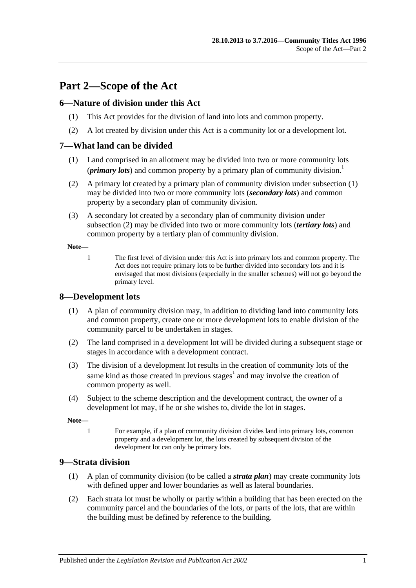# <span id="page-14-0"></span>**Part 2—Scope of the Act**

## <span id="page-14-1"></span>**6—Nature of division under this Act**

- (1) This Act provides for the division of land into lots and common property.
- (2) A lot created by division under this Act is a community lot or a development lot.

## <span id="page-14-5"></span><span id="page-14-2"></span>**7—What land can be divided**

- (1) Land comprised in an allotment may be divided into two or more community lots (*primary lots*) and common property by a primary plan of community division.<sup>1</sup>
- <span id="page-14-6"></span>(2) A primary lot created by a primary plan of community division under [subsection](#page-14-5) (1) may be divided into two or more community lots (*secondary lots*) and common property by a secondary plan of community division.
- <span id="page-14-8"></span>(3) A secondary lot created by a secondary plan of community division under [subsection](#page-14-6) (2) may be divided into two or more community lots (*tertiary lots*) and common property by a tertiary plan of community division.

**Note—**

1 The first level of division under this Act is into primary lots and common property. The Act does not require primary lots to be further divided into secondary lots and it is envisaged that most divisions (especially in the smaller schemes) will not go beyond the primary level.

## <span id="page-14-3"></span>**8—Development lots**

- (1) A plan of community division may, in addition to dividing land into community lots and common property, create one or more development lots to enable division of the community parcel to be undertaken in stages.
- (2) The land comprised in a development lot will be divided during a subsequent stage or stages in accordance with a development contract.
- (3) The division of a development lot results in the creation of community lots of the same kind as those created in previous stages<sup>1</sup> and may involve the creation of common property as well.
- (4) Subject to the scheme description and the development contract, the owner of a development lot may, if he or she wishes to, divide the lot in stages.

**Note—**

1 For example, if a plan of community division divides land into primary lots, common property and a development lot, the lots created by subsequent division of the development lot can only be primary lots.

#### <span id="page-14-7"></span><span id="page-14-4"></span>**9—Strata division**

- (1) A plan of community division (to be called a *strata plan*) may create community lots with defined upper and lower boundaries as well as lateral boundaries.
- (2) Each strata lot must be wholly or partly within a building that has been erected on the community parcel and the boundaries of the lots, or parts of the lots, that are within the building must be defined by reference to the building.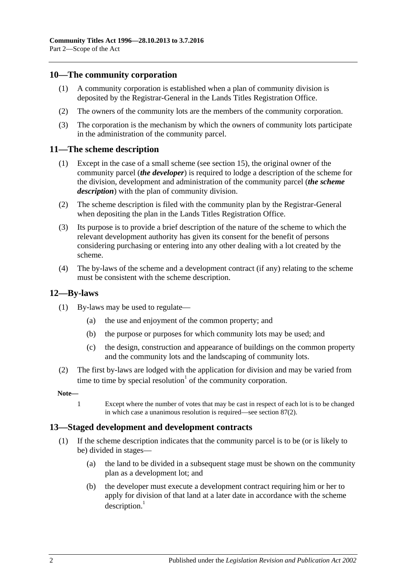## <span id="page-15-0"></span>**10—The community corporation**

- (1) A community corporation is established when a plan of community division is deposited by the Registrar-General in the Lands Titles Registration Office.
- (2) The owners of the community lots are the members of the community corporation.
- (3) The corporation is the mechanism by which the owners of community lots participate in the administration of the community parcel.

#### <span id="page-15-1"></span>**11—The scheme description**

- (1) Except in the case of a small scheme (see [section](#page-20-0) 15), the original owner of the community parcel (*the developer*) is required to lodge a description of the scheme for the division, development and administration of the community parcel (*the scheme description*) with the plan of community division.
- (2) The scheme description is filed with the community plan by the Registrar-General when depositing the plan in the Lands Titles Registration Office.
- (3) Its purpose is to provide a brief description of the nature of the scheme to which the relevant development authority has given its consent for the benefit of persons considering purchasing or entering into any other dealing with a lot created by the scheme.
- (4) The by-laws of the scheme and a development contract (if any) relating to the scheme must be consistent with the scheme description.

#### <span id="page-15-2"></span>**12—By-laws**

- (1) By-laws may be used to regulate—
	- (a) the use and enjoyment of the common property; and
	- (b) the purpose or purposes for which community lots may be used; and
	- (c) the design, construction and appearance of buildings on the common property and the community lots and the landscaping of community lots.
- (2) The first by-laws are lodged with the application for division and may be varied from time to time by special resolution<sup> $1$ </sup> of the community corporation.

#### **Note—**

1 Except where the number of votes that may be cast in respect of each lot is to be changed in which case a unanimous resolution is required—see [section](#page-82-2) 87(2).

#### <span id="page-15-3"></span>**13—Staged development and development contracts**

- (1) If the scheme description indicates that the community parcel is to be (or is likely to be) divided in stages—
	- (a) the land to be divided in a subsequent stage must be shown on the community plan as a development lot; and
	- (b) the developer must execute a development contract requiring him or her to apply for division of that land at a later date in accordance with the scheme  $description.<sup>1</sup>$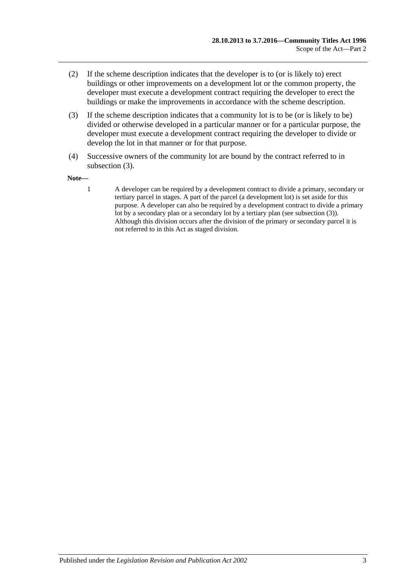- (2) If the scheme description indicates that the developer is to (or is likely to) erect buildings or other improvements on a development lot or the common property, the developer must execute a development contract requiring the developer to erect the buildings or make the improvements in accordance with the scheme description.
- <span id="page-16-0"></span>(3) If the scheme description indicates that a community lot is to be (or is likely to be) divided or otherwise developed in a particular manner or for a particular purpose, the developer must execute a development contract requiring the developer to divide or develop the lot in that manner or for that purpose.
- (4) Successive owners of the community lot are bound by the contract referred to in [subsection](#page-16-0) (3).

#### **Note—**

1 A developer can be required by a development contract to divide a primary, secondary or tertiary parcel in stages. A part of the parcel (a development lot) is set aside for this purpose. A developer can also be required by a development contract to divide a primary lot by a secondary plan or a secondary lot by a tertiary plan (se[e subsection](#page-16-0) (3)). Although this division occurs after the division of the primary or secondary parcel it is not referred to in this Act as staged division.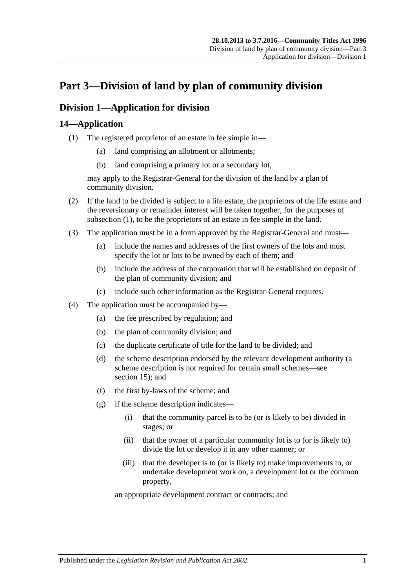# <span id="page-18-0"></span>**Part 3—Division of land by plan of community division**

## <span id="page-18-1"></span>**Division 1—Application for division**

## <span id="page-18-3"></span><span id="page-18-2"></span>**14—Application**

- (1) The registered proprietor of an estate in fee simple in—
	- (a) land comprising an allotment or allotments;
	- (b) land comprising a primary lot or a secondary lot,

may apply to the Registrar-General for the division of the land by a plan of community division.

- (2) If the land to be divided is subject to a life estate, the proprietors of the life estate and the reversionary or remainder interest will be taken together, for the purposes of [subsection](#page-18-3) (1), to be the proprietors of an estate in fee simple in the land.
- (3) The application must be in a form approved by the Registrar-General and must—
	- (a) include the names and addresses of the first owners of the lots and must specify the lot or lots to be owned by each of them; and
	- (b) include the address of the corporation that will be established on deposit of the plan of community division; and
	- (c) include such other information as the Registrar-General requires.
- (4) The application must be accompanied by—
	- (a) the fee prescribed by regulation; and
	- (b) the plan of community division; and
	- (c) the duplicate certificate of title for the land to be divided; and
	- (d) the scheme description endorsed by the relevant development authority (a scheme description is not required for certain small schemes—see [section](#page-20-0) 15); and
	- (f) the first by-laws of the scheme; and
	- (g) if the scheme description indicates—
		- (i) that the community parcel is to be (or is likely to be) divided in stages; or
		- (ii) that the owner of a particular community lot is to (or is likely to) divide the lot or develop it in any other manner; or
		- (iii) that the developer is to (or is likely to) make improvements to, or undertake development work on, a development lot or the common property,

an appropriate development contract or contracts; and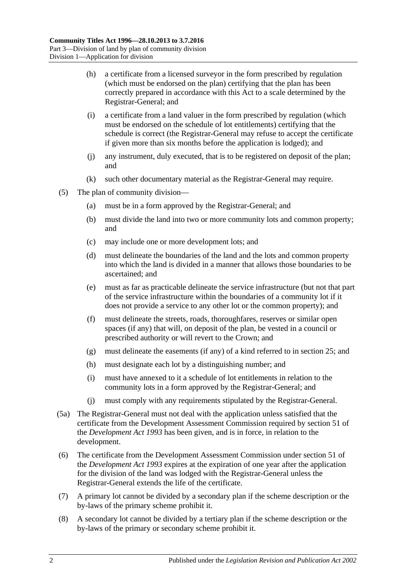- (h) a certificate from a licensed surveyor in the form prescribed by regulation (which must be endorsed on the plan) certifying that the plan has been correctly prepared in accordance with this Act to a scale determined by the Registrar-General; and
- (i) a certificate from a land valuer in the form prescribed by regulation (which must be endorsed on the schedule of lot entitlements) certifying that the schedule is correct (the Registrar-General may refuse to accept the certificate if given more than six months before the application is lodged); and
- (j) any instrument, duly executed, that is to be registered on deposit of the plan; and
- (k) such other documentary material as the Registrar-General may require.
- (5) The plan of community division—
	- (a) must be in a form approved by the Registrar-General; and
	- (b) must divide the land into two or more community lots and common property; and
	- (c) may include one or more development lots; and
	- (d) must delineate the boundaries of the land and the lots and common property into which the land is divided in a manner that allows those boundaries to be ascertained; and
	- (e) must as far as practicable delineate the service infrastructure (but not that part of the service infrastructure within the boundaries of a community lot if it does not provide a service to any other lot or the common property); and
	- (f) must delineate the streets, roads, thoroughfares, reserves or similar open spaces (if any) that will, on deposit of the plan, be vested in a council or prescribed authority or will revert to the Crown; and
	- (g) must delineate the easements (if any) of a kind referred to in [section](#page-27-0) 25; and
	- (h) must designate each lot by a distinguishing number; and
	- (i) must have annexed to it a schedule of lot entitlements in relation to the community lots in a form approved by the Registrar-General; and
	- (j) must comply with any requirements stipulated by the Registrar-General.
- (5a) The Registrar-General must not deal with the application unless satisfied that the certificate from the Development Assessment Commission required by section 51 of the *[Development Act](http://www.legislation.sa.gov.au/index.aspx?action=legref&type=act&legtitle=Development%20Act%201993) 1993* has been given, and is in force, in relation to the development.
- (6) The certificate from the Development Assessment Commission under section 51 of the *[Development Act](http://www.legislation.sa.gov.au/index.aspx?action=legref&type=act&legtitle=Development%20Act%201993) 1993* expires at the expiration of one year after the application for the division of the land was lodged with the Registrar-General unless the Registrar-General extends the life of the certificate.
- (7) A primary lot cannot be divided by a secondary plan if the scheme description or the by-laws of the primary scheme prohibit it.
- (8) A secondary lot cannot be divided by a tertiary plan if the scheme description or the by-laws of the primary or secondary scheme prohibit it.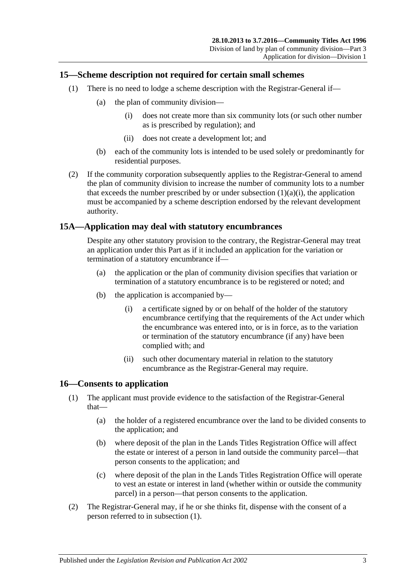## <span id="page-20-0"></span>**15—Scheme description not required for certain small schemes**

- <span id="page-20-3"></span>(1) There is no need to lodge a scheme description with the Registrar-General if—
	- (a) the plan of community division—
		- (i) does not create more than six community lots (or such other number as is prescribed by regulation); and
		- (ii) does not create a development lot; and
	- (b) each of the community lots is intended to be used solely or predominantly for residential purposes.
- (2) If the community corporation subsequently applies to the Registrar-General to amend the plan of community division to increase the number of community lots to a number that exceeds the number prescribed by or under [subsection](#page-20-3)  $(1)(a)(i)$ , the application must be accompanied by a scheme description endorsed by the relevant development authority.

## <span id="page-20-1"></span>**15A—Application may deal with statutory encumbrances**

Despite any other statutory provision to the contrary, the Registrar-General may treat an application under this Part as if it included an application for the variation or termination of a statutory encumbrance if—

- (a) the application or the plan of community division specifies that variation or termination of a statutory encumbrance is to be registered or noted; and
- (b) the application is accompanied by—
	- (i) a certificate signed by or on behalf of the holder of the statutory encumbrance certifying that the requirements of the Act under which the encumbrance was entered into, or is in force, as to the variation or termination of the statutory encumbrance (if any) have been complied with; and
	- (ii) such other documentary material in relation to the statutory encumbrance as the Registrar-General may require.

## <span id="page-20-4"></span><span id="page-20-2"></span>**16—Consents to application**

- (1) The applicant must provide evidence to the satisfaction of the Registrar-General that—
	- (a) the holder of a registered encumbrance over the land to be divided consents to the application; and
	- (b) where deposit of the plan in the Lands Titles Registration Office will affect the estate or interest of a person in land outside the community parcel—that person consents to the application; and
	- (c) where deposit of the plan in the Lands Titles Registration Office will operate to vest an estate or interest in land (whether within or outside the community parcel) in a person—that person consents to the application.
- (2) The Registrar-General may, if he or she thinks fit, dispense with the consent of a person referred to in [subsection](#page-20-4) (1).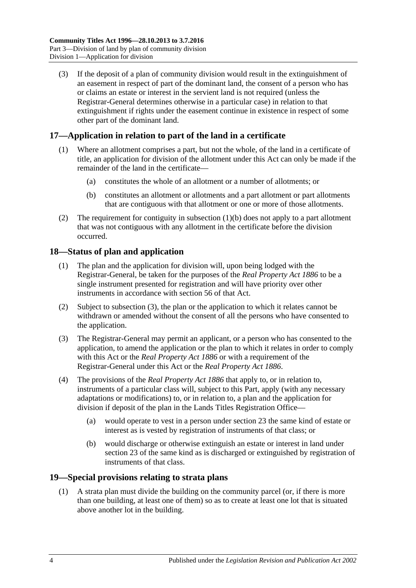(3) If the deposit of a plan of community division would result in the extinguishment of an easement in respect of part of the dominant land, the consent of a person who has or claims an estate or interest in the servient land is not required (unless the Registrar-General determines otherwise in a particular case) in relation to that extinguishment if rights under the easement continue in existence in respect of some other part of the dominant land.

## <span id="page-21-0"></span>**17—Application in relation to part of the land in a certificate**

- (1) Where an allotment comprises a part, but not the whole, of the land in a certificate of title, an application for division of the allotment under this Act can only be made if the remainder of the land in the certificate—
	- (a) constitutes the whole of an allotment or a number of allotments; or
	- (b) constitutes an allotment or allotments and a part allotment or part allotments that are contiguous with that allotment or one or more of those allotments.
- <span id="page-21-3"></span>(2) The requirement for contiguity in [subsection](#page-21-3)  $(1)(b)$  does not apply to a part allotment that was not contiguous with any allotment in the certificate before the division occurred.

## <span id="page-21-1"></span>**18—Status of plan and application**

- (1) The plan and the application for division will, upon being lodged with the Registrar-General, be taken for the purposes of the *[Real Property Act](http://www.legislation.sa.gov.au/index.aspx?action=legref&type=act&legtitle=Real%20Property%20Act%201886) 1886* to be a single instrument presented for registration and will have priority over other instruments in accordance with section 56 of that Act.
- (2) Subject to [subsection](#page-21-4) (3), the plan or the application to which it relates cannot be withdrawn or amended without the consent of all the persons who have consented to the application.
- <span id="page-21-4"></span>(3) The Registrar-General may permit an applicant, or a person who has consented to the application, to amend the application or the plan to which it relates in order to comply with this Act or the *[Real Property Act](http://www.legislation.sa.gov.au/index.aspx?action=legref&type=act&legtitle=Real%20Property%20Act%201886) 1886* or with a requirement of the Registrar-General under this Act or the *[Real Property Act](http://www.legislation.sa.gov.au/index.aspx?action=legref&type=act&legtitle=Real%20Property%20Act%201886) 1886*.
- (4) The provisions of the *[Real Property Act](http://www.legislation.sa.gov.au/index.aspx?action=legref&type=act&legtitle=Real%20Property%20Act%201886) 1886* that apply to, or in relation to, instruments of a particular class will, subject to this Part, apply (with any necessary adaptations or modifications) to, or in relation to, a plan and the application for division if deposit of the plan in the Lands Titles Registration Office—
	- (a) would operate to vest in a person under [section](#page-25-0) 23 the same kind of estate or interest as is vested by registration of instruments of that class; or
	- (b) would discharge or otherwise extinguish an estate or interest in land under [section](#page-25-0) 23 of the same kind as is discharged or extinguished by registration of instruments of that class.

## <span id="page-21-5"></span><span id="page-21-2"></span>**19—Special provisions relating to strata plans**

(1) A strata plan must divide the building on the community parcel (or, if there is more than one building, at least one of them) so as to create at least one lot that is situated above another lot in the building.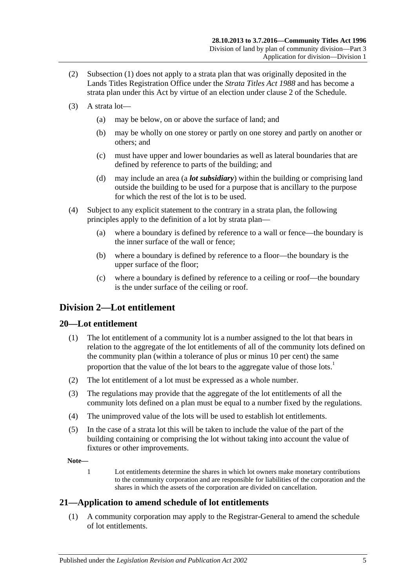- (2) [Subsection](#page-21-5) (1) does not apply to a strata plan that was originally deposited in the Lands Titles Registration Office under the *[Strata Titles Act](http://www.legislation.sa.gov.au/index.aspx?action=legref&type=act&legtitle=Strata%20Titles%20Act%201988) 1988* and has become a strata plan under this Act by virtue of an election under [clause](#page-124-2) 2 of the [Schedule.](#page-124-0)
- (3) A strata lot—
	- (a) may be below, on or above the surface of land; and
	- (b) may be wholly on one storey or partly on one storey and partly on another or others; and
	- (c) must have upper and lower boundaries as well as lateral boundaries that are defined by reference to parts of the building; and
	- (d) may include an area (a *lot subsidiary*) within the building or comprising land outside the building to be used for a purpose that is ancillary to the purpose for which the rest of the lot is to be used.
- <span id="page-22-3"></span>(4) Subject to any explicit statement to the contrary in a strata plan, the following principles apply to the definition of a lot by strata plan—
	- (a) where a boundary is defined by reference to a wall or fence—the boundary is the inner surface of the wall or fence;
	- (b) where a boundary is defined by reference to a floor—the boundary is the upper surface of the floor;
	- (c) where a boundary is defined by reference to a ceiling or roof—the boundary is the under surface of the ceiling or roof.

## <span id="page-22-0"></span>**Division 2—Lot entitlement**

## <span id="page-22-1"></span>**20—Lot entitlement**

- (1) The lot entitlement of a community lot is a number assigned to the lot that bears in relation to the aggregate of the lot entitlements of all of the community lots defined on the community plan (within a tolerance of plus or minus 10 per cent) the same proportion that the value of the lot bears to the aggregate value of those lots.<sup>1</sup>
- (2) The lot entitlement of a lot must be expressed as a whole number.
- (3) The regulations may provide that the aggregate of the lot entitlements of all the community lots defined on a plan must be equal to a number fixed by the regulations.
- (4) The unimproved value of the lots will be used to establish lot entitlements.
- (5) In the case of a strata lot this will be taken to include the value of the part of the building containing or comprising the lot without taking into account the value of fixtures or other improvements.

**Note—**

1 Lot entitlements determine the shares in which lot owners make monetary contributions to the community corporation and are responsible for liabilities of the corporation and the shares in which the assets of the corporation are divided on cancellation.

## <span id="page-22-2"></span>**21—Application to amend schedule of lot entitlements**

(1) A community corporation may apply to the Registrar-General to amend the schedule of lot entitlements.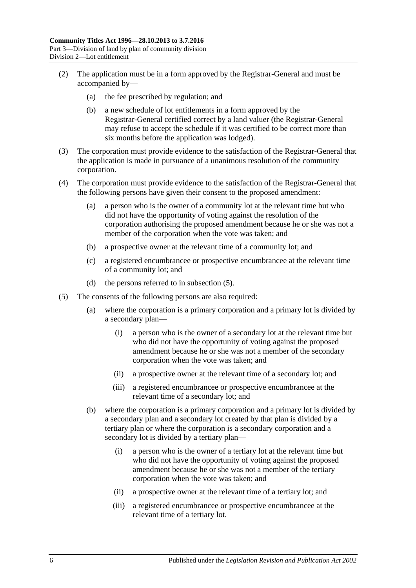- (2) The application must be in a form approved by the Registrar-General and must be accompanied by—
	- (a) the fee prescribed by regulation; and
	- (b) a new schedule of lot entitlements in a form approved by the Registrar-General certified correct by a land valuer (the Registrar-General may refuse to accept the schedule if it was certified to be correct more than six months before the application was lodged).
- (3) The corporation must provide evidence to the satisfaction of the Registrar-General that the application is made in pursuance of a unanimous resolution of the community corporation.
- (4) The corporation must provide evidence to the satisfaction of the Registrar-General that the following persons have given their consent to the proposed amendment:
	- (a) a person who is the owner of a community lot at the relevant time but who did not have the opportunity of voting against the resolution of the corporation authorising the proposed amendment because he or she was not a member of the corporation when the vote was taken; and
	- (b) a prospective owner at the relevant time of a community lot; and
	- (c) a registered encumbrancee or prospective encumbrancee at the relevant time of a community lot; and
	- (d) the persons referred to in [subsection](#page-23-0) (5).
- <span id="page-23-0"></span>(5) The consents of the following persons are also required:
	- (a) where the corporation is a primary corporation and a primary lot is divided by a secondary plan—
		- (i) a person who is the owner of a secondary lot at the relevant time but who did not have the opportunity of voting against the proposed amendment because he or she was not a member of the secondary corporation when the vote was taken; and
		- (ii) a prospective owner at the relevant time of a secondary lot; and
		- (iii) a registered encumbrancee or prospective encumbrancee at the relevant time of a secondary lot; and
	- (b) where the corporation is a primary corporation and a primary lot is divided by a secondary plan and a secondary lot created by that plan is divided by a tertiary plan or where the corporation is a secondary corporation and a secondary lot is divided by a tertiary plan—
		- (i) a person who is the owner of a tertiary lot at the relevant time but who did not have the opportunity of voting against the proposed amendment because he or she was not a member of the tertiary corporation when the vote was taken; and
		- (ii) a prospective owner at the relevant time of a tertiary lot; and
		- (iii) a registered encumbrancee or prospective encumbrancee at the relevant time of a tertiary lot.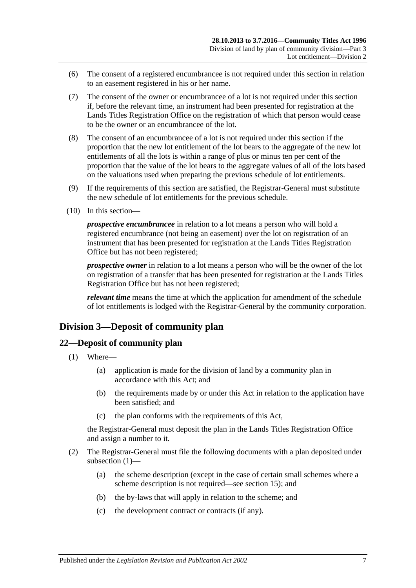- (6) The consent of a registered encumbrancee is not required under this section in relation to an easement registered in his or her name.
- (7) The consent of the owner or encumbrancee of a lot is not required under this section if, before the relevant time, an instrument had been presented for registration at the Lands Titles Registration Office on the registration of which that person would cease to be the owner or an encumbrancee of the lot.
- (8) The consent of an encumbrancee of a lot is not required under this section if the proportion that the new lot entitlement of the lot bears to the aggregate of the new lot entitlements of all the lots is within a range of plus or minus ten per cent of the proportion that the value of the lot bears to the aggregate values of all of the lots based on the valuations used when preparing the previous schedule of lot entitlements.
- (9) If the requirements of this section are satisfied, the Registrar-General must substitute the new schedule of lot entitlements for the previous schedule.
- (10) In this section—

*prospective encumbrancee* in relation to a lot means a person who will hold a registered encumbrance (not being an easement) over the lot on registration of an instrument that has been presented for registration at the Lands Titles Registration Office but has not been registered;

*prospective owner* in relation to a lot means a person who will be the owner of the lot on registration of a transfer that has been presented for registration at the Lands Titles Registration Office but has not been registered;

*relevant time* means the time at which the application for amendment of the schedule of lot entitlements is lodged with the Registrar-General by the community corporation.

## <span id="page-24-0"></span>**Division 3—Deposit of community plan**

#### <span id="page-24-2"></span><span id="page-24-1"></span>**22—Deposit of community plan**

- (1) Where—
	- (a) application is made for the division of land by a community plan in accordance with this Act; and
	- (b) the requirements made by or under this Act in relation to the application have been satisfied; and
	- (c) the plan conforms with the requirements of this Act,

the Registrar-General must deposit the plan in the Lands Titles Registration Office and assign a number to it.

- (2) The Registrar-General must file the following documents with a plan deposited under [subsection](#page-24-2) (1)—
	- (a) the scheme description (except in the case of certain small schemes where a scheme description is not required—see [section](#page-20-0) 15); and
	- (b) the by-laws that will apply in relation to the scheme; and
	- (c) the development contract or contracts (if any).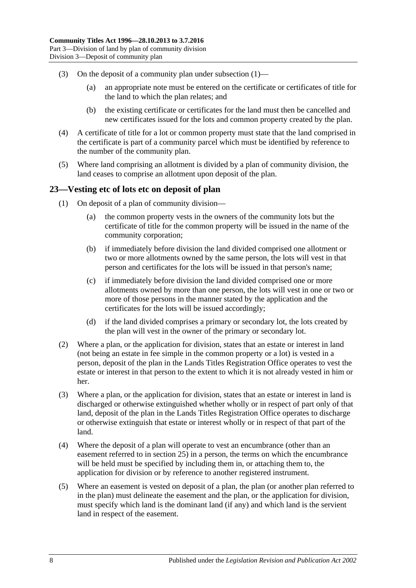- (3) On the deposit of a community plan under [subsection](#page-24-2)  $(1)$ 
	- (a) an appropriate note must be entered on the certificate or certificates of title for the land to which the plan relates; and
	- (b) the existing certificate or certificates for the land must then be cancelled and new certificates issued for the lots and common property created by the plan.
- (4) A certificate of title for a lot or common property must state that the land comprised in the certificate is part of a community parcel which must be identified by reference to the number of the community plan.
- (5) Where land comprising an allotment is divided by a plan of community division, the land ceases to comprise an allotment upon deposit of the plan.

## <span id="page-25-0"></span>**23—Vesting etc of lots etc on deposit of plan**

- (1) On deposit of a plan of community division—
	- (a) the common property vests in the owners of the community lots but the certificate of title for the common property will be issued in the name of the community corporation;
	- (b) if immediately before division the land divided comprised one allotment or two or more allotments owned by the same person, the lots will vest in that person and certificates for the lots will be issued in that person's name;
	- (c) if immediately before division the land divided comprised one or more allotments owned by more than one person, the lots will vest in one or two or more of those persons in the manner stated by the application and the certificates for the lots will be issued accordingly;
	- (d) if the land divided comprises a primary or secondary lot, the lots created by the plan will vest in the owner of the primary or secondary lot.
- (2) Where a plan, or the application for division, states that an estate or interest in land (not being an estate in fee simple in the common property or a lot) is vested in a person, deposit of the plan in the Lands Titles Registration Office operates to vest the estate or interest in that person to the extent to which it is not already vested in him or her.
- (3) Where a plan, or the application for division, states that an estate or interest in land is discharged or otherwise extinguished whether wholly or in respect of part only of that land, deposit of the plan in the Lands Titles Registration Office operates to discharge or otherwise extinguish that estate or interest wholly or in respect of that part of the land.
- (4) Where the deposit of a plan will operate to vest an encumbrance (other than an easement referred to in [section](#page-27-0) 25) in a person, the terms on which the encumbrance will be held must be specified by including them in, or attaching them to, the application for division or by reference to another registered instrument.
- (5) Where an easement is vested on deposit of a plan, the plan (or another plan referred to in the plan) must delineate the easement and the plan, or the application for division, must specify which land is the dominant land (if any) and which land is the servient land in respect of the easement.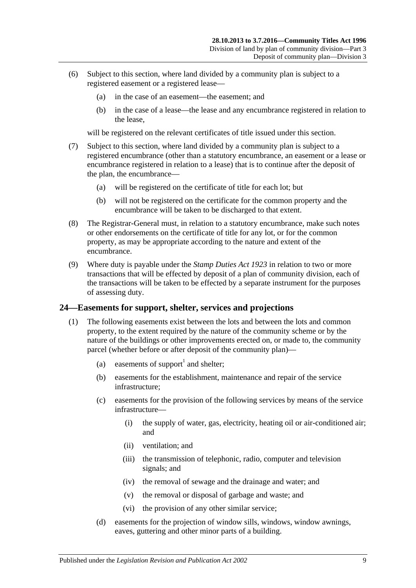- (6) Subject to this section, where land divided by a community plan is subject to a registered easement or a registered lease—
	- (a) in the case of an easement—the easement; and
	- (b) in the case of a lease—the lease and any encumbrance registered in relation to the lease,

will be registered on the relevant certificates of title issued under this section.

- (7) Subject to this section, where land divided by a community plan is subject to a registered encumbrance (other than a statutory encumbrance, an easement or a lease or encumbrance registered in relation to a lease) that is to continue after the deposit of the plan, the encumbrance—
	- (a) will be registered on the certificate of title for each lot; but
	- (b) will not be registered on the certificate for the common property and the encumbrance will be taken to be discharged to that extent.
- (8) The Registrar-General must, in relation to a statutory encumbrance, make such notes or other endorsements on the certificate of title for any lot, or for the common property, as may be appropriate according to the nature and extent of the encumbrance.
- (9) Where duty is payable under the *[Stamp Duties Act](http://www.legislation.sa.gov.au/index.aspx?action=legref&type=act&legtitle=Stamp%20Duties%20Act%201923) 1923* in relation to two or more transactions that will be effected by deposit of a plan of community division, each of the transactions will be taken to be effected by a separate instrument for the purposes of assessing duty.

#### <span id="page-26-1"></span><span id="page-26-0"></span>**24—Easements for support, shelter, services and projections**

- <span id="page-26-2"></span>(1) The following easements exist between the lots and between the lots and common property, to the extent required by the nature of the community scheme or by the nature of the buildings or other improvements erected on, or made to, the community parcel (whether before or after deposit of the community plan)—
	- (a) easements of support<sup>1</sup> and shelter;
	- (b) easements for the establishment, maintenance and repair of the service infrastructure;
	- (c) easements for the provision of the following services by means of the service infrastructure—
		- (i) the supply of water, gas, electricity, heating oil or air-conditioned air; and
		- (ii) ventilation; and
		- (iii) the transmission of telephonic, radio, computer and television signals; and
		- (iv) the removal of sewage and the drainage and water; and
		- (v) the removal or disposal of garbage and waste; and
		- (vi) the provision of any other similar service;
	- (d) easements for the projection of window sills, windows, window awnings, eaves, guttering and other minor parts of a building.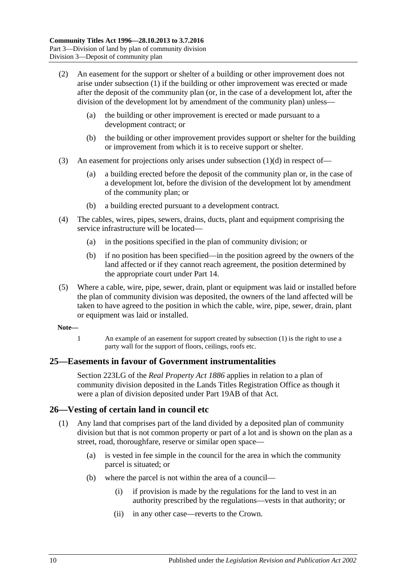- (2) An easement for the support or shelter of a building or other improvement does not arise under [subsection](#page-26-1) (1) if the building or other improvement was erected or made after the deposit of the community plan (or, in the case of a development lot, after the division of the development lot by amendment of the community plan) unless—
	- (a) the building or other improvement is erected or made pursuant to a development contract; or
	- (b) the building or other improvement provides support or shelter for the building or improvement from which it is to receive support or shelter.
- (3) An easement for projections only arises under [subsection](#page-26-2) (1)(d) in respect of—
	- (a) a building erected before the deposit of the community plan or, in the case of a development lot, before the division of the development lot by amendment of the community plan; or
	- (b) a building erected pursuant to a development contract.
- (4) The cables, wires, pipes, sewers, drains, ducts, plant and equipment comprising the service infrastructure will be located—
	- (a) in the positions specified in the plan of community division; or
	- (b) if no position has been specified—in the position agreed by the owners of the land affected or if they cannot reach agreement, the position determined by the appropriate court under [Part 14.](#page-112-0)
- (5) Where a cable, wire, pipe, sewer, drain, plant or equipment was laid or installed before the plan of community division was deposited, the owners of the land affected will be taken to have agreed to the position in which the cable, wire, pipe, sewer, drain, plant or equipment was laid or installed.

#### **Note—**

1 An example of an easement for support created by [subsection](#page-26-1) (1) is the right to use a party wall for the support of floors, ceilings, roofs etc.

## <span id="page-27-0"></span>**25—Easements in favour of Government instrumentalities**

Section 223LG of the *[Real Property Act](http://www.legislation.sa.gov.au/index.aspx?action=legref&type=act&legtitle=Real%20Property%20Act%201886) 1886* applies in relation to a plan of community division deposited in the Lands Titles Registration Office as though it were a plan of division deposited under Part 19AB of that Act.

## <span id="page-27-1"></span>**26—Vesting of certain land in council etc**

- (1) Any land that comprises part of the land divided by a deposited plan of community division but that is not common property or part of a lot and is shown on the plan as a street, road, thoroughfare, reserve or similar open space—
	- (a) is vested in fee simple in the council for the area in which the community parcel is situated; or
	- (b) where the parcel is not within the area of a council—
		- (i) if provision is made by the regulations for the land to vest in an authority prescribed by the regulations—vests in that authority; or
		- (ii) in any other case—reverts to the Crown.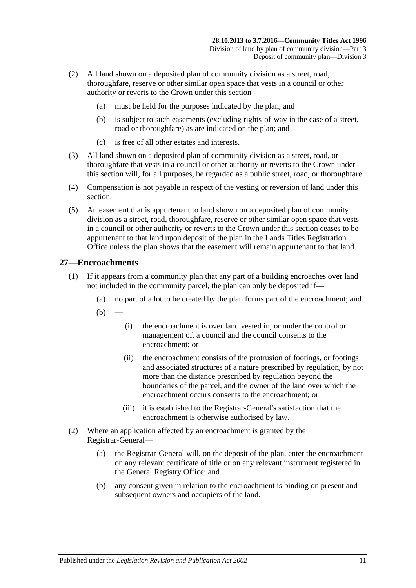- (2) All land shown on a deposited plan of community division as a street, road, thoroughfare, reserve or other similar open space that vests in a council or other authority or reverts to the Crown under this section—
	- (a) must be held for the purposes indicated by the plan; and
	- (b) is subject to such easements (excluding rights-of-way in the case of a street, road or thoroughfare) as are indicated on the plan; and
	- (c) is free of all other estates and interests.
- (3) All land shown on a deposited plan of community division as a street, road, or thoroughfare that vests in a council or other authority or reverts to the Crown under this section will, for all purposes, be regarded as a public street, road, or thoroughfare.
- (4) Compensation is not payable in respect of the vesting or reversion of land under this section.
- (5) An easement that is appurtenant to land shown on a deposited plan of community division as a street, road, thoroughfare, reserve or other similar open space that vests in a council or other authority or reverts to the Crown under this section ceases to be appurtenant to that land upon deposit of the plan in the Lands Titles Registration Office unless the plan shows that the easement will remain appurtenant to that land.

## <span id="page-28-0"></span>**27—Encroachments**

- (1) If it appears from a community plan that any part of a building encroaches over land not included in the community parcel, the plan can only be deposited if—
	- (a) no part of a lot to be created by the plan forms part of the encroachment; and
	- $(b)$ 
		- (i) the encroachment is over land vested in, or under the control or management of, a council and the council consents to the encroachment; or
		- (ii) the encroachment consists of the protrusion of footings, or footings and associated structures of a nature prescribed by regulation, by not more than the distance prescribed by regulation beyond the boundaries of the parcel, and the owner of the land over which the encroachment occurs consents to the encroachment; or
		- (iii) it is established to the Registrar-General's satisfaction that the encroachment is otherwise authorised by law.
- (2) Where an application affected by an encroachment is granted by the Registrar-General—
	- (a) the Registrar-General will, on the deposit of the plan, enter the encroachment on any relevant certificate of title or on any relevant instrument registered in the General Registry Office; and
	- (b) any consent given in relation to the encroachment is binding on present and subsequent owners and occupiers of the land.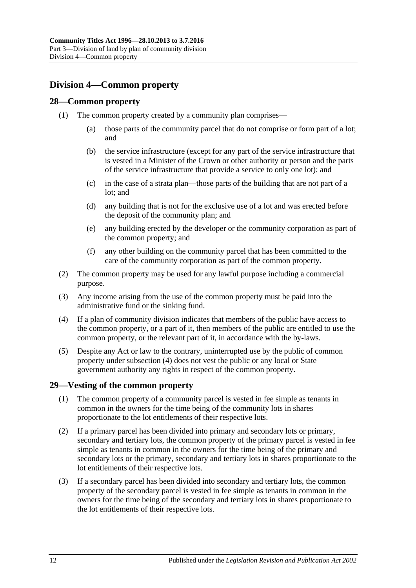## <span id="page-29-0"></span>**Division 4—Common property**

## <span id="page-29-1"></span>**28—Common property**

- (1) The common property created by a community plan comprises—
	- (a) those parts of the community parcel that do not comprise or form part of a lot; and
	- (b) the service infrastructure (except for any part of the service infrastructure that is vested in a Minister of the Crown or other authority or person and the parts of the service infrastructure that provide a service to only one lot); and
	- (c) in the case of a strata plan—those parts of the building that are not part of a lot; and
	- (d) any building that is not for the exclusive use of a lot and was erected before the deposit of the community plan; and
	- (e) any building erected by the developer or the community corporation as part of the common property; and
	- (f) any other building on the community parcel that has been committed to the care of the community corporation as part of the common property.
- (2) The common property may be used for any lawful purpose including a commercial purpose.
- (3) Any income arising from the use of the common property must be paid into the administrative fund or the sinking fund.
- <span id="page-29-3"></span>(4) If a plan of community division indicates that members of the public have access to the common property, or a part of it, then members of the public are entitled to use the common property, or the relevant part of it, in accordance with the by-laws.
- (5) Despite any Act or law to the contrary, uninterrupted use by the public of common property under [subsection](#page-29-3) (4) does not vest the public or any local or State government authority any rights in respect of the common property.

## <span id="page-29-2"></span>**29—Vesting of the common property**

- (1) The common property of a community parcel is vested in fee simple as tenants in common in the owners for the time being of the community lots in shares proportionate to the lot entitlements of their respective lots.
- (2) If a primary parcel has been divided into primary and secondary lots or primary, secondary and tertiary lots, the common property of the primary parcel is vested in fee simple as tenants in common in the owners for the time being of the primary and secondary lots or the primary, secondary and tertiary lots in shares proportionate to the lot entitlements of their respective lots.
- (3) If a secondary parcel has been divided into secondary and tertiary lots, the common property of the secondary parcel is vested in fee simple as tenants in common in the owners for the time being of the secondary and tertiary lots in shares proportionate to the lot entitlements of their respective lots.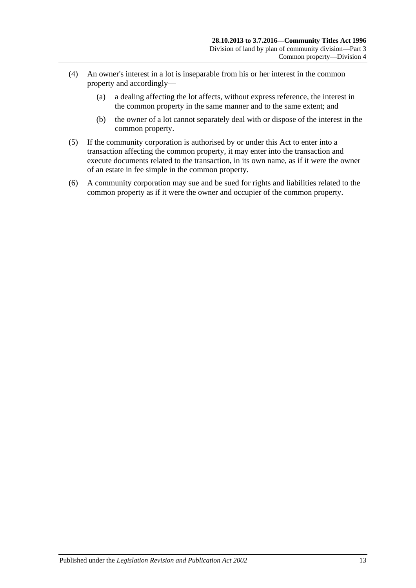- (4) An owner's interest in a lot is inseparable from his or her interest in the common property and accordingly—
	- (a) a dealing affecting the lot affects, without express reference, the interest in the common property in the same manner and to the same extent; and
	- (b) the owner of a lot cannot separately deal with or dispose of the interest in the common property.
- (5) If the community corporation is authorised by or under this Act to enter into a transaction affecting the common property, it may enter into the transaction and execute documents related to the transaction, in its own name, as if it were the owner of an estate in fee simple in the common property.
- (6) A community corporation may sue and be sued for rights and liabilities related to the common property as if it were the owner and occupier of the common property.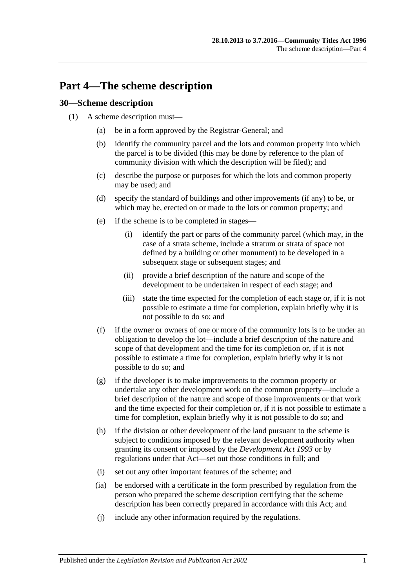# <span id="page-32-0"></span>**Part 4—The scheme description**

## <span id="page-32-1"></span>**30—Scheme description**

- (1) A scheme description must—
	- (a) be in a form approved by the Registrar-General; and
	- (b) identify the community parcel and the lots and common property into which the parcel is to be divided (this may be done by reference to the plan of community division with which the description will be filed); and
	- (c) describe the purpose or purposes for which the lots and common property may be used; and
	- (d) specify the standard of buildings and other improvements (if any) to be, or which may be, erected on or made to the lots or common property; and
	- (e) if the scheme is to be completed in stages—
		- (i) identify the part or parts of the community parcel (which may, in the case of a strata scheme, include a stratum or strata of space not defined by a building or other monument) to be developed in a subsequent stage or subsequent stages; and
		- (ii) provide a brief description of the nature and scope of the development to be undertaken in respect of each stage; and
		- (iii) state the time expected for the completion of each stage or, if it is not possible to estimate a time for completion, explain briefly why it is not possible to do so; and
	- (f) if the owner or owners of one or more of the community lots is to be under an obligation to develop the lot—include a brief description of the nature and scope of that development and the time for its completion or, if it is not possible to estimate a time for completion, explain briefly why it is not possible to do so; and
	- (g) if the developer is to make improvements to the common property or undertake any other development work on the common property—include a brief description of the nature and scope of those improvements or that work and the time expected for their completion or, if it is not possible to estimate a time for completion, explain briefly why it is not possible to do so; and
	- (h) if the division or other development of the land pursuant to the scheme is subject to conditions imposed by the relevant development authority when granting its consent or imposed by the *[Development Act](http://www.legislation.sa.gov.au/index.aspx?action=legref&type=act&legtitle=Development%20Act%201993) 1993* or by regulations under that Act—set out those conditions in full; and
	- (i) set out any other important features of the scheme; and
	- (ia) be endorsed with a certificate in the form prescribed by regulation from the person who prepared the scheme description certifying that the scheme description has been correctly prepared in accordance with this Act; and
	- (j) include any other information required by the regulations.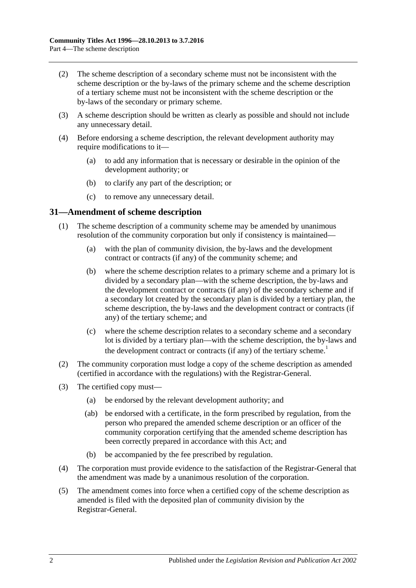- (2) The scheme description of a secondary scheme must not be inconsistent with the scheme description or the by-laws of the primary scheme and the scheme description of a tertiary scheme must not be inconsistent with the scheme description or the by-laws of the secondary or primary scheme.
- (3) A scheme description should be written as clearly as possible and should not include any unnecessary detail.
- <span id="page-33-1"></span>(4) Before endorsing a scheme description, the relevant development authority may require modifications to it—
	- (a) to add any information that is necessary or desirable in the opinion of the development authority; or
	- (b) to clarify any part of the description; or
	- (c) to remove any unnecessary detail.

### <span id="page-33-0"></span>**31—Amendment of scheme description**

- (1) The scheme description of a community scheme may be amended by unanimous resolution of the community corporation but only if consistency is maintained—
	- (a) with the plan of community division, the by-laws and the development contract or contracts (if any) of the community scheme; and
	- (b) where the scheme description relates to a primary scheme and a primary lot is divided by a secondary plan—with the scheme description, the by-laws and the development contract or contracts (if any) of the secondary scheme and if a secondary lot created by the secondary plan is divided by a tertiary plan, the scheme description, the by-laws and the development contract or contracts (if any) of the tertiary scheme; and
	- (c) where the scheme description relates to a secondary scheme and a secondary lot is divided by a tertiary plan—with the scheme description, the by-laws and the development contract or contracts (if any) of the tertiary scheme.<sup>1</sup>
- (2) The community corporation must lodge a copy of the scheme description as amended (certified in accordance with the regulations) with the Registrar-General.
- (3) The certified copy must—
	- (a) be endorsed by the relevant development authority; and
	- (ab) be endorsed with a certificate, in the form prescribed by regulation, from the person who prepared the amended scheme description or an officer of the community corporation certifying that the amended scheme description has been correctly prepared in accordance with this Act; and
	- (b) be accompanied by the fee prescribed by regulation.
- (4) The corporation must provide evidence to the satisfaction of the Registrar-General that the amendment was made by a unanimous resolution of the corporation.
- (5) The amendment comes into force when a certified copy of the scheme description as amended is filed with the deposited plan of community division by the Registrar-General.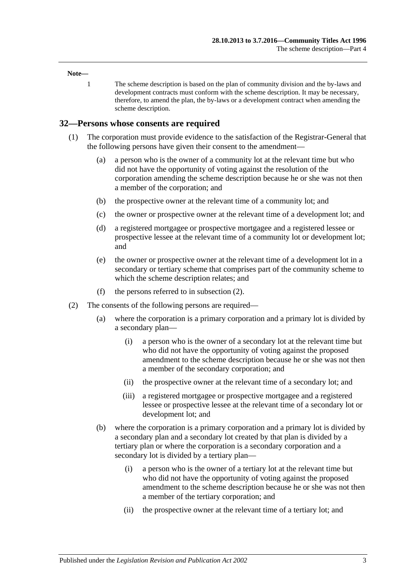#### **Note—**

1 The scheme description is based on the plan of community division and the by-laws and development contracts must conform with the scheme description. It may be necessary, therefore, to amend the plan, the by-laws or a development contract when amending the scheme description.

#### <span id="page-34-0"></span>**32—Persons whose consents are required**

- (1) The corporation must provide evidence to the satisfaction of the Registrar-General that the following persons have given their consent to the amendment—
	- (a) a person who is the owner of a community lot at the relevant time but who did not have the opportunity of voting against the resolution of the corporation amending the scheme description because he or she was not then a member of the corporation; and
	- (b) the prospective owner at the relevant time of a community lot; and
	- (c) the owner or prospective owner at the relevant time of a development lot; and
	- (d) a registered mortgagee or prospective mortgagee and a registered lessee or prospective lessee at the relevant time of a community lot or development lot; and
	- (e) the owner or prospective owner at the relevant time of a development lot in a secondary or tertiary scheme that comprises part of the community scheme to which the scheme description relates; and
	- (f) the persons referred to in [subsection](#page-34-1) (2).
- <span id="page-34-1"></span>(2) The consents of the following persons are required—
	- (a) where the corporation is a primary corporation and a primary lot is divided by a secondary plan—
		- (i) a person who is the owner of a secondary lot at the relevant time but who did not have the opportunity of voting against the proposed amendment to the scheme description because he or she was not then a member of the secondary corporation; and
		- (ii) the prospective owner at the relevant time of a secondary lot; and
		- (iii) a registered mortgagee or prospective mortgagee and a registered lessee or prospective lessee at the relevant time of a secondary lot or development lot; and
	- (b) where the corporation is a primary corporation and a primary lot is divided by a secondary plan and a secondary lot created by that plan is divided by a tertiary plan or where the corporation is a secondary corporation and a secondary lot is divided by a tertiary plan—
		- (i) a person who is the owner of a tertiary lot at the relevant time but who did not have the opportunity of voting against the proposed amendment to the scheme description because he or she was not then a member of the tertiary corporation; and
		- (ii) the prospective owner at the relevant time of a tertiary lot; and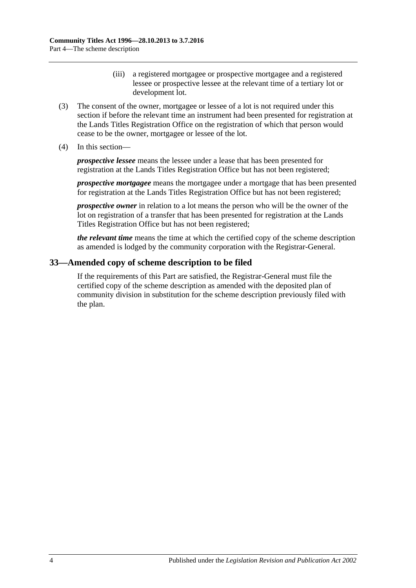- (iii) a registered mortgagee or prospective mortgagee and a registered lessee or prospective lessee at the relevant time of a tertiary lot or development lot.
- (3) The consent of the owner, mortgagee or lessee of a lot is not required under this section if before the relevant time an instrument had been presented for registration at the Lands Titles Registration Office on the registration of which that person would cease to be the owner, mortgagee or lessee of the lot.
- (4) In this section—

*prospective lessee* means the lessee under a lease that has been presented for registration at the Lands Titles Registration Office but has not been registered;

*prospective mortgagee* means the mortgagee under a mortgage that has been presented for registration at the Lands Titles Registration Office but has not been registered;

*prospective owner* in relation to a lot means the person who will be the owner of the lot on registration of a transfer that has been presented for registration at the Lands Titles Registration Office but has not been registered;

*the relevant time* means the time at which the certified copy of the scheme description as amended is lodged by the community corporation with the Registrar-General.

## <span id="page-35-0"></span>**33—Amended copy of scheme description to be filed**

If the requirements of this Part are satisfied, the Registrar-General must file the certified copy of the scheme description as amended with the deposited plan of community division in substitution for the scheme description previously filed with the plan.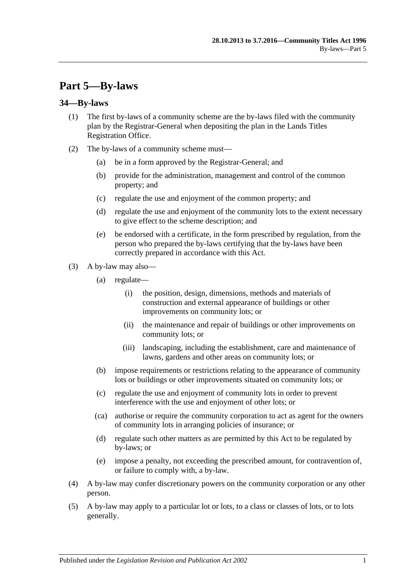# **Part 5—By-laws**

# **34—By-laws**

- (1) The first by-laws of a community scheme are the by-laws filed with the community plan by the Registrar-General when depositing the plan in the Lands Titles Registration Office.
- (2) The by-laws of a community scheme must—
	- (a) be in a form approved by the Registrar-General; and
	- (b) provide for the administration, management and control of the common property; and
	- (c) regulate the use and enjoyment of the common property; and
	- (d) regulate the use and enjoyment of the community lots to the extent necessary to give effect to the scheme description; and
	- (e) be endorsed with a certificate, in the form prescribed by regulation, from the person who prepared the by-laws certifying that the by-laws have been correctly prepared in accordance with this Act.
- (3) A by-law may also—
	- (a) regulate—
		- (i) the position, design, dimensions, methods and materials of construction and external appearance of buildings or other improvements on community lots; or
		- (ii) the maintenance and repair of buildings or other improvements on community lots; or
		- (iii) landscaping, including the establishment, care and maintenance of lawns, gardens and other areas on community lots; or
	- (b) impose requirements or restrictions relating to the appearance of community lots or buildings or other improvements situated on community lots; or
	- (c) regulate the use and enjoyment of community lots in order to prevent interference with the use and enjoyment of other lots; or
	- (ca) authorise or require the community corporation to act as agent for the owners of community lots in arranging policies of insurance; or
	- (d) regulate such other matters as are permitted by this Act to be regulated by by-laws; or
	- (e) impose a penalty, not exceeding the prescribed amount, for contravention of, or failure to comply with, a by-law.
- (4) A by-law may confer discretionary powers on the community corporation or any other person.
- (5) A by-law may apply to a particular lot or lots, to a class or classes of lots, or to lots generally.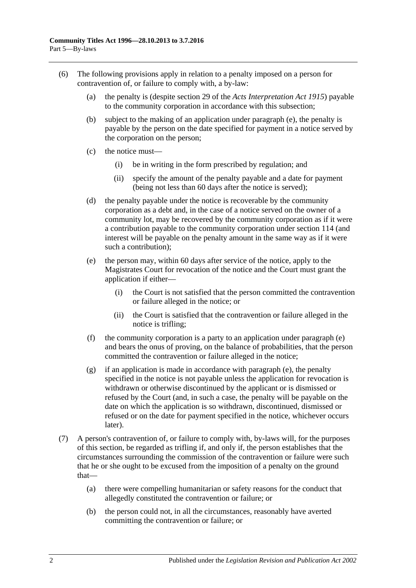- <span id="page-37-0"></span>(6) The following provisions apply in relation to a penalty imposed on a person for contravention of, or failure to comply with, a by-law:
	- (a) the penalty is (despite section 29 of the *[Acts Interpretation Act](http://www.legislation.sa.gov.au/index.aspx?action=legref&type=act&legtitle=Acts%20Interpretation%20Act%201915) 1915*) payable to the community corporation in accordance with this subsection;
	- (b) subject to the making of an application under [paragraph](#page-37-0) (e), the penalty is payable by the person on the date specified for payment in a notice served by the corporation on the person;
	- (c) the notice must—
		- (i) be in writing in the form prescribed by regulation; and
		- (ii) specify the amount of the penalty payable and a date for payment (being not less than 60 days after the notice is served);
	- (d) the penalty payable under the notice is recoverable by the community corporation as a debt and, in the case of a notice served on the owner of a community lot, may be recovered by the community corporation as if it were a contribution payable to the community corporation under [section](#page-98-0) 114 (and interest will be payable on the penalty amount in the same way as if it were such a contribution);
	- (e) the person may, within 60 days after service of the notice, apply to the Magistrates Court for revocation of the notice and the Court must grant the application if either—
		- (i) the Court is not satisfied that the person committed the contravention or failure alleged in the notice; or
		- (ii) the Court is satisfied that the contravention or failure alleged in the notice is trifling;
	- (f) the community corporation is a party to an application under [paragraph](#page-37-0) (e) and bears the onus of proving, on the balance of probabilities, that the person committed the contravention or failure alleged in the notice;
	- (g) if an application is made in accordance with [paragraph](#page-37-0) (e), the penalty specified in the notice is not payable unless the application for revocation is withdrawn or otherwise discontinued by the applicant or is dismissed or refused by the Court (and, in such a case, the penalty will be payable on the date on which the application is so withdrawn, discontinued, dismissed or refused or on the date for payment specified in the notice, whichever occurs later).
- (7) A person's contravention of, or failure to comply with, by-laws will, for the purposes of this section, be regarded as trifling if, and only if, the person establishes that the circumstances surrounding the commission of the contravention or failure were such that he or she ought to be excused from the imposition of a penalty on the ground that—
	- (a) there were compelling humanitarian or safety reasons for the conduct that allegedly constituted the contravention or failure; or
	- (b) the person could not, in all the circumstances, reasonably have averted committing the contravention or failure; or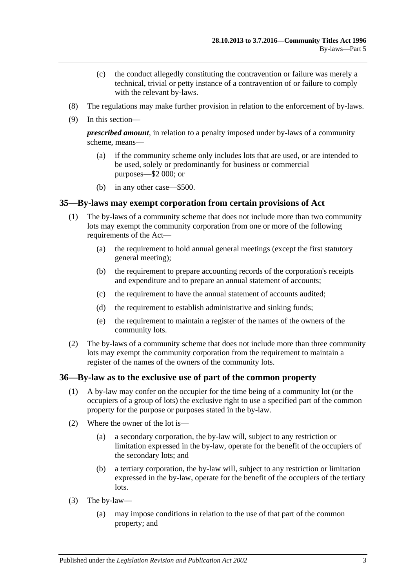- (c) the conduct allegedly constituting the contravention or failure was merely a technical, trivial or petty instance of a contravention of or failure to comply with the relevant by-laws.
- (8) The regulations may make further provision in relation to the enforcement of by-laws.
- (9) In this section—

*prescribed amount*, in relation to a penalty imposed under by-laws of a community scheme, means—

- (a) if the community scheme only includes lots that are used, or are intended to be used, solely or predominantly for business or commercial purposes—\$2 000; or
- (b) in any other case—\$500.

# **35—By-laws may exempt corporation from certain provisions of Act**

- (1) The by-laws of a community scheme that does not include more than two community lots may exempt the community corporation from one or more of the following requirements of the Act—
	- (a) the requirement to hold annual general meetings (except the first statutory general meeting);
	- (b) the requirement to prepare accounting records of the corporation's receipts and expenditure and to prepare an annual statement of accounts;
	- (c) the requirement to have the annual statement of accounts audited;
	- (d) the requirement to establish administrative and sinking funds;
	- (e) the requirement to maintain a register of the names of the owners of the community lots.
- (2) The by-laws of a community scheme that does not include more than three community lots may exempt the community corporation from the requirement to maintain a register of the names of the owners of the community lots.

### **36—By-law as to the exclusive use of part of the common property**

- (1) A by-law may confer on the occupier for the time being of a community lot (or the occupiers of a group of lots) the exclusive right to use a specified part of the common property for the purpose or purposes stated in the by-law.
- (2) Where the owner of the lot is—
	- (a) a secondary corporation, the by-law will, subject to any restriction or limitation expressed in the by-law, operate for the benefit of the occupiers of the secondary lots; and
	- (b) a tertiary corporation, the by-law will, subject to any restriction or limitation expressed in the by-law, operate for the benefit of the occupiers of the tertiary lots.
- (3) The by-law—
	- (a) may impose conditions in relation to the use of that part of the common property; and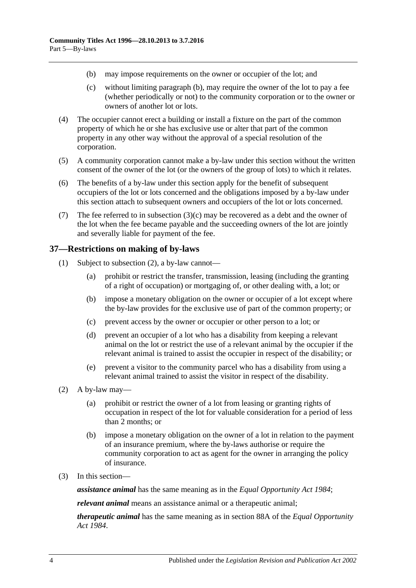- <span id="page-39-0"></span>(b) may impose requirements on the owner or occupier of the lot; and
- <span id="page-39-1"></span>(c) without limiting [paragraph](#page-39-0) (b), may require the owner of the lot to pay a fee (whether periodically or not) to the community corporation or to the owner or owners of another lot or lots.
- (4) The occupier cannot erect a building or install a fixture on the part of the common property of which he or she has exclusive use or alter that part of the common property in any other way without the approval of a special resolution of the corporation.
- (5) A community corporation cannot make a by-law under this section without the written consent of the owner of the lot (or the owners of the group of lots) to which it relates.
- (6) The benefits of a by-law under this section apply for the benefit of subsequent occupiers of the lot or lots concerned and the obligations imposed by a by-law under this section attach to subsequent owners and occupiers of the lot or lots concerned.
- (7) The fee referred to in [subsection](#page-39-1)  $(3)(c)$  may be recovered as a debt and the owner of the lot when the fee became payable and the succeeding owners of the lot are jointly and severally liable for payment of the fee.

# **37—Restrictions on making of by-laws**

- (1) Subject to [subsection](#page-39-2) (2), a by-law cannot—
	- (a) prohibit or restrict the transfer, transmission, leasing (including the granting of a right of occupation) or mortgaging of, or other dealing with, a lot; or
	- (b) impose a monetary obligation on the owner or occupier of a lot except where the by-law provides for the exclusive use of part of the common property; or
	- (c) prevent access by the owner or occupier or other person to a lot; or
	- (d) prevent an occupier of a lot who has a disability from keeping a relevant animal on the lot or restrict the use of a relevant animal by the occupier if the relevant animal is trained to assist the occupier in respect of the disability; or
	- (e) prevent a visitor to the community parcel who has a disability from using a relevant animal trained to assist the visitor in respect of the disability.
- <span id="page-39-2"></span>(2) A by-law may—
	- (a) prohibit or restrict the owner of a lot from leasing or granting rights of occupation in respect of the lot for valuable consideration for a period of less than 2 months; or
	- (b) impose a monetary obligation on the owner of a lot in relation to the payment of an insurance premium, where the by-laws authorise or require the community corporation to act as agent for the owner in arranging the policy of insurance.
- (3) In this section—

*assistance animal* has the same meaning as in the *[Equal Opportunity Act](http://www.legislation.sa.gov.au/index.aspx?action=legref&type=act&legtitle=Equal%20Opportunity%20Act%201984) 1984*;

*relevant animal* means an assistance animal or a therapeutic animal;

*therapeutic animal* has the same meaning as in section 88A of the *[Equal Opportunity](http://www.legislation.sa.gov.au/index.aspx?action=legref&type=act&legtitle=Equal%20Opportunity%20Act%201984)  Act [1984](http://www.legislation.sa.gov.au/index.aspx?action=legref&type=act&legtitle=Equal%20Opportunity%20Act%201984)*.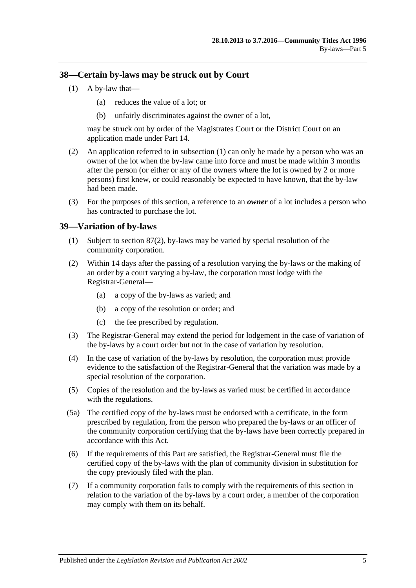### <span id="page-40-0"></span>**38—Certain by-laws may be struck out by Court**

- (1) A by-law that—
	- (a) reduces the value of a lot; or
	- (b) unfairly discriminates against the owner of a lot,

may be struck out by order of the Magistrates Court or the District Court on an application made under [Part 14.](#page-112-0)

- (2) An application referred to in [subsection](#page-40-0) (1) can only be made by a person who was an owner of the lot when the by-law came into force and must be made within 3 months after the person (or either or any of the owners where the lot is owned by 2 or more persons) first knew, or could reasonably be expected to have known, that the by-law had been made.
- (3) For the purposes of this section, a reference to an *owner* of a lot includes a person who has contracted to purchase the lot.

# **39—Variation of by-laws**

- (1) Subject to [section](#page-82-0) 87(2), by-laws may be varied by special resolution of the community corporation.
- (2) Within 14 days after the passing of a resolution varying the by-laws or the making of an order by a court varying a by-law, the corporation must lodge with the Registrar-General—
	- (a) a copy of the by-laws as varied; and
	- (b) a copy of the resolution or order; and
	- (c) the fee prescribed by regulation.
- (3) The Registrar-General may extend the period for lodgement in the case of variation of the by-laws by a court order but not in the case of variation by resolution.
- (4) In the case of variation of the by-laws by resolution, the corporation must provide evidence to the satisfaction of the Registrar-General that the variation was made by a special resolution of the corporation.
- (5) Copies of the resolution and the by-laws as varied must be certified in accordance with the regulations.
- (5a) The certified copy of the by-laws must be endorsed with a certificate, in the form prescribed by regulation, from the person who prepared the by-laws or an officer of the community corporation certifying that the by-laws have been correctly prepared in accordance with this Act.
- (6) If the requirements of this Part are satisfied, the Registrar-General must file the certified copy of the by-laws with the plan of community division in substitution for the copy previously filed with the plan.
- (7) If a community corporation fails to comply with the requirements of this section in relation to the variation of the by-laws by a court order, a member of the corporation may comply with them on its behalf.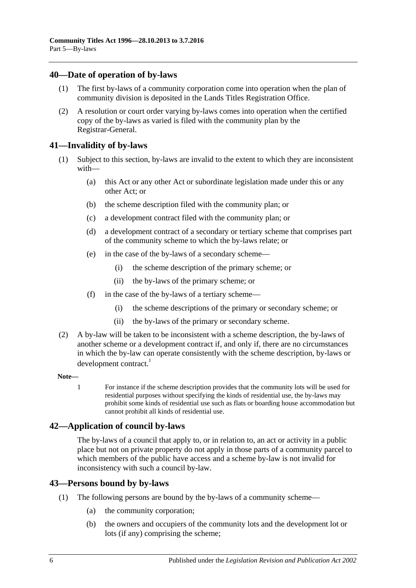# **40—Date of operation of by-laws**

- (1) The first by-laws of a community corporation come into operation when the plan of community division is deposited in the Lands Titles Registration Office.
- (2) A resolution or court order varying by-laws comes into operation when the certified copy of the by-laws as varied is filed with the community plan by the Registrar-General.

# **41—Invalidity of by-laws**

- (1) Subject to this section, by-laws are invalid to the extent to which they are inconsistent with—
	- (a) this Act or any other Act or subordinate legislation made under this or any other Act; or
	- (b) the scheme description filed with the community plan; or
	- (c) a development contract filed with the community plan; or
	- (d) a development contract of a secondary or tertiary scheme that comprises part of the community scheme to which the by-laws relate; or
	- (e) in the case of the by-laws of a secondary scheme—
		- (i) the scheme description of the primary scheme; or
		- (ii) the by-laws of the primary scheme; or
	- (f) in the case of the by-laws of a tertiary scheme—
		- (i) the scheme descriptions of the primary or secondary scheme; or
		- (ii) the by-laws of the primary or secondary scheme.
- (2) A by-law will be taken to be inconsistent with a scheme description, the by-laws of another scheme or a development contract if, and only if, there are no circumstances in which the by-law can operate consistently with the scheme description, by-laws or development contract.<sup>1</sup>

### **Note—**

1 For instance if the scheme description provides that the community lots will be used for residential purposes without specifying the kinds of residential use, the by-laws may prohibit some kinds of residential use such as flats or boarding house accommodation but cannot prohibit all kinds of residential use.

# **42—Application of council by-laws**

The by-laws of a council that apply to, or in relation to, an act or activity in a public place but not on private property do not apply in those parts of a community parcel to which members of the public have access and a scheme by-law is not invalid for inconsistency with such a council by-law.

# **43—Persons bound by by-laws**

- (1) The following persons are bound by the by-laws of a community scheme—
	- (a) the community corporation;
	- (b) the owners and occupiers of the community lots and the development lot or lots (if any) comprising the scheme;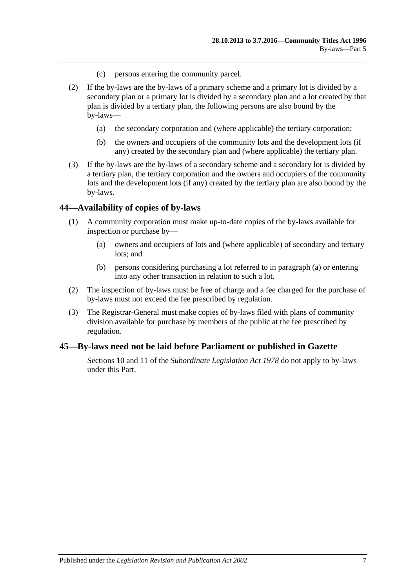- (c) persons entering the community parcel.
- (2) If the by-laws are the by-laws of a primary scheme and a primary lot is divided by a secondary plan or a primary lot is divided by a secondary plan and a lot created by that plan is divided by a tertiary plan, the following persons are also bound by the by-laws—
	- (a) the secondary corporation and (where applicable) the tertiary corporation;
	- (b) the owners and occupiers of the community lots and the development lots (if any) created by the secondary plan and (where applicable) the tertiary plan.
- (3) If the by-laws are the by-laws of a secondary scheme and a secondary lot is divided by a tertiary plan, the tertiary corporation and the owners and occupiers of the community lots and the development lots (if any) created by the tertiary plan are also bound by the by-laws.

### **44—Availability of copies of by-laws**

- <span id="page-42-0"></span>(1) A community corporation must make up-to-date copies of the by-laws available for inspection or purchase by—
	- (a) owners and occupiers of lots and (where applicable) of secondary and tertiary lots; and
	- (b) persons considering purchasing a lot referred to in [paragraph](#page-42-0) (a) or entering into any other transaction in relation to such a lot.
- (2) The inspection of by-laws must be free of charge and a fee charged for the purchase of by-laws must not exceed the fee prescribed by regulation.
- (3) The Registrar-General must make copies of by-laws filed with plans of community division available for purchase by members of the public at the fee prescribed by regulation.

### **45—By-laws need not be laid before Parliament or published in Gazette**

Sections 10 and 11 of the *[Subordinate Legislation Act](http://www.legislation.sa.gov.au/index.aspx?action=legref&type=act&legtitle=Subordinate%20Legislation%20Act%201978) 1978* do not apply to by-laws under this Part.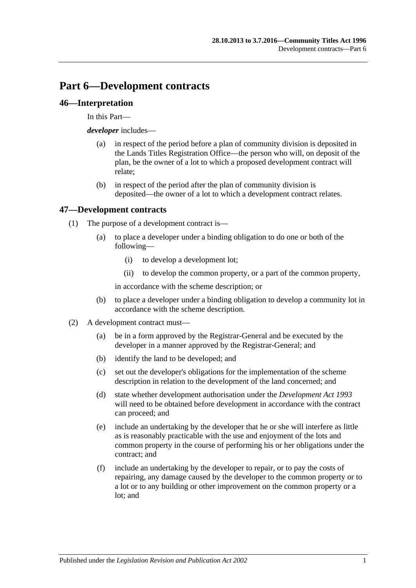# **Part 6—Development contracts**

## **46—Interpretation**

In this Part—

*developer* includes—

- (a) in respect of the period before a plan of community division is deposited in the Lands Titles Registration Office—the person who will, on deposit of the plan, be the owner of a lot to which a proposed development contract will relate;
- (b) in respect of the period after the plan of community division is deposited—the owner of a lot to which a development contract relates.

# **47—Development contracts**

- (1) The purpose of a development contract is—
	- (a) to place a developer under a binding obligation to do one or both of the following—
		- (i) to develop a development lot;
		- (ii) to develop the common property, or a part of the common property,

in accordance with the scheme description; or

- (b) to place a developer under a binding obligation to develop a community lot in accordance with the scheme description.
- (2) A development contract must—
	- (a) be in a form approved by the Registrar-General and be executed by the developer in a manner approved by the Registrar-General; and
	- (b) identify the land to be developed; and
	- (c) set out the developer's obligations for the implementation of the scheme description in relation to the development of the land concerned; and
	- (d) state whether development authorisation under the *[Development Act](http://www.legislation.sa.gov.au/index.aspx?action=legref&type=act&legtitle=Development%20Act%201993) 1993* will need to be obtained before development in accordance with the contract can proceed; and
	- (e) include an undertaking by the developer that he or she will interfere as little as is reasonably practicable with the use and enjoyment of the lots and common property in the course of performing his or her obligations under the contract; and
	- (f) include an undertaking by the developer to repair, or to pay the costs of repairing, any damage caused by the developer to the common property or to a lot or to any building or other improvement on the common property or a lot; and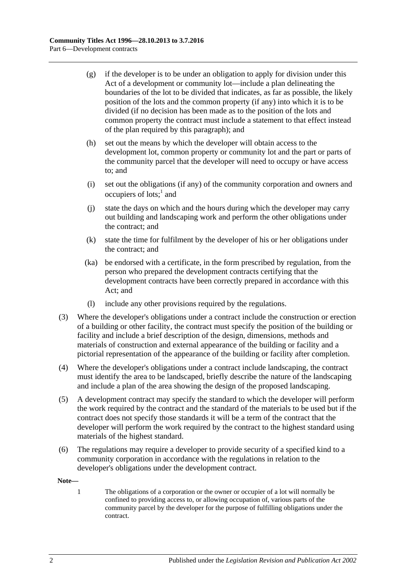- (g) if the developer is to be under an obligation to apply for division under this Act of a development or community lot—include a plan delineating the boundaries of the lot to be divided that indicates, as far as possible, the likely position of the lots and the common property (if any) into which it is to be divided (if no decision has been made as to the position of the lots and common property the contract must include a statement to that effect instead of the plan required by this paragraph); and
- (h) set out the means by which the developer will obtain access to the development lot, common property or community lot and the part or parts of the community parcel that the developer will need to occupy or have access to; and
- (i) set out the obligations (if any) of the community corporation and owners and occupiers of lots; $<sup>1</sup>$  and</sup>
- (j) state the days on which and the hours during which the developer may carry out building and landscaping work and perform the other obligations under the contract; and
- (k) state the time for fulfilment by the developer of his or her obligations under the contract; and
- (ka) be endorsed with a certificate, in the form prescribed by regulation, from the person who prepared the development contracts certifying that the development contracts have been correctly prepared in accordance with this Act; and
- (l) include any other provisions required by the regulations.
- (3) Where the developer's obligations under a contract include the construction or erection of a building or other facility, the contract must specify the position of the building or facility and include a brief description of the design, dimensions, methods and materials of construction and external appearance of the building or facility and a pictorial representation of the appearance of the building or facility after completion.
- (4) Where the developer's obligations under a contract include landscaping, the contract must identify the area to be landscaped, briefly describe the nature of the landscaping and include a plan of the area showing the design of the proposed landscaping.
- (5) A development contract may specify the standard to which the developer will perform the work required by the contract and the standard of the materials to be used but if the contract does not specify those standards it will be a term of the contract that the developer will perform the work required by the contract to the highest standard using materials of the highest standard.
- (6) The regulations may require a developer to provide security of a specified kind to a community corporation in accordance with the regulations in relation to the developer's obligations under the development contract.

#### **Note—**

1 The obligations of a corporation or the owner or occupier of a lot will normally be confined to providing access to, or allowing occupation of, various parts of the community parcel by the developer for the purpose of fulfilling obligations under the contract.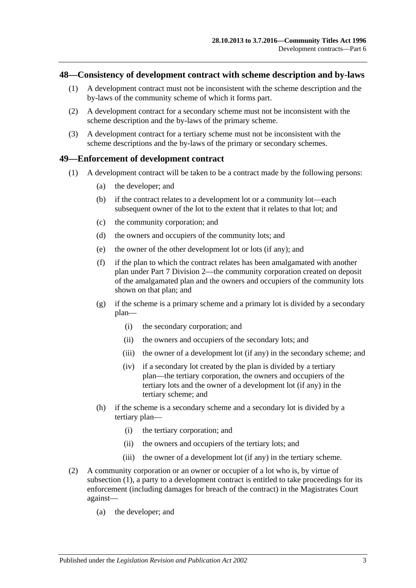### <span id="page-46-2"></span>**48—Consistency of development contract with scheme description and by-laws**

- (1) A development contract must not be inconsistent with the scheme description and the by-laws of the community scheme of which it forms part.
- (2) A development contract for a secondary scheme must not be inconsistent with the scheme description and the by-laws of the primary scheme.
- (3) A development contract for a tertiary scheme must not be inconsistent with the scheme descriptions and the by-laws of the primary or secondary schemes.

### <span id="page-46-0"></span>**49—Enforcement of development contract**

- (1) A development contract will be taken to be a contract made by the following persons:
	- (a) the developer; and
	- (b) if the contract relates to a development lot or a community lot—each subsequent owner of the lot to the extent that it relates to that lot; and
	- (c) the community corporation; and
	- (d) the owners and occupiers of the community lots; and
	- (e) the owner of the other development lot or lots (if any); and
	- (f) if the plan to which the contract relates has been amalgamated with another plan under [Part 7 Division 2—](#page-57-0)the community corporation created on deposit of the amalgamated plan and the owners and occupiers of the community lots shown on that plan; and
	- (g) if the scheme is a primary scheme and a primary lot is divided by a secondary plan—
		- (i) the secondary corporation; and
		- (ii) the owners and occupiers of the secondary lots; and
		- (iii) the owner of a development lot (if any) in the secondary scheme; and
		- (iv) if a secondary lot created by the plan is divided by a tertiary plan—the tertiary corporation, the owners and occupiers of the tertiary lots and the owner of a development lot (if any) in the tertiary scheme; and
	- (h) if the scheme is a secondary scheme and a secondary lot is divided by a tertiary plan—
		- (i) the tertiary corporation; and
		- (ii) the owners and occupiers of the tertiary lots; and
		- (iii) the owner of a development lot (if any) in the tertiary scheme.
- <span id="page-46-1"></span>(2) A community corporation or an owner or occupier of a lot who is, by virtue of [subsection](#page-46-0) (1), a party to a development contract is entitled to take proceedings for its enforcement (including damages for breach of the contract) in the Magistrates Court against—
	- (a) the developer; and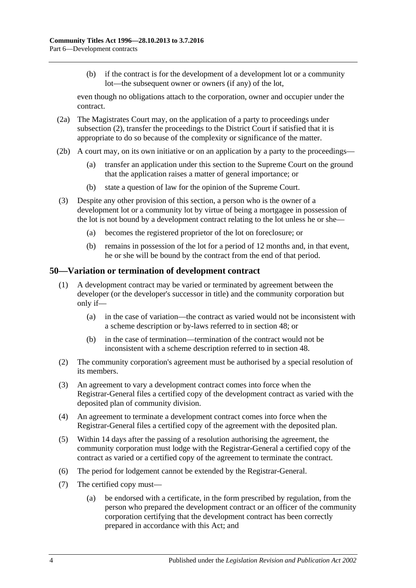(b) if the contract is for the development of a development lot or a community lot—the subsequent owner or owners (if any) of the lot,

even though no obligations attach to the corporation, owner and occupier under the contract.

- (2a) The Magistrates Court may, on the application of a party to proceedings under [subsection](#page-46-1) (2), transfer the proceedings to the District Court if satisfied that it is appropriate to do so because of the complexity or significance of the matter.
- (2b) A court may, on its own initiative or on an application by a party to the proceedings—
	- (a) transfer an application under this section to the Supreme Court on the ground that the application raises a matter of general importance; or
	- (b) state a question of law for the opinion of the Supreme Court.
- (3) Despite any other provision of this section, a person who is the owner of a development lot or a community lot by virtue of being a mortgagee in possession of the lot is not bound by a development contract relating to the lot unless he or she—
	- (a) becomes the registered proprietor of the lot on foreclosure; or
	- (b) remains in possession of the lot for a period of 12 months and, in that event, he or she will be bound by the contract from the end of that period.

### **50—Variation or termination of development contract**

- (1) A development contract may be varied or terminated by agreement between the developer (or the developer's successor in title) and the community corporation but only if—
	- (a) in the case of variation—the contract as varied would not be inconsistent with a scheme description or by-laws referred to in [section](#page-46-2) 48; or
	- (b) in the case of termination—termination of the contract would not be inconsistent with a scheme description referred to in [section](#page-46-2) 48.
- (2) The community corporation's agreement must be authorised by a special resolution of its members.
- (3) An agreement to vary a development contract comes into force when the Registrar-General files a certified copy of the development contract as varied with the deposited plan of community division.
- (4) An agreement to terminate a development contract comes into force when the Registrar-General files a certified copy of the agreement with the deposited plan.
- (5) Within 14 days after the passing of a resolution authorising the agreement, the community corporation must lodge with the Registrar-General a certified copy of the contract as varied or a certified copy of the agreement to terminate the contract.
- (6) The period for lodgement cannot be extended by the Registrar-General.
- (7) The certified copy must—
	- (a) be endorsed with a certificate, in the form prescribed by regulation, from the person who prepared the development contract or an officer of the community corporation certifying that the development contract has been correctly prepared in accordance with this Act; and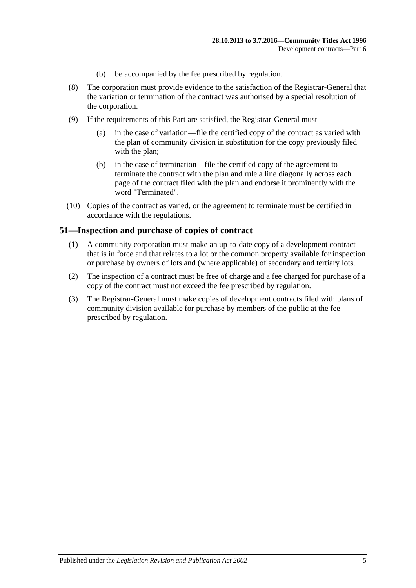- (b) be accompanied by the fee prescribed by regulation.
- (8) The corporation must provide evidence to the satisfaction of the Registrar-General that the variation or termination of the contract was authorised by a special resolution of the corporation.
- (9) If the requirements of this Part are satisfied, the Registrar-General must—
	- (a) in the case of variation—file the certified copy of the contract as varied with the plan of community division in substitution for the copy previously filed with the plan;
	- (b) in the case of termination—file the certified copy of the agreement to terminate the contract with the plan and rule a line diagonally across each page of the contract filed with the plan and endorse it prominently with the word "Terminated".
- (10) Copies of the contract as varied, or the agreement to terminate must be certified in accordance with the regulations.

### **51—Inspection and purchase of copies of contract**

- (1) A community corporation must make an up-to-date copy of a development contract that is in force and that relates to a lot or the common property available for inspection or purchase by owners of lots and (where applicable) of secondary and tertiary lots.
- (2) The inspection of a contract must be free of charge and a fee charged for purchase of a copy of the contract must not exceed the fee prescribed by regulation.
- (3) The Registrar-General must make copies of development contracts filed with plans of community division available for purchase by members of the public at the fee prescribed by regulation.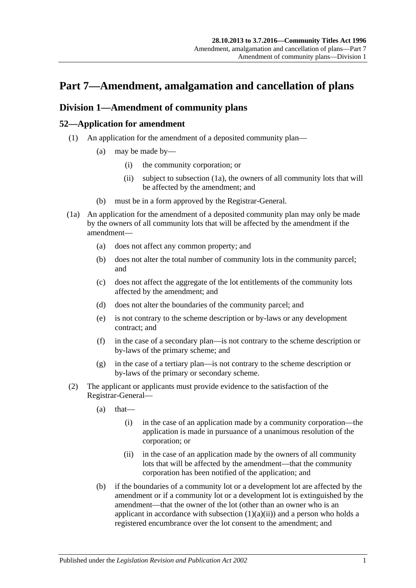# **Part 7—Amendment, amalgamation and cancellation of plans**

# <span id="page-50-4"></span>**Division 1—Amendment of community plans**

# <span id="page-50-3"></span>**52—Application for amendment**

- <span id="page-50-1"></span>(1) An application for the amendment of a deposited community plan—
	- (a) may be made by—
		- (i) the community corporation; or
		- (ii) subject to [subsection](#page-50-0) (1a), the owners of all community lots that will be affected by the amendment; and
	- (b) must be in a form approved by the Registrar-General.
- <span id="page-50-0"></span>(1a) An application for the amendment of a deposited community plan may only be made by the owners of all community lots that will be affected by the amendment if the amendment—
	- (a) does not affect any common property; and
	- (b) does not alter the total number of community lots in the community parcel; and
	- (c) does not affect the aggregate of the lot entitlements of the community lots affected by the amendment; and
	- (d) does not alter the boundaries of the community parcel; and
	- (e) is not contrary to the scheme description or by-laws or any development contract; and
	- (f) in the case of a secondary plan—is not contrary to the scheme description or by-laws of the primary scheme; and
	- (g) in the case of a tertiary plan—is not contrary to the scheme description or by-laws of the primary or secondary scheme.
- <span id="page-50-2"></span>(2) The applicant or applicants must provide evidence to the satisfaction of the Registrar-General—
	- $(a)$  that—
		- (i) in the case of an application made by a community corporation—the application is made in pursuance of a unanimous resolution of the corporation; or
		- (ii) in the case of an application made by the owners of all community lots that will be affected by the amendment—that the community corporation has been notified of the application; and
	- (b) if the boundaries of a community lot or a development lot are affected by the amendment or if a community lot or a development lot is extinguished by the amendment—that the owner of the lot (other than an owner who is an applicant in accordance with [subsection](#page-50-1)  $(1)(a)(ii)$  and a person who holds a registered encumbrance over the lot consent to the amendment; and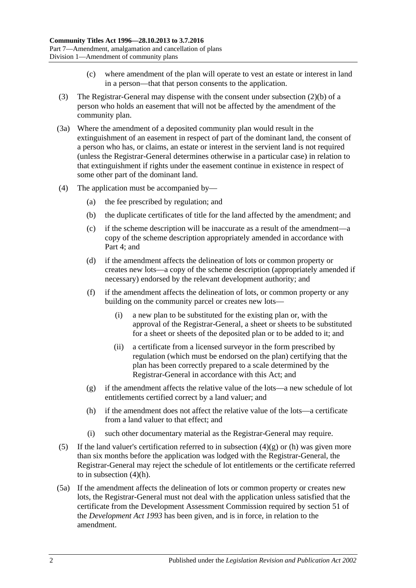- (c) where amendment of the plan will operate to vest an estate or interest in land in a person—that that person consents to the application.
- (3) The Registrar-General may dispense with the consent under [subsection](#page-50-2) (2)(b) of a person who holds an easement that will not be affected by the amendment of the community plan.
- (3a) Where the amendment of a deposited community plan would result in the extinguishment of an easement in respect of part of the dominant land, the consent of a person who has, or claims, an estate or interest in the servient land is not required (unless the Registrar-General determines otherwise in a particular case) in relation to that extinguishment if rights under the easement continue in existence in respect of some other part of the dominant land.
- (4) The application must be accompanied by—
	- (a) the fee prescribed by regulation; and
	- (b) the duplicate certificates of title for the land affected by the amendment; and
	- (c) if the scheme description will be inaccurate as a result of the amendment—a copy of the scheme description appropriately amended in accordance with [Part 4;](#page-32-0) and
	- (d) if the amendment affects the delineation of lots or common property or creates new lots—a copy of the scheme description (appropriately amended if necessary) endorsed by the relevant development authority; and
	- (f) if the amendment affects the delineation of lots, or common property or any building on the community parcel or creates new lots—
		- (i) a new plan to be substituted for the existing plan or, with the approval of the Registrar-General, a sheet or sheets to be substituted for a sheet or sheets of the deposited plan or to be added to it; and
		- (ii) a certificate from a licensed surveyor in the form prescribed by regulation (which must be endorsed on the plan) certifying that the plan has been correctly prepared to a scale determined by the Registrar-General in accordance with this Act; and
	- (g) if the amendment affects the relative value of the lots—a new schedule of lot entitlements certified correct by a land valuer; and
	- (h) if the amendment does not affect the relative value of the lots—a certificate from a land valuer to that effect; and
	- (i) such other documentary material as the Registrar-General may require.
- <span id="page-51-1"></span><span id="page-51-0"></span>(5) If the land valuer's certification referred to in [subsection](#page-51-0)  $(4)(g)$  or [\(h\)](#page-51-1) was given more than six months before the application was lodged with the Registrar-General, the Registrar-General may reject the schedule of lot entitlements or the certificate referred to in [subsection](#page-51-1) (4)(h).
- (5a) If the amendment affects the delineation of lots or common property or creates new lots, the Registrar-General must not deal with the application unless satisfied that the certificate from the Development Assessment Commission required by section 51 of the *[Development Act](http://www.legislation.sa.gov.au/index.aspx?action=legref&type=act&legtitle=Development%20Act%201993) 1993* has been given, and is in force, in relation to the amendment.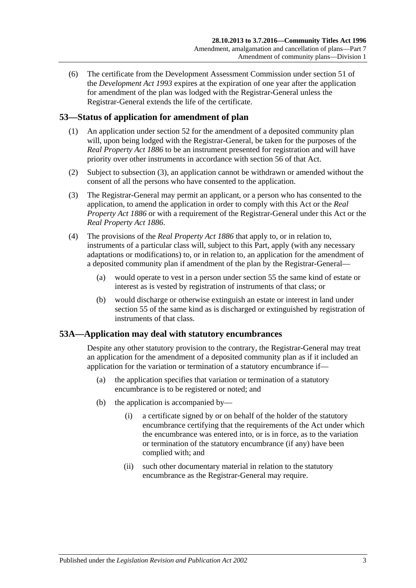(6) The certificate from the Development Assessment Commission under section 51 of the *[Development Act](http://www.legislation.sa.gov.au/index.aspx?action=legref&type=act&legtitle=Development%20Act%201993) 1993* expires at the expiration of one year after the application for amendment of the plan was lodged with the Registrar-General unless the Registrar-General extends the life of the certificate.

# **53—Status of application for amendment of plan**

- (1) An application under [section](#page-50-3) 52 for the amendment of a deposited community plan will, upon being lodged with the Registrar-General, be taken for the purposes of the *[Real Property Act](http://www.legislation.sa.gov.au/index.aspx?action=legref&type=act&legtitle=Real%20Property%20Act%201886) 1886* to be an instrument presented for registration and will have priority over other instruments in accordance with section 56 of that Act.
- (2) Subject to [subsection](#page-52-0) (3), an application cannot be withdrawn or amended without the consent of all the persons who have consented to the application.
- <span id="page-52-0"></span>(3) The Registrar-General may permit an applicant, or a person who has consented to the application, to amend the application in order to comply with this Act or the *[Real](http://www.legislation.sa.gov.au/index.aspx?action=legref&type=act&legtitle=Real%20Property%20Act%201886)  [Property Act](http://www.legislation.sa.gov.au/index.aspx?action=legref&type=act&legtitle=Real%20Property%20Act%201886) 1886* or with a requirement of the Registrar-General under this Act or the *[Real Property Act](http://www.legislation.sa.gov.au/index.aspx?action=legref&type=act&legtitle=Real%20Property%20Act%201886) 1886*.
- (4) The provisions of the *[Real Property Act](http://www.legislation.sa.gov.au/index.aspx?action=legref&type=act&legtitle=Real%20Property%20Act%201886) 1886* that apply to, or in relation to, instruments of a particular class will, subject to this Part, apply (with any necessary adaptations or modifications) to, or in relation to, an application for the amendment of a deposited community plan if amendment of the plan by the Registrar-General—
	- (a) would operate to vest in a person under [section](#page-53-0) 55 the same kind of estate or interest as is vested by registration of instruments of that class; or
	- (b) would discharge or otherwise extinguish an estate or interest in land under [section](#page-53-0) 55 of the same kind as is discharged or extinguished by registration of instruments of that class.

# **53A—Application may deal with statutory encumbrances**

Despite any other statutory provision to the contrary, the Registrar-General may treat an application for the amendment of a deposited community plan as if it included an application for the variation or termination of a statutory encumbrance if—

- (a) the application specifies that variation or termination of a statutory encumbrance is to be registered or noted; and
- (b) the application is accompanied by—
	- (i) a certificate signed by or on behalf of the holder of the statutory encumbrance certifying that the requirements of the Act under which the encumbrance was entered into, or is in force, as to the variation or termination of the statutory encumbrance (if any) have been complied with; and
	- (ii) such other documentary material in relation to the statutory encumbrance as the Registrar-General may require.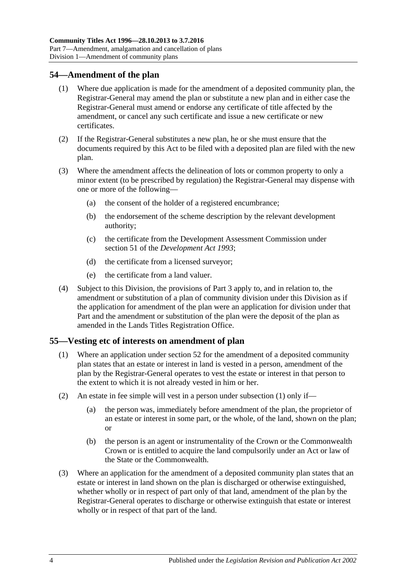# **54—Amendment of the plan**

- (1) Where due application is made for the amendment of a deposited community plan, the Registrar-General may amend the plan or substitute a new plan and in either case the Registrar-General must amend or endorse any certificate of title affected by the amendment, or cancel any such certificate and issue a new certificate or new certificates.
- (2) If the Registrar-General substitutes a new plan, he or she must ensure that the documents required by this Act to be filed with a deposited plan are filed with the new plan.
- (3) Where the amendment affects the delineation of lots or common property to only a minor extent (to be prescribed by regulation) the Registrar-General may dispense with one or more of the following—
	- (a) the consent of the holder of a registered encumbrance;
	- (b) the endorsement of the scheme description by the relevant development authority;
	- (c) the certificate from the Development Assessment Commission under section 51 of the *[Development Act](http://www.legislation.sa.gov.au/index.aspx?action=legref&type=act&legtitle=Development%20Act%201993) 1993*;
	- (d) the certificate from a licensed surveyor;
	- (e) the certificate from a land valuer.
- (4) Subject to this Division, the provisions of [Part 3](#page-18-0) apply to, and in relation to, the amendment or substitution of a plan of community division under this Division as if the application for amendment of the plan were an application for division under that Part and the amendment or substitution of the plan were the deposit of the plan as amended in the Lands Titles Registration Office.

### <span id="page-53-1"></span><span id="page-53-0"></span>**55—Vesting etc of interests on amendment of plan**

- (1) Where an application under [section](#page-50-3) 52 for the amendment of a deposited community plan states that an estate or interest in land is vested in a person, amendment of the plan by the Registrar-General operates to vest the estate or interest in that person to the extent to which it is not already vested in him or her.
- (2) An estate in fee simple will vest in a person under [subsection](#page-53-1) (1) only if—
	- (a) the person was, immediately before amendment of the plan, the proprietor of an estate or interest in some part, or the whole, of the land, shown on the plan; or
	- (b) the person is an agent or instrumentality of the Crown or the Commonwealth Crown or is entitled to acquire the land compulsorily under an Act or law of the State or the Commonwealth.
- (3) Where an application for the amendment of a deposited community plan states that an estate or interest in land shown on the plan is discharged or otherwise extinguished, whether wholly or in respect of part only of that land, amendment of the plan by the Registrar-General operates to discharge or otherwise extinguish that estate or interest wholly or in respect of that part of the land.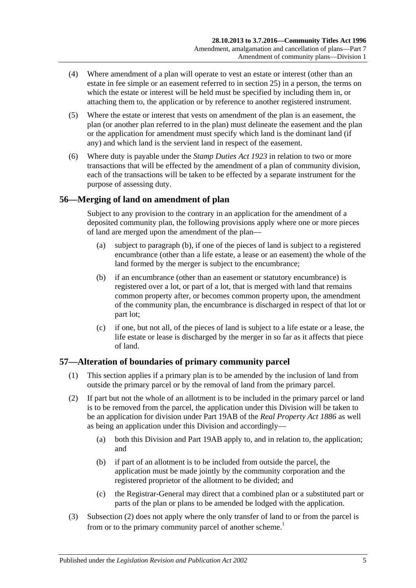- (4) Where amendment of a plan will operate to vest an estate or interest (other than an estate in fee simple or an easement referred to in [section](#page-27-0) 25) in a person, the terms on which the estate or interest will be held must be specified by including them in, or attaching them to, the application or by reference to another registered instrument.
- (5) Where the estate or interest that vests on amendment of the plan is an easement, the plan (or another plan referred to in the plan) must delineate the easement and the plan or the application for amendment must specify which land is the dominant land (if any) and which land is the servient land in respect of the easement.
- (6) Where duty is payable under the *[Stamp Duties Act](http://www.legislation.sa.gov.au/index.aspx?action=legref&type=act&legtitle=Stamp%20Duties%20Act%201923) 1923* in relation to two or more transactions that will be effected by the amendment of a plan of community division, each of the transactions will be taken to be effected by a separate instrument for the purpose of assessing duty.

# **56—Merging of land on amendment of plan**

Subject to any provision to the contrary in an application for the amendment of a deposited community plan, the following provisions apply where one or more pieces of land are merged upon the amendment of the plan—

- (a) subject to [paragraph](#page-54-0) (b), if one of the pieces of land is subject to a registered encumbrance (other than a life estate, a lease or an easement) the whole of the land formed by the merger is subject to the encumbrance;
- <span id="page-54-0"></span>(b) if an encumbrance (other than an easement or statutory encumbrance) is registered over a lot, or part of a lot, that is merged with land that remains common property after, or becomes common property upon, the amendment of the community plan, the encumbrance is discharged in respect of that lot or part lot;
- (c) if one, but not all, of the pieces of land is subject to a life estate or a lease, the life estate or lease is discharged by the merger in so far as it affects that piece of land.

# **57—Alteration of boundaries of primary community parcel**

- (1) This section applies if a primary plan is to be amended by the inclusion of land from outside the primary parcel or by the removal of land from the primary parcel.
- <span id="page-54-1"></span>(2) If part but not the whole of an allotment is to be included in the primary parcel or land is to be removed from the parcel, the application under this Division will be taken to be an application for division under Part 19AB of the *[Real Property Act](http://www.legislation.sa.gov.au/index.aspx?action=legref&type=act&legtitle=Real%20Property%20Act%201886) 1886* as well as being an application under this Division and accordingly—
	- (a) both this Division and Part 19AB apply to, and in relation to, the application; and
	- (b) if part of an allotment is to be included from outside the parcel, the application must be made jointly by the community corporation and the registered proprietor of the allotment to be divided; and
	- (c) the Registrar-General may direct that a combined plan or a substituted part or parts of the plan or plans to be amended be lodged with the application.
- (3) [Subsection](#page-54-1) (2) does not apply where the only transfer of land to or from the parcel is from or to the primary community parcel of another scheme.<sup>1</sup>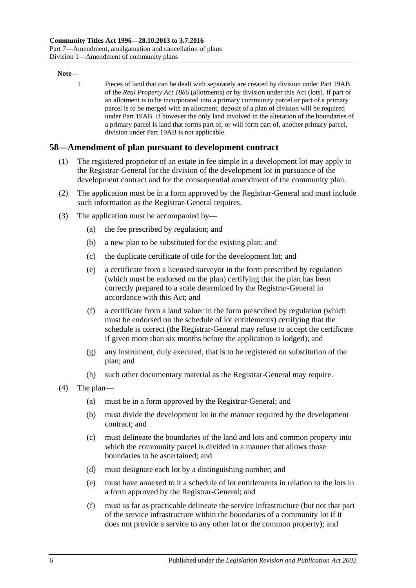#### **Note—**

1 Pieces of land that can be dealt with separately are created by division under Part 19AB of the *[Real Property Act](http://www.legislation.sa.gov.au/index.aspx?action=legref&type=act&legtitle=Real%20Property%20Act%201886) 1886* (allotments) or by division under this Act (lots). If part of an allotment is to be incorporated into a primary community parcel or part of a primary parcel is to be merged with an allotment, deposit of a plan of division will be required under Part 19AB. If however the only land involved in the alteration of the boundaries of a primary parcel is land that forms part of, or will form part of, another primary parcel, division under Part 19AB is not applicable.

### **58—Amendment of plan pursuant to development contract**

- (1) The registered proprietor of an estate in fee simple in a development lot may apply to the Registrar-General for the division of the development lot in pursuance of the development contract and for the consequential amendment of the community plan.
- (2) The application must be in a form approved by the Registrar-General and must include such information as the Registrar-General requires.
- (3) The application must be accompanied by—
	- (a) the fee prescribed by regulation; and
	- (b) a new plan to be substituted for the existing plan; and
	- (c) the duplicate certificate of title for the development lot; and
	- (e) a certificate from a licensed surveyor in the form prescribed by regulation (which must be endorsed on the plan) certifying that the plan has been correctly prepared to a scale determined by the Registrar-General in accordance with this Act; and
	- (f) a certificate from a land valuer in the form prescribed by regulation (which must be endorsed on the schedule of lot entitlements) certifying that the schedule is correct (the Registrar-General may refuse to accept the certificate if given more than six months before the application is lodged); and
	- (g) any instrument, duly executed, that is to be registered on substitution of the plan; and
	- (h) such other documentary material as the Registrar-General may require.
- (4) The plan—
	- (a) must be in a form approved by the Registrar-General; and
	- (b) must divide the development lot in the manner required by the development contract; and
	- (c) must delineate the boundaries of the land and lots and common property into which the community parcel is divided in a manner that allows those boundaries to be ascertained; and
	- (d) must designate each lot by a distinguishing number; and
	- (e) must have annexed to it a schedule of lot entitlements in relation to the lots in a form approved by the Registrar-General; and
	- (f) must as far as practicable delineate the service infrastructure (but not that part of the service infrastructure within the boundaries of a community lot if it does not provide a service to any other lot or the common property); and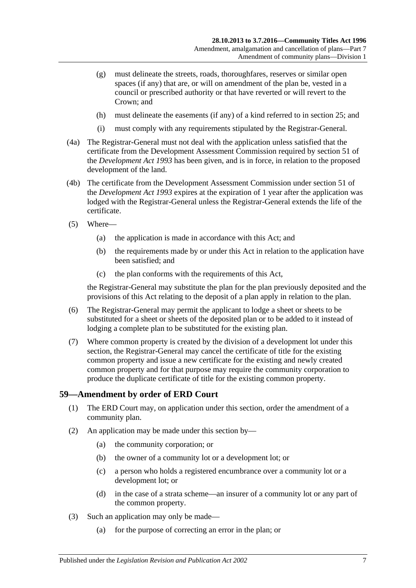- (g) must delineate the streets, roads, thoroughfares, reserves or similar open spaces (if any) that are, or will on amendment of the plan be, vested in a council or prescribed authority or that have reverted or will revert to the Crown; and
- (h) must delineate the easements (if any) of a kind referred to in [section](#page-27-0) 25; and
- (i) must comply with any requirements stipulated by the Registrar-General.
- (4a) The Registrar-General must not deal with the application unless satisfied that the certificate from the Development Assessment Commission required by section 51 of the *[Development Act](http://www.legislation.sa.gov.au/index.aspx?action=legref&type=act&legtitle=Development%20Act%201993) 1993* has been given, and is in force, in relation to the proposed development of the land.
- (4b) The certificate from the Development Assessment Commission under section 51 of the *[Development Act](http://www.legislation.sa.gov.au/index.aspx?action=legref&type=act&legtitle=Development%20Act%201993) 1993* expires at the expiration of 1 year after the application was lodged with the Registrar-General unless the Registrar-General extends the life of the certificate.
- (5) Where—
	- (a) the application is made in accordance with this Act; and
	- (b) the requirements made by or under this Act in relation to the application have been satisfied; and
	- (c) the plan conforms with the requirements of this Act,

the Registrar-General may substitute the plan for the plan previously deposited and the provisions of this Act relating to the deposit of a plan apply in relation to the plan.

- (6) The Registrar-General may permit the applicant to lodge a sheet or sheets to be substituted for a sheet or sheets of the deposited plan or to be added to it instead of lodging a complete plan to be substituted for the existing plan.
- (7) Where common property is created by the division of a development lot under this section, the Registrar-General may cancel the certificate of title for the existing common property and issue a new certificate for the existing and newly created common property and for that purpose may require the community corporation to produce the duplicate certificate of title for the existing common property.

### **59—Amendment by order of ERD Court**

- (1) The ERD Court may, on application under this section, order the amendment of a community plan.
- (2) An application may be made under this section by—
	- (a) the community corporation; or
	- (b) the owner of a community lot or a development lot; or
	- (c) a person who holds a registered encumbrance over a community lot or a development lot; or
	- (d) in the case of a strata scheme—an insurer of a community lot or any part of the common property.
- (3) Such an application may only be made—
	- (a) for the purpose of correcting an error in the plan; or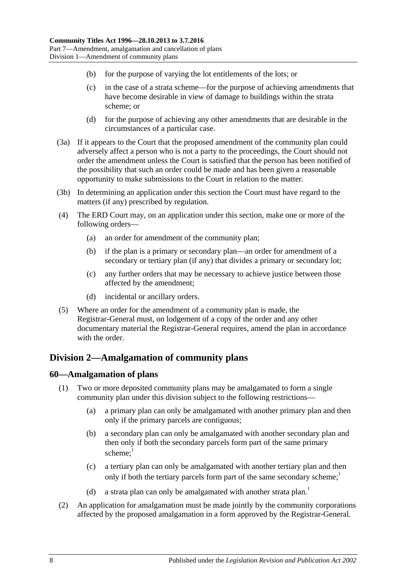- (b) for the purpose of varying the lot entitlements of the lots; or
- (c) in the case of a strata scheme—for the purpose of achieving amendments that have become desirable in view of damage to buildings within the strata scheme; or
- (d) for the purpose of achieving any other amendments that are desirable in the circumstances of a particular case.
- (3a) If it appears to the Court that the proposed amendment of the community plan could adversely affect a person who is not a party to the proceedings, the Court should not order the amendment unless the Court is satisfied that the person has been notified of the possibility that such an order could be made and has been given a reasonable opportunity to make submissions to the Court in relation to the matter.
- (3b) In determining an application under this section the Court must have regard to the matters (if any) prescribed by regulation.
- (4) The ERD Court may, on an application under this section, make one or more of the following orders—
	- (a) an order for amendment of the community plan;
	- (b) if the plan is a primary or secondary plan—an order for amendment of a secondary or tertiary plan (if any) that divides a primary or secondary lot;
	- (c) any further orders that may be necessary to achieve justice between those affected by the amendment;
	- (d) incidental or ancillary orders.
- (5) Where an order for the amendment of a community plan is made, the Registrar-General must, on lodgement of a copy of the order and any other documentary material the Registrar-General requires, amend the plan in accordance with the order.

# <span id="page-57-0"></span>**Division 2—Amalgamation of community plans**

# **60—Amalgamation of plans**

- (1) Two or more deposited community plans may be amalgamated to form a single community plan under this division subject to the following restrictions—
	- (a) a primary plan can only be amalgamated with another primary plan and then only if the primary parcels are contiguous;
	- (b) a secondary plan can only be amalgamated with another secondary plan and then only if both the secondary parcels form part of the same primary scheme: $1$
	- (c) a tertiary plan can only be amalgamated with another tertiary plan and then only if both the tertiary parcels form part of the same secondary scheme;
	- (d) a strata plan can only be amalgamated with another strata plan.<sup>1</sup>
- (2) An application for amalgamation must be made jointly by the community corporations affected by the proposed amalgamation in a form approved by the Registrar-General.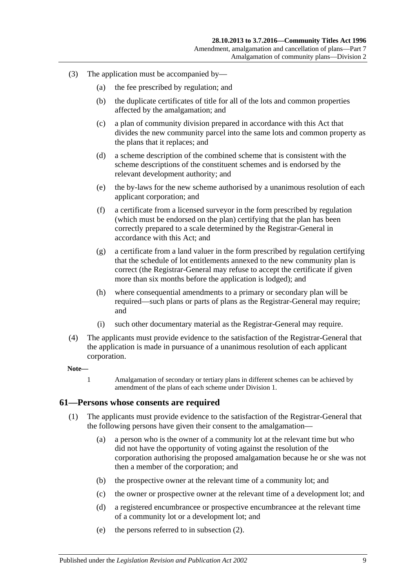- (3) The application must be accompanied by—
	- (a) the fee prescribed by regulation; and
	- (b) the duplicate certificates of title for all of the lots and common properties affected by the amalgamation; and
	- (c) a plan of community division prepared in accordance with this Act that divides the new community parcel into the same lots and common property as the plans that it replaces; and
	- (d) a scheme description of the combined scheme that is consistent with the scheme descriptions of the constituent schemes and is endorsed by the relevant development authority; and
	- (e) the by-laws for the new scheme authorised by a unanimous resolution of each applicant corporation; and
	- (f) a certificate from a licensed surveyor in the form prescribed by regulation (which must be endorsed on the plan) certifying that the plan has been correctly prepared to a scale determined by the Registrar-General in accordance with this Act; and
	- (g) a certificate from a land valuer in the form prescribed by regulation certifying that the schedule of lot entitlements annexed to the new community plan is correct (the Registrar-General may refuse to accept the certificate if given more than six months before the application is lodged); and
	- (h) where consequential amendments to a primary or secondary plan will be required—such plans or parts of plans as the Registrar-General may require; and
	- (i) such other documentary material as the Registrar-General may require.
- (4) The applicants must provide evidence to the satisfaction of the Registrar-General that the application is made in pursuance of a unanimous resolution of each applicant corporation.

#### **Note—**

1 Amalgamation of secondary or tertiary plans in different schemes can be achieved by amendment of the plans of each scheme under [Division 1.](#page-50-4)

#### **61—Persons whose consents are required**

- (1) The applicants must provide evidence to the satisfaction of the Registrar-General that the following persons have given their consent to the amalgamation—
	- (a) a person who is the owner of a community lot at the relevant time but who did not have the opportunity of voting against the resolution of the corporation authorising the proposed amalgamation because he or she was not then a member of the corporation; and
	- (b) the prospective owner at the relevant time of a community lot; and
	- (c) the owner or prospective owner at the relevant time of a development lot; and
	- (d) a registered encumbrancee or prospective encumbrancee at the relevant time of a community lot or a development lot; and
	- (e) the persons referred to in [subsection](#page-59-0) (2).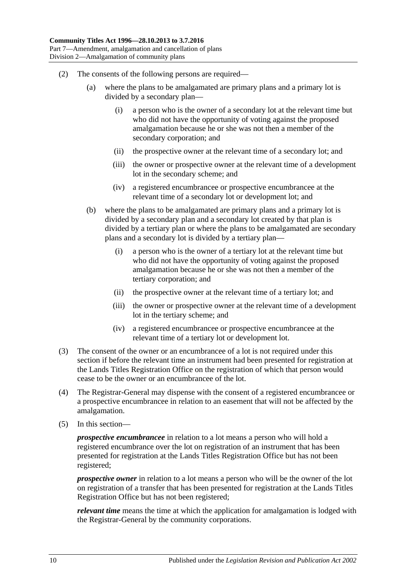- <span id="page-59-0"></span>(2) The consents of the following persons are required—
	- (a) where the plans to be amalgamated are primary plans and a primary lot is divided by a secondary plan—
		- (i) a person who is the owner of a secondary lot at the relevant time but who did not have the opportunity of voting against the proposed amalgamation because he or she was not then a member of the secondary corporation; and
		- (ii) the prospective owner at the relevant time of a secondary lot; and
		- (iii) the owner or prospective owner at the relevant time of a development lot in the secondary scheme; and
		- (iv) a registered encumbrancee or prospective encumbrancee at the relevant time of a secondary lot or development lot; and
	- (b) where the plans to be amalgamated are primary plans and a primary lot is divided by a secondary plan and a secondary lot created by that plan is divided by a tertiary plan or where the plans to be amalgamated are secondary plans and a secondary lot is divided by a tertiary plan—
		- (i) a person who is the owner of a tertiary lot at the relevant time but who did not have the opportunity of voting against the proposed amalgamation because he or she was not then a member of the tertiary corporation; and
		- (ii) the prospective owner at the relevant time of a tertiary lot; and
		- (iii) the owner or prospective owner at the relevant time of a development lot in the tertiary scheme; and
		- (iv) a registered encumbrancee or prospective encumbrancee at the relevant time of a tertiary lot or development lot.
- (3) The consent of the owner or an encumbrancee of a lot is not required under this section if before the relevant time an instrument had been presented for registration at the Lands Titles Registration Office on the registration of which that person would cease to be the owner or an encumbrancee of the lot.
- (4) The Registrar-General may dispense with the consent of a registered encumbrancee or a prospective encumbrancee in relation to an easement that will not be affected by the amalgamation.
- (5) In this section—

*prospective encumbrancee* in relation to a lot means a person who will hold a registered encumbrance over the lot on registration of an instrument that has been presented for registration at the Lands Titles Registration Office but has not been registered;

*prospective owner* in relation to a lot means a person who will be the owner of the lot on registration of a transfer that has been presented for registration at the Lands Titles Registration Office but has not been registered;

*relevant time* means the time at which the application for amalgamation is lodged with the Registrar-General by the community corporations.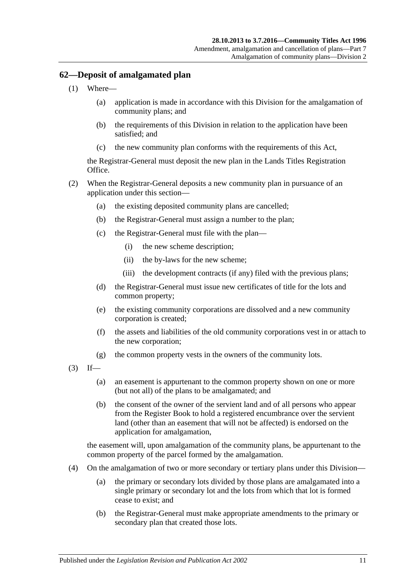# **62—Deposit of amalgamated plan**

- (1) Where—
	- (a) application is made in accordance with this Division for the amalgamation of community plans; and
	- (b) the requirements of this Division in relation to the application have been satisfied; and
	- (c) the new community plan conforms with the requirements of this Act,

the Registrar-General must deposit the new plan in the Lands Titles Registration Office.

- (2) When the Registrar-General deposits a new community plan in pursuance of an application under this section—
	- (a) the existing deposited community plans are cancelled;
	- (b) the Registrar-General must assign a number to the plan;
	- (c) the Registrar-General must file with the plan—
		- (i) the new scheme description;
		- (ii) the by-laws for the new scheme;
		- (iii) the development contracts (if any) filed with the previous plans;
	- (d) the Registrar-General must issue new certificates of title for the lots and common property;
	- (e) the existing community corporations are dissolved and a new community corporation is created;
	- (f) the assets and liabilities of the old community corporations vest in or attach to the new corporation;
	- (g) the common property vests in the owners of the community lots.
- $(3)$  If—
	- (a) an easement is appurtenant to the common property shown on one or more (but not all) of the plans to be amalgamated; and
	- (b) the consent of the owner of the servient land and of all persons who appear from the Register Book to hold a registered encumbrance over the servient land (other than an easement that will not be affected) is endorsed on the application for amalgamation,

the easement will, upon amalgamation of the community plans, be appurtenant to the common property of the parcel formed by the amalgamation.

- (4) On the amalgamation of two or more secondary or tertiary plans under this Division—
	- (a) the primary or secondary lots divided by those plans are amalgamated into a single primary or secondary lot and the lots from which that lot is formed cease to exist; and
	- (b) the Registrar-General must make appropriate amendments to the primary or secondary plan that created those lots.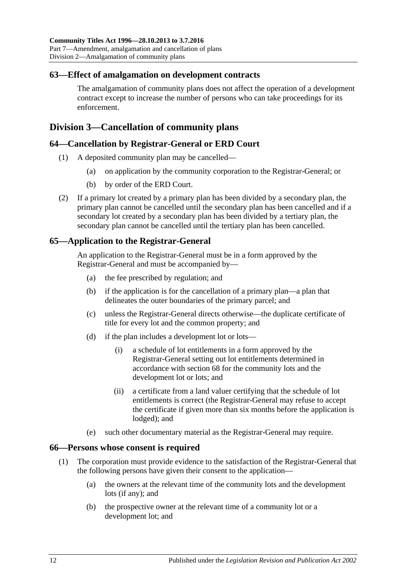## **63—Effect of amalgamation on development contracts**

The amalgamation of community plans does not affect the operation of a development contract except to increase the number of persons who can take proceedings for its enforcement.

# <span id="page-61-1"></span>**Division 3—Cancellation of community plans**

### **64—Cancellation by Registrar-General or ERD Court**

- (1) A deposited community plan may be cancelled—
	- (a) on application by the community corporation to the Registrar-General; or
	- (b) by order of the ERD Court.
- (2) If a primary lot created by a primary plan has been divided by a secondary plan, the primary plan cannot be cancelled until the secondary plan has been cancelled and if a secondary lot created by a secondary plan has been divided by a tertiary plan, the secondary plan cannot be cancelled until the tertiary plan has been cancelled.

# **65—Application to the Registrar-General**

An application to the Registrar-General must be in a form approved by the Registrar-General and must be accompanied by—

- (a) the fee prescribed by regulation; and
- (b) if the application is for the cancellation of a primary plan—a plan that delineates the outer boundaries of the primary parcel; and
- (c) unless the Registrar-General directs otherwise—the duplicate certificate of title for every lot and the common property; and
- <span id="page-61-0"></span>(d) if the plan includes a development lot or lots—
	- (i) a schedule of lot entitlements in a form approved by the Registrar-General setting out lot entitlements determined in accordance with [section](#page-63-0) 68 for the community lots and the development lot or lots; and
	- (ii) a certificate from a land valuer certifying that the schedule of lot entitlements is correct (the Registrar-General may refuse to accept the certificate if given more than six months before the application is lodged); and
- (e) such other documentary material as the Registrar-General may require.

### **66—Persons whose consent is required**

- (1) The corporation must provide evidence to the satisfaction of the Registrar-General that the following persons have given their consent to the application—
	- (a) the owners at the relevant time of the community lots and the development lots (if any); and
	- (b) the prospective owner at the relevant time of a community lot or a development lot; and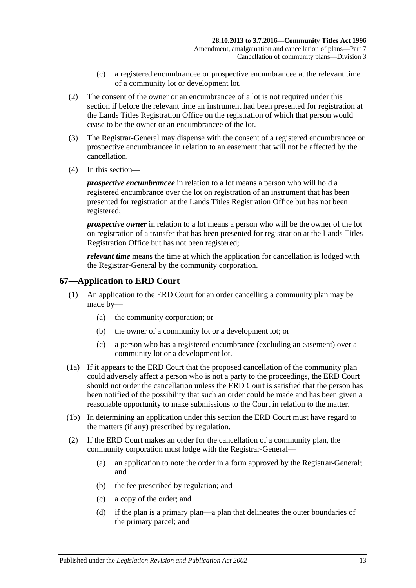- (c) a registered encumbrancee or prospective encumbrancee at the relevant time of a community lot or development lot.
- (2) The consent of the owner or an encumbrancee of a lot is not required under this section if before the relevant time an instrument had been presented for registration at the Lands Titles Registration Office on the registration of which that person would cease to be the owner or an encumbrancee of the lot.
- (3) The Registrar-General may dispense with the consent of a registered encumbrancee or prospective encumbrancee in relation to an easement that will not be affected by the cancellation.
- (4) In this section—

*prospective encumbrancee* in relation to a lot means a person who will hold a registered encumbrance over the lot on registration of an instrument that has been presented for registration at the Lands Titles Registration Office but has not been registered;

*prospective owner* in relation to a lot means a person who will be the owner of the lot on registration of a transfer that has been presented for registration at the Lands Titles Registration Office but has not been registered;

*relevant time* means the time at which the application for cancellation is lodged with the Registrar-General by the community corporation.

# **67—Application to ERD Court**

- (1) An application to the ERD Court for an order cancelling a community plan may be made by—
	- (a) the community corporation; or
	- (b) the owner of a community lot or a development lot; or
	- (c) a person who has a registered encumbrance (excluding an easement) over a community lot or a development lot.
- (1a) If it appears to the ERD Court that the proposed cancellation of the community plan could adversely affect a person who is not a party to the proceedings, the ERD Court should not order the cancellation unless the ERD Court is satisfied that the person has been notified of the possibility that such an order could be made and has been given a reasonable opportunity to make submissions to the Court in relation to the matter.
- (1b) In determining an application under this section the ERD Court must have regard to the matters (if any) prescribed by regulation.
- (2) If the ERD Court makes an order for the cancellation of a community plan, the community corporation must lodge with the Registrar-General—
	- (a) an application to note the order in a form approved by the Registrar-General; and
	- (b) the fee prescribed by regulation; and
	- (c) a copy of the order; and
	- (d) if the plan is a primary plan—a plan that delineates the outer boundaries of the primary parcel; and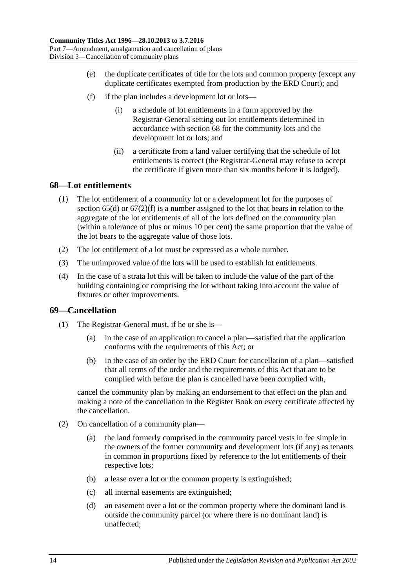- (e) the duplicate certificates of title for the lots and common property (except any duplicate certificates exempted from production by the ERD Court); and
- <span id="page-63-1"></span>(f) if the plan includes a development lot or lots—
	- (i) a schedule of lot entitlements in a form approved by the Registrar-General setting out lot entitlements determined in accordance with [section](#page-63-0) 68 for the community lots and the development lot or lots; and
	- (ii) a certificate from a land valuer certifying that the schedule of lot entitlements is correct (the Registrar-General may refuse to accept the certificate if given more than six months before it is lodged).

### <span id="page-63-0"></span>**68—Lot entitlements**

- (1) The lot entitlement of a community lot or a development lot for the purposes of [section](#page-61-0) 65(d) or [67\(2\)\(f\)](#page-63-1) is a number assigned to the lot that bears in relation to the aggregate of the lot entitlements of all of the lots defined on the community plan (within a tolerance of plus or minus 10 per cent) the same proportion that the value of the lot bears to the aggregate value of those lots.
- (2) The lot entitlement of a lot must be expressed as a whole number.
- (3) The unimproved value of the lots will be used to establish lot entitlements.
- (4) In the case of a strata lot this will be taken to include the value of the part of the building containing or comprising the lot without taking into account the value of fixtures or other improvements.

# **69—Cancellation**

- (1) The Registrar-General must, if he or she is—
	- (a) in the case of an application to cancel a plan—satisfied that the application conforms with the requirements of this Act; or
	- (b) in the case of an order by the ERD Court for cancellation of a plan—satisfied that all terms of the order and the requirements of this Act that are to be complied with before the plan is cancelled have been complied with,

cancel the community plan by making an endorsement to that effect on the plan and making a note of the cancellation in the Register Book on every certificate affected by the cancellation.

- <span id="page-63-3"></span><span id="page-63-2"></span>(2) On cancellation of a community plan—
	- (a) the land formerly comprised in the community parcel vests in fee simple in the owners of the former community and development lots (if any) as tenants in common in proportions fixed by reference to the lot entitlements of their respective lots;
	- (b) a lease over a lot or the common property is extinguished;
	- (c) all internal easements are extinguished;
	- (d) an easement over a lot or the common property where the dominant land is outside the community parcel (or where there is no dominant land) is unaffected;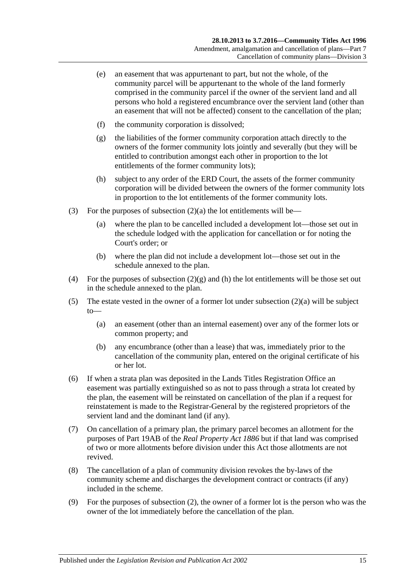- (e) an easement that was appurtenant to part, but not the whole, of the community parcel will be appurtenant to the whole of the land formerly comprised in the community parcel if the owner of the servient land and all persons who hold a registered encumbrance over the servient land (other than an easement that will not be affected) consent to the cancellation of the plan;
- (f) the community corporation is dissolved;
- <span id="page-64-0"></span>(g) the liabilities of the former community corporation attach directly to the owners of the former community lots jointly and severally (but they will be entitled to contribution amongst each other in proportion to the lot entitlements of the former community lots);
- <span id="page-64-1"></span>(h) subject to any order of the ERD Court, the assets of the former community corporation will be divided between the owners of the former community lots in proportion to the lot entitlements of the former community lots.
- (3) For the purposes of [subsection](#page-63-2)  $(2)(a)$  the lot entitlements will be—
	- (a) where the plan to be cancelled included a development lot—those set out in the schedule lodged with the application for cancellation or for noting the Court's order; or
	- (b) where the plan did not include a development lot—those set out in the schedule annexed to the plan.
- (4) For the purposes of [subsection](#page-64-0)  $(2)(g)$  and [\(h\)](#page-64-1) the lot entitlements will be those set out in the schedule annexed to the plan.
- (5) The estate vested in the owner of a former lot under [subsection](#page-63-2) (2)(a) will be subject to—
	- (a) an easement (other than an internal easement) over any of the former lots or common property; and
	- (b) any encumbrance (other than a lease) that was, immediately prior to the cancellation of the community plan, entered on the original certificate of his or her lot.
- (6) If when a strata plan was deposited in the Lands Titles Registration Office an easement was partially extinguished so as not to pass through a strata lot created by the plan, the easement will be reinstated on cancellation of the plan if a request for reinstatement is made to the Registrar-General by the registered proprietors of the servient land and the dominant land (if any).
- (7) On cancellation of a primary plan, the primary parcel becomes an allotment for the purposes of Part 19AB of the *[Real Property Act](http://www.legislation.sa.gov.au/index.aspx?action=legref&type=act&legtitle=Real%20Property%20Act%201886) 1886* but if that land was comprised of two or more allotments before division under this Act those allotments are not revived.
- (8) The cancellation of a plan of community division revokes the by-laws of the community scheme and discharges the development contract or contracts (if any) included in the scheme.
- (9) For the purposes of [subsection](#page-63-3) (2), the owner of a former lot is the person who was the owner of the lot immediately before the cancellation of the plan.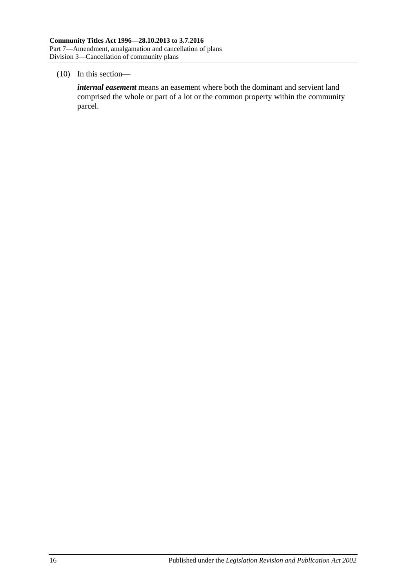#### (10) In this section—

*internal easement* means an easement where both the dominant and servient land comprised the whole or part of a lot or the common property within the community parcel.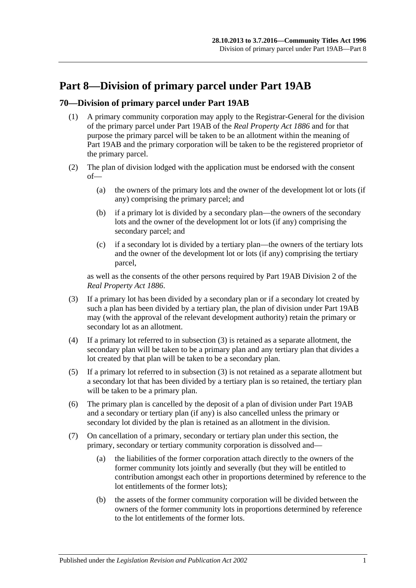# **Part 8—Division of primary parcel under Part 19AB**

# **70—Division of primary parcel under Part 19AB**

- (1) A primary community corporation may apply to the Registrar-General for the division of the primary parcel under Part 19AB of the *[Real Property Act](http://www.legislation.sa.gov.au/index.aspx?action=legref&type=act&legtitle=Real%20Property%20Act%201886) 1886* and for that purpose the primary parcel will be taken to be an allotment within the meaning of Part 19AB and the primary corporation will be taken to be the registered proprietor of the primary parcel.
- (2) The plan of division lodged with the application must be endorsed with the consent of—
	- (a) the owners of the primary lots and the owner of the development lot or lots (if any) comprising the primary parcel; and
	- (b) if a primary lot is divided by a secondary plan—the owners of the secondary lots and the owner of the development lot or lots (if any) comprising the secondary parcel; and
	- (c) if a secondary lot is divided by a tertiary plan—the owners of the tertiary lots and the owner of the development lot or lots (if any) comprising the tertiary parcel,

as well as the consents of the other persons required by Part 19AB Division 2 of the *[Real Property Act](http://www.legislation.sa.gov.au/index.aspx?action=legref&type=act&legtitle=Real%20Property%20Act%201886) 1886*.

- <span id="page-66-0"></span>(3) If a primary lot has been divided by a secondary plan or if a secondary lot created by such a plan has been divided by a tertiary plan, the plan of division under Part 19AB may (with the approval of the relevant development authority) retain the primary or secondary lot as an allotment.
- (4) If a primary lot referred to in [subsection](#page-66-0) (3) is retained as a separate allotment, the secondary plan will be taken to be a primary plan and any tertiary plan that divides a lot created by that plan will be taken to be a secondary plan.
- (5) If a primary lot referred to in [subsection](#page-66-0) (3) is not retained as a separate allotment but a secondary lot that has been divided by a tertiary plan is so retained, the tertiary plan will be taken to be a primary plan.
- (6) The primary plan is cancelled by the deposit of a plan of division under Part 19AB and a secondary or tertiary plan (if any) is also cancelled unless the primary or secondary lot divided by the plan is retained as an allotment in the division.
- (7) On cancellation of a primary, secondary or tertiary plan under this section, the primary, secondary or tertiary community corporation is dissolved and—
	- (a) the liabilities of the former corporation attach directly to the owners of the former community lots jointly and severally (but they will be entitled to contribution amongst each other in proportions determined by reference to the lot entitlements of the former lots);
	- (b) the assets of the former community corporation will be divided between the owners of the former community lots in proportions determined by reference to the lot entitlements of the former lots.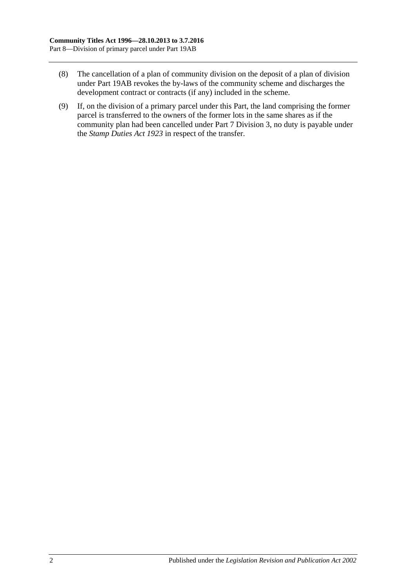- (8) The cancellation of a plan of community division on the deposit of a plan of division under Part 19AB revokes the by-laws of the community scheme and discharges the development contract or contracts (if any) included in the scheme.
- (9) If, on the division of a primary parcel under this Part, the land comprising the former parcel is transferred to the owners of the former lots in the same shares as if the community plan had been cancelled under [Part 7 Division 3,](#page-61-1) no duty is payable under the *[Stamp Duties Act](http://www.legislation.sa.gov.au/index.aspx?action=legref&type=act&legtitle=Stamp%20Duties%20Act%201923) 1923* in respect of the transfer.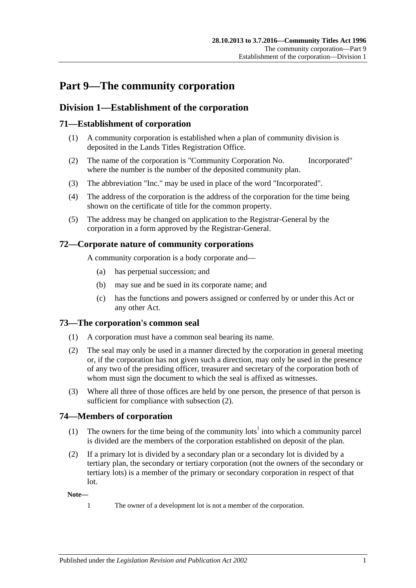# **Part 9—The community corporation**

# **Division 1—Establishment of the corporation**

# **71—Establishment of corporation**

- (1) A community corporation is established when a plan of community division is deposited in the Lands Titles Registration Office.
- (2) The name of the corporation is "Community Corporation No. Incorporated" where the number is the number of the deposited community plan.
- (3) The abbreviation "Inc." may be used in place of the word "Incorporated".
- (4) The address of the corporation is the address of the corporation for the time being shown on the certificate of title for the common property.
- (5) The address may be changed on application to the Registrar-General by the corporation in a form approved by the Registrar-General.

# **72—Corporate nature of community corporations**

A community corporation is a body corporate and—

- (a) has perpetual succession; and
- (b) may sue and be sued in its corporate name; and
- (c) has the functions and powers assigned or conferred by or under this Act or any other Act.

# **73—The corporation's common seal**

- (1) A corporation must have a common seal bearing its name.
- <span id="page-68-0"></span>(2) The seal may only be used in a manner directed by the corporation in general meeting or, if the corporation has not given such a direction, may only be used in the presence of any two of the presiding officer, treasurer and secretary of the corporation both of whom must sign the document to which the seal is affixed as witnesses.
- (3) Where all three of those offices are held by one person, the presence of that person is sufficient for compliance with [subsection](#page-68-0)  $(2)$ .

# **74—Members of corporation**

- (1) The owners for the time being of the community lots<sup>1</sup> into which a community parcel is divided are the members of the corporation established on deposit of the plan.
- (2) If a primary lot is divided by a secondary plan or a secondary lot is divided by a tertiary plan, the secondary or tertiary corporation (not the owners of the secondary or tertiary lots) is a member of the primary or secondary corporation in respect of that lot.

**Note—**

- 
- 1 The owner of a development lot is not a member of the corporation.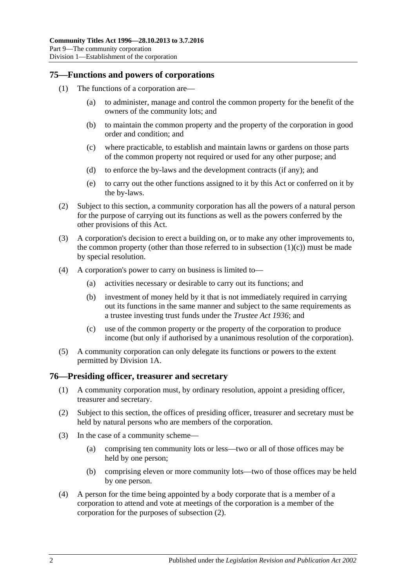### **75—Functions and powers of corporations**

- <span id="page-69-0"></span>(1) The functions of a corporation are—
	- (a) to administer, manage and control the common property for the benefit of the owners of the community lots; and
	- (b) to maintain the common property and the property of the corporation in good order and condition; and
	- (c) where practicable, to establish and maintain lawns or gardens on those parts of the common property not required or used for any other purpose; and
	- (d) to enforce the by-laws and the development contracts (if any); and
	- (e) to carry out the other functions assigned to it by this Act or conferred on it by the by-laws.
- (2) Subject to this section, a community corporation has all the powers of a natural person for the purpose of carrying out its functions as well as the powers conferred by the other provisions of this Act.
- (3) A corporation's decision to erect a building on, or to make any other improvements to, the common property (other than those referred to in [subsection](#page-69-0)  $(1)(c)$ ) must be made by special resolution.
- (4) A corporation's power to carry on business is limited to—
	- (a) activities necessary or desirable to carry out its functions; and
	- (b) investment of money held by it that is not immediately required in carrying out its functions in the same manner and subject to the same requirements as a trustee investing trust funds under the *[Trustee Act](http://www.legislation.sa.gov.au/index.aspx?action=legref&type=act&legtitle=Trustee%20Act%201936) 1936*; and
	- (c) use of the common property or the property of the corporation to produce income (but only if authorised by a unanimous resolution of the corporation).
- (5) A community corporation can only delegate its functions or powers to the extent permitted by [Division 1A.](#page-71-0)

# **76—Presiding officer, treasurer and secretary**

- (1) A community corporation must, by ordinary resolution, appoint a presiding officer, treasurer and secretary.
- <span id="page-69-1"></span>(2) Subject to this section, the offices of presiding officer, treasurer and secretary must be held by natural persons who are members of the corporation.
- (3) In the case of a community scheme—
	- (a) comprising ten community lots or less—two or all of those offices may be held by one person;
	- (b) comprising eleven or more community lots—two of those offices may be held by one person.
- (4) A person for the time being appointed by a body corporate that is a member of a corporation to attend and vote at meetings of the corporation is a member of the corporation for the purposes of [subsection](#page-69-1) (2).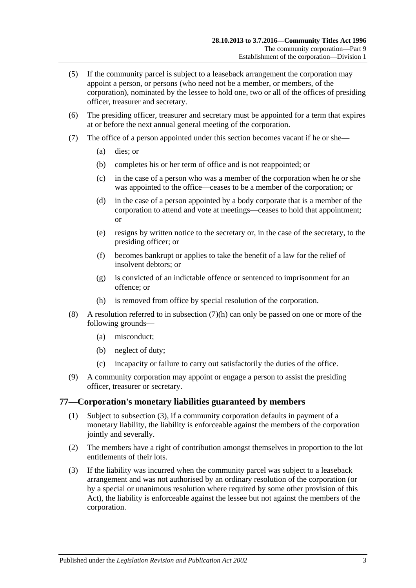- (5) If the community parcel is subject to a leaseback arrangement the corporation may appoint a person, or persons (who need not be a member, or members, of the corporation), nominated by the lessee to hold one, two or all of the offices of presiding officer, treasurer and secretary.
- (6) The presiding officer, treasurer and secretary must be appointed for a term that expires at or before the next annual general meeting of the corporation.
- (7) The office of a person appointed under this section becomes vacant if he or she—
	- (a) dies; or
	- (b) completes his or her term of office and is not reappointed; or
	- (c) in the case of a person who was a member of the corporation when he or she was appointed to the office—ceases to be a member of the corporation; or
	- (d) in the case of a person appointed by a body corporate that is a member of the corporation to attend and vote at meetings—ceases to hold that appointment; or
	- (e) resigns by written notice to the secretary or, in the case of the secretary, to the presiding officer; or
	- (f) becomes bankrupt or applies to take the benefit of a law for the relief of insolvent debtors; or
	- (g) is convicted of an indictable offence or sentenced to imprisonment for an offence; or
	- (h) is removed from office by special resolution of the corporation.
- <span id="page-70-0"></span>(8) A resolution referred to in [subsection](#page-70-0) (7)(h) can only be passed on one or more of the following grounds—
	- (a) misconduct;
	- (b) neglect of duty;
	- (c) incapacity or failure to carry out satisfactorily the duties of the office.
- (9) A community corporation may appoint or engage a person to assist the presiding officer, treasurer or secretary.

### **77—Corporation's monetary liabilities guaranteed by members**

- (1) Subject to [subsection](#page-70-1) (3), if a community corporation defaults in payment of a monetary liability, the liability is enforceable against the members of the corporation jointly and severally.
- (2) The members have a right of contribution amongst themselves in proportion to the lot entitlements of their lots.
- <span id="page-70-1"></span>(3) If the liability was incurred when the community parcel was subject to a leaseback arrangement and was not authorised by an ordinary resolution of the corporation (or by a special or unanimous resolution where required by some other provision of this Act), the liability is enforceable against the lessee but not against the members of the corporation.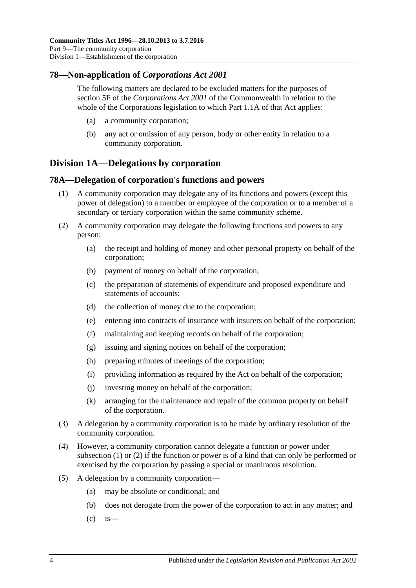# **78—Non-application of** *Corporations Act 2001*

The following matters are declared to be excluded matters for the purposes of section 5F of the *Corporations Act 2001* of the Commonwealth in relation to the whole of the Corporations legislation to which Part 1.1A of that Act applies:

- (a) a community corporation;
- (b) any act or omission of any person, body or other entity in relation to a community corporation.

# <span id="page-71-0"></span>**Division 1A—Delegations by corporation**

# <span id="page-71-1"></span>**78A—Delegation of corporation's functions and powers**

- (1) A community corporation may delegate any of its functions and powers (except this power of delegation) to a member or employee of the corporation or to a member of a secondary or tertiary corporation within the same community scheme.
- <span id="page-71-2"></span>(2) A community corporation may delegate the following functions and powers to any person:
	- (a) the receipt and holding of money and other personal property on behalf of the corporation;
	- (b) payment of money on behalf of the corporation;
	- (c) the preparation of statements of expenditure and proposed expenditure and statements of accounts;
	- (d) the collection of money due to the corporation;
	- (e) entering into contracts of insurance with insurers on behalf of the corporation;
	- (f) maintaining and keeping records on behalf of the corporation;
	- (g) issuing and signing notices on behalf of the corporation;
	- (h) preparing minutes of meetings of the corporation;
	- (i) providing information as required by the Act on behalf of the corporation;
	- (j) investing money on behalf of the corporation;
	- (k) arranging for the maintenance and repair of the common property on behalf of the corporation.
- (3) A delegation by a community corporation is to be made by ordinary resolution of the community corporation.
- (4) However, a community corporation cannot delegate a function or power under [subsection](#page-71-1) (1) or [\(2\)](#page-71-2) if the function or power is of a kind that can only be performed or exercised by the corporation by passing a special or unanimous resolution.
- (5) A delegation by a community corporation—
	- (a) may be absolute or conditional; and
	- (b) does not derogate from the power of the corporation to act in any matter; and
	- $\int_{c}^{c}$  is —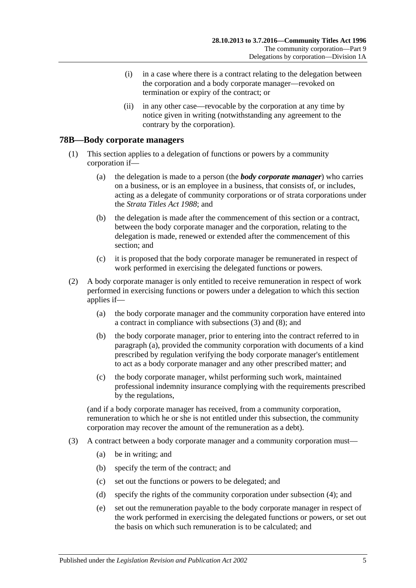- (i) in a case where there is a contract relating to the delegation between the corporation and a body corporate manager—revoked on termination or expiry of the contract; or
- (ii) in any other case—revocable by the corporation at any time by notice given in writing (notwithstanding any agreement to the contrary by the corporation).

#### **78B—Body corporate managers**

- (1) This section applies to a delegation of functions or powers by a community corporation if—
	- (a) the delegation is made to a person (the *body corporate manager*) who carries on a business, or is an employee in a business, that consists of, or includes, acting as a delegate of community corporations or of strata corporations under the *[Strata Titles Act](http://www.legislation.sa.gov.au/index.aspx?action=legref&type=act&legtitle=Strata%20Titles%20Act%201988) 1988*; and
	- (b) the delegation is made after the commencement of this section or a contract, between the body corporate manager and the corporation, relating to the delegation is made, renewed or extended after the commencement of this section; and
	- (c) it is proposed that the body corporate manager be remunerated in respect of work performed in exercising the delegated functions or powers.
- <span id="page-72-2"></span><span id="page-72-1"></span>(2) A body corporate manager is only entitled to receive remuneration in respect of work performed in exercising functions or powers under a delegation to which this section applies if—
	- (a) the body corporate manager and the community corporation have entered into a contract in compliance with [subsections](#page-72-0) (3) and [\(8\);](#page-73-0) and
	- (b) the body corporate manager, prior to entering into the contract referred to in [paragraph](#page-72-1) (a), provided the community corporation with documents of a kind prescribed by regulation verifying the body corporate manager's entitlement to act as a body corporate manager and any other prescribed matter; and
	- (c) the body corporate manager, whilst performing such work, maintained professional indemnity insurance complying with the requirements prescribed by the regulations,

<span id="page-72-3"></span>(and if a body corporate manager has received, from a community corporation, remuneration to which he or she is not entitled under this subsection, the community corporation may recover the amount of the remuneration as a debt).

- <span id="page-72-0"></span>(3) A contract between a body corporate manager and a community corporation must—
	- (a) be in writing; and
	- (b) specify the term of the contract; and
	- (c) set out the functions or powers to be delegated; and
	- (d) specify the rights of the community corporation under [subsection](#page-73-1) (4); and
	- (e) set out the remuneration payable to the body corporate manager in respect of the work performed in exercising the delegated functions or powers, or set out the basis on which such remuneration is to be calculated; and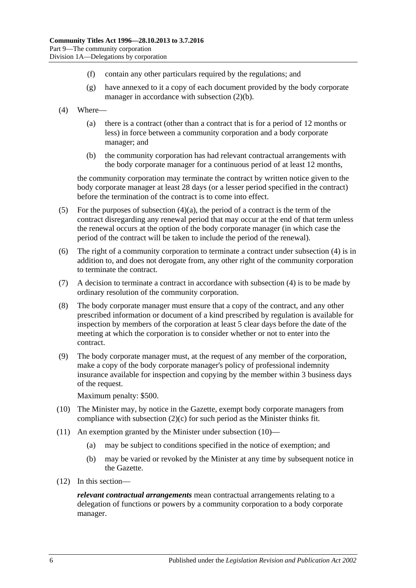- (f) contain any other particulars required by the regulations; and
- (g) have annexed to it a copy of each document provided by the body corporate manager in accordance with [subsection](#page-72-2) (2)(b).
- <span id="page-73-2"></span><span id="page-73-1"></span>(4) Where—
	- (a) there is a contract (other than a contract that is for a period of 12 months or less) in force between a community corporation and a body corporate manager; and
	- (b) the community corporation has had relevant contractual arrangements with the body corporate manager for a continuous period of at least 12 months,

the community corporation may terminate the contract by written notice given to the body corporate manager at least 28 days (or a lesser period specified in the contract) before the termination of the contract is to come into effect.

- (5) For the purposes of [subsection](#page-73-2)  $(4)(a)$ , the period of a contract is the term of the contract disregarding any renewal period that may occur at the end of that term unless the renewal occurs at the option of the body corporate manager (in which case the period of the contract will be taken to include the period of the renewal).
- (6) The right of a community corporation to terminate a contract under [subsection](#page-73-1) (4) is in addition to, and does not derogate from, any other right of the community corporation to terminate the contract.
- (7) A decision to terminate a contract in accordance with [subsection](#page-73-1) (4) is to be made by ordinary resolution of the community corporation.
- <span id="page-73-0"></span>(8) The body corporate manager must ensure that a copy of the contract, and any other prescribed information or document of a kind prescribed by regulation is available for inspection by members of the corporation at least 5 clear days before the date of the meeting at which the corporation is to consider whether or not to enter into the contract.
- (9) The body corporate manager must, at the request of any member of the corporation, make a copy of the body corporate manager's policy of professional indemnity insurance available for inspection and copying by the member within 3 business days of the request.

Maximum penalty: \$500.

- <span id="page-73-3"></span>(10) The Minister may, by notice in the Gazette, exempt body corporate managers from compliance with [subsection](#page-72-3) (2)(c) for such period as the Minister thinks fit.
- (11) An exemption granted by the Minister under [subsection](#page-73-3) (10)—
	- (a) may be subject to conditions specified in the notice of exemption; and
	- (b) may be varied or revoked by the Minister at any time by subsequent notice in the Gazette.
- (12) In this section—

*relevant contractual arrangements* mean contractual arrangements relating to a delegation of functions or powers by a community corporation to a body corporate manager.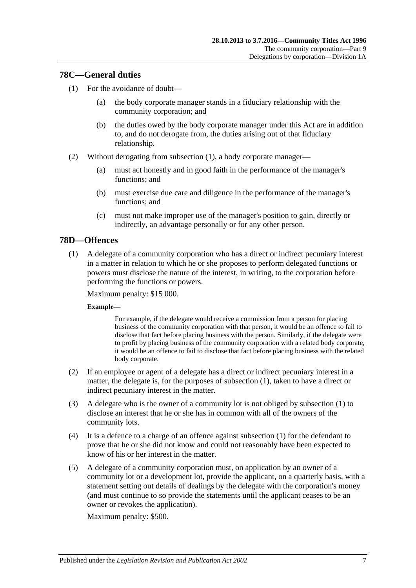## <span id="page-74-0"></span>**78C—General duties**

- (1) For the avoidance of doubt—
	- (a) the body corporate manager stands in a fiduciary relationship with the community corporation; and
	- (b) the duties owed by the body corporate manager under this Act are in addition to, and do not derogate from, the duties arising out of that fiduciary relationship.
- (2) Without derogating from [subsection](#page-74-0) (1), a body corporate manager—
	- (a) must act honestly and in good faith in the performance of the manager's functions; and
	- (b) must exercise due care and diligence in the performance of the manager's functions; and
	- (c) must not make improper use of the manager's position to gain, directly or indirectly, an advantage personally or for any other person.

## <span id="page-74-1"></span>**78D—Offences**

(1) A delegate of a community corporation who has a direct or indirect pecuniary interest in a matter in relation to which he or she proposes to perform delegated functions or powers must disclose the nature of the interest, in writing, to the corporation before performing the functions or powers.

Maximum penalty: \$15 000.

#### **Example—**

For example, if the delegate would receive a commission from a person for placing business of the community corporation with that person, it would be an offence to fail to disclose that fact before placing business with the person. Similarly, if the delegate were to profit by placing business of the community corporation with a related body corporate, it would be an offence to fail to disclose that fact before placing business with the related body corporate.

- (2) If an employee or agent of a delegate has a direct or indirect pecuniary interest in a matter, the delegate is, for the purposes of [subsection](#page-74-1) (1), taken to have a direct or indirect pecuniary interest in the matter.
- (3) A delegate who is the owner of a community lot is not obliged by [subsection](#page-74-1) (1) to disclose an interest that he or she has in common with all of the owners of the community lots.
- (4) It is a defence to a charge of an offence against [subsection](#page-74-1) (1) for the defendant to prove that he or she did not know and could not reasonably have been expected to know of his or her interest in the matter.
- (5) A delegate of a community corporation must, on application by an owner of a community lot or a development lot, provide the applicant, on a quarterly basis, with a statement setting out details of dealings by the delegate with the corporation's money (and must continue to so provide the statements until the applicant ceases to be an owner or revokes the application).

Maximum penalty: \$500.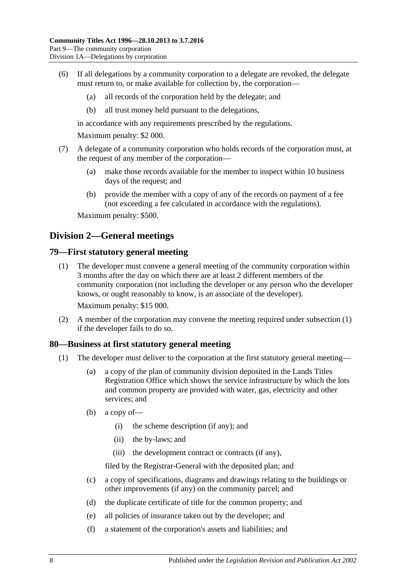- (6) If all delegations by a community corporation to a delegate are revoked, the delegate must return to, or make available for collection by, the corporation—
	- (a) all records of the corporation held by the delegate; and
	- (b) all trust money held pursuant to the delegations,

in accordance with any requirements prescribed by the regulations.

Maximum penalty: \$2 000.

- (7) A delegate of a community corporation who holds records of the corporation must, at the request of any member of the corporation—
	- (a) make those records available for the member to inspect within 10 business days of the request; and
	- (b) provide the member with a copy of any of the records on payment of a fee (not exceeding a fee calculated in accordance with the regulations).

Maximum penalty: \$500.

# **Division 2—General meetings**

#### <span id="page-75-0"></span>**79—First statutory general meeting**

(1) The developer must convene a general meeting of the community corporation within 3 months after the day on which there are at least 2 different members of the community corporation (not including the developer or any person who the developer knows, or ought reasonably to know, is an associate of the developer).

Maximum penalty: \$15 000.

(2) A member of the corporation may convene the meeting required under [subsection](#page-75-0) (1) if the developer fails to do so.

#### <span id="page-75-1"></span>**80—Business at first statutory general meeting**

- (1) The developer must deliver to the corporation at the first statutory general meeting—
	- (a) a copy of the plan of community division deposited in the Lands Titles Registration Office which shows the service infrastructure by which the lots and common property are provided with water, gas, electricity and other services; and
	- (b) a copy of—
		- (i) the scheme description (if any); and
		- (ii) the by-laws; and
		- (iii) the development contract or contracts (if any),

filed by the Registrar-General with the deposited plan; and

- (c) a copy of specifications, diagrams and drawings relating to the buildings or other improvements (if any) on the community parcel; and
- (d) the duplicate certificate of title for the common property; and
- (e) all policies of insurance taken out by the developer; and
- (f) a statement of the corporation's assets and liabilities; and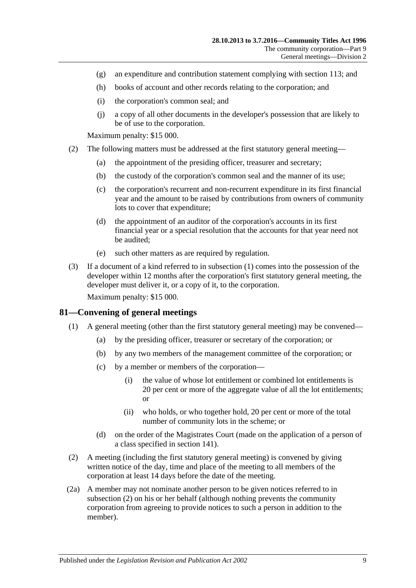- (g) an expenditure and contribution statement complying with [section](#page-98-0) 113; and
- (h) books of account and other records relating to the corporation; and
- (i) the corporation's common seal; and
- (j) a copy of all other documents in the developer's possession that are likely to be of use to the corporation.

Maximum penalty: \$15 000.

- <span id="page-76-1"></span>(2) The following matters must be addressed at the first statutory general meeting—
	- (a) the appointment of the presiding officer, treasurer and secretary;
	- (b) the custody of the corporation's common seal and the manner of its use;
	- (c) the corporation's recurrent and non-recurrent expenditure in its first financial year and the amount to be raised by contributions from owners of community lots to cover that expenditure;
	- (d) the appointment of an auditor of the corporation's accounts in its first financial year or a special resolution that the accounts for that year need not be audited;
	- (e) such other matters as are required by regulation.
- (3) If a document of a kind referred to in [subsection](#page-75-1) (1) comes into the possession of the developer within 12 months after the corporation's first statutory general meeting, the developer must deliver it, or a copy of it, to the corporation.

Maximum penalty: \$15 000.

#### **81—Convening of general meetings**

- (1) A general meeting (other than the first statutory general meeting) may be convened—
	- (a) by the presiding officer, treasurer or secretary of the corporation; or
	- (b) by any two members of the management committee of the corporation; or
	- (c) by a member or members of the corporation—
		- (i) the value of whose lot entitlement or combined lot entitlements is 20 per cent or more of the aggregate value of all the lot entitlements; or
		- (ii) who holds, or who together hold, 20 per cent or more of the total number of community lots in the scheme; or
	- (d) on the order of the Magistrates Court (made on the application of a person of a class specified in [section](#page-112-0) 141).
- <span id="page-76-0"></span>(2) A meeting (including the first statutory general meeting) is convened by giving written notice of the day, time and place of the meeting to all members of the corporation at least 14 days before the date of the meeting.
- (2a) A member may not nominate another person to be given notices referred to in [subsection](#page-76-0) (2) on his or her behalf (although nothing prevents the community corporation from agreeing to provide notices to such a person in addition to the member).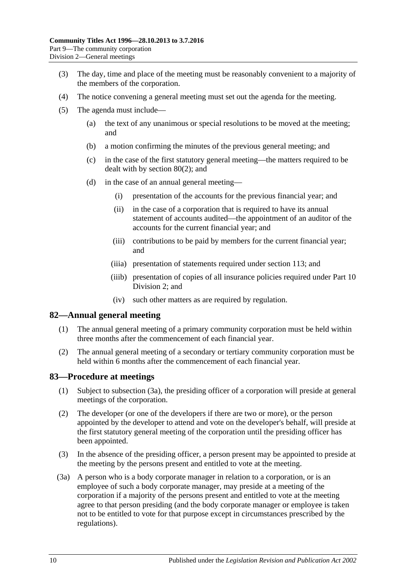- (3) The day, time and place of the meeting must be reasonably convenient to a majority of the members of the corporation.
- (4) The notice convening a general meeting must set out the agenda for the meeting.
- (5) The agenda must include—
	- (a) the text of any unanimous or special resolutions to be moved at the meeting; and
	- (b) a motion confirming the minutes of the previous general meeting; and
	- (c) in the case of the first statutory general meeting—the matters required to be dealt with by [section](#page-76-1) 80(2); and
	- (d) in the case of an annual general meeting—
		- (i) presentation of the accounts for the previous financial year; and
		- (ii) in the case of a corporation that is required to have its annual statement of accounts audited—the appointment of an auditor of the accounts for the current financial year; and
		- (iii) contributions to be paid by members for the current financial year; and
		- (iiia) presentation of statements required under [section](#page-98-0) 113; and
		- (iiib) presentation of copies of all insurance policies required under [Part](#page-91-0) 10 [Division 2;](#page-91-0) and
		- (iv) such other matters as are required by regulation.

## **82—Annual general meeting**

- (1) The annual general meeting of a primary community corporation must be held within three months after the commencement of each financial year.
- (2) The annual general meeting of a secondary or tertiary community corporation must be held within 6 months after the commencement of each financial year.

#### **83—Procedure at meetings**

- (1) Subject to [subsection](#page-77-0) (3a), the presiding officer of a corporation will preside at general meetings of the corporation.
- (2) The developer (or one of the developers if there are two or more), or the person appointed by the developer to attend and vote on the developer's behalf, will preside at the first statutory general meeting of the corporation until the presiding officer has been appointed.
- (3) In the absence of the presiding officer, a person present may be appointed to preside at the meeting by the persons present and entitled to vote at the meeting.
- <span id="page-77-0"></span>(3a) A person who is a body corporate manager in relation to a corporation, or is an employee of such a body corporate manager, may preside at a meeting of the corporation if a majority of the persons present and entitled to vote at the meeting agree to that person presiding (and the body corporate manager or employee is taken not to be entitled to vote for that purpose except in circumstances prescribed by the regulations).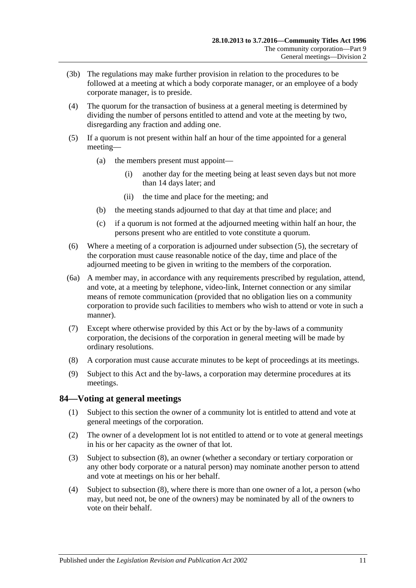- (3b) The regulations may make further provision in relation to the procedures to be followed at a meeting at which a body corporate manager, or an employee of a body corporate manager, is to preside.
- (4) The quorum for the transaction of business at a general meeting is determined by dividing the number of persons entitled to attend and vote at the meeting by two, disregarding any fraction and adding one.
- <span id="page-78-0"></span>(5) If a quorum is not present within half an hour of the time appointed for a general meeting—
	- (a) the members present must appoint—
		- (i) another day for the meeting being at least seven days but not more than 14 days later; and
		- (ii) the time and place for the meeting; and
	- (b) the meeting stands adjourned to that day at that time and place; and
	- (c) if a quorum is not formed at the adjourned meeting within half an hour, the persons present who are entitled to vote constitute a quorum.
- (6) Where a meeting of a corporation is adjourned under [subsection](#page-78-0) (5), the secretary of the corporation must cause reasonable notice of the day, time and place of the adjourned meeting to be given in writing to the members of the corporation.
- (6a) A member may, in accordance with any requirements prescribed by regulation, attend, and vote, at a meeting by telephone, video-link, Internet connection or any similar means of remote communication (provided that no obligation lies on a community corporation to provide such facilities to members who wish to attend or vote in such a manner).
- (7) Except where otherwise provided by this Act or by the by-laws of a community corporation, the decisions of the corporation in general meeting will be made by ordinary resolutions.
- (8) A corporation must cause accurate minutes to be kept of proceedings at its meetings.
- (9) Subject to this Act and the by-laws, a corporation may determine procedures at its meetings.

## **84—Voting at general meetings**

- (1) Subject to this section the owner of a community lot is entitled to attend and vote at general meetings of the corporation.
- (2) The owner of a development lot is not entitled to attend or to vote at general meetings in his or her capacity as the owner of that lot.
- <span id="page-78-1"></span>(3) Subject to [subsection](#page-80-0) (8), an owner (whether a secondary or tertiary corporation or any other body corporate or a natural person) may nominate another person to attend and vote at meetings on his or her behalf.
- <span id="page-78-2"></span>(4) Subject to [subsection](#page-80-0) (8), where there is more than one owner of a lot, a person (who may, but need not, be one of the owners) may be nominated by all of the owners to vote on their behalf.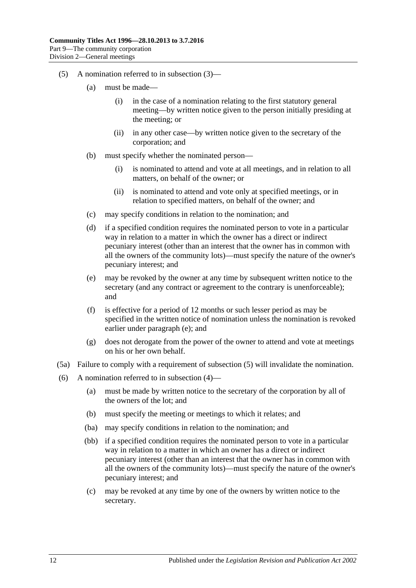- <span id="page-79-1"></span>(5) A nomination referred to in [subsection](#page-78-1) (3)—
	- (a) must be made—
		- (i) in the case of a nomination relating to the first statutory general meeting—by written notice given to the person initially presiding at the meeting; or
		- (ii) in any other case—by written notice given to the secretary of the corporation; and
	- (b) must specify whether the nominated person—
		- (i) is nominated to attend and vote at all meetings, and in relation to all matters, on behalf of the owner; or
		- (ii) is nominated to attend and vote only at specified meetings, or in relation to specified matters, on behalf of the owner; and
	- (c) may specify conditions in relation to the nomination; and
	- (d) if a specified condition requires the nominated person to vote in a particular way in relation to a matter in which the owner has a direct or indirect pecuniary interest (other than an interest that the owner has in common with all the owners of the community lots)—must specify the nature of the owner's pecuniary interest; and
	- (e) may be revoked by the owner at any time by subsequent written notice to the secretary (and any contract or agreement to the contrary is unenforceable); and
	- (f) is effective for a period of 12 months or such lesser period as may be specified in the written notice of nomination unless the nomination is revoked earlier under [paragraph](#page-79-0) (e); and
	- (g) does not derogate from the power of the owner to attend and vote at meetings on his or her own behalf.
- <span id="page-79-3"></span><span id="page-79-0"></span>(5a) Failure to comply with a requirement of [subsection](#page-79-1) (5) will invalidate the nomination.
- <span id="page-79-4"></span><span id="page-79-2"></span>(6) A nomination referred to in [subsection](#page-78-2) (4)—
	- (a) must be made by written notice to the secretary of the corporation by all of the owners of the lot; and
	- (b) must specify the meeting or meetings to which it relates; and
	- (ba) may specify conditions in relation to the nomination; and
	- (bb) if a specified condition requires the nominated person to vote in a particular way in relation to a matter in which an owner has a direct or indirect pecuniary interest (other than an interest that the owner has in common with all the owners of the community lots)—must specify the nature of the owner's pecuniary interest; and
	- (c) may be revoked at any time by one of the owners by written notice to the secretary.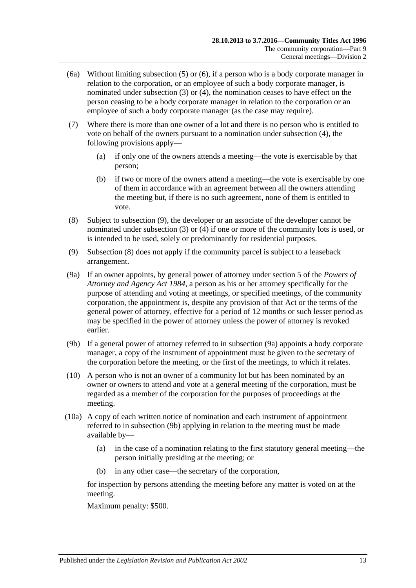- (6a) Without limiting [subsection](#page-79-1) (5) or [\(6\),](#page-79-2) if a person who is a body corporate manager in relation to the corporation, or an employee of such a body corporate manager, is nominated under [subsection](#page-78-1) (3) or [\(4\),](#page-78-2) the nomination ceases to have effect on the person ceasing to be a body corporate manager in relation to the corporation or an employee of such a body corporate manager (as the case may require).
- (7) Where there is more than one owner of a lot and there is no person who is entitled to vote on behalf of the owners pursuant to a nomination under [subsection](#page-78-2) (4), the following provisions apply—
	- (a) if only one of the owners attends a meeting—the vote is exercisable by that person;
	- (b) if two or more of the owners attend a meeting—the vote is exercisable by one of them in accordance with an agreement between all the owners attending the meeting but, if there is no such agreement, none of them is entitled to vote.
- <span id="page-80-0"></span>(8) Subject to [subsection](#page-80-1) (9), the developer or an associate of the developer cannot be nominated under [subsection](#page-78-1) (3) or [\(4\)](#page-78-2) if one or more of the community lots is used, or is intended to be used, solely or predominantly for residential purposes.
- <span id="page-80-1"></span>(9) [Subsection](#page-80-0) (8) does not apply if the community parcel is subject to a leaseback arrangement.
- <span id="page-80-2"></span>(9a) If an owner appoints, by general power of attorney under section 5 of the *[Powers of](http://www.legislation.sa.gov.au/index.aspx?action=legref&type=act&legtitle=Powers%20of%20Attorney%20and%20Agency%20Act%201984)  [Attorney and Agency Act](http://www.legislation.sa.gov.au/index.aspx?action=legref&type=act&legtitle=Powers%20of%20Attorney%20and%20Agency%20Act%201984) 1984*, a person as his or her attorney specifically for the purpose of attending and voting at meetings, or specified meetings, of the community corporation, the appointment is, despite any provision of that Act or the terms of the general power of attorney, effective for a period of 12 months or such lesser period as may be specified in the power of attorney unless the power of attorney is revoked earlier.
- <span id="page-80-3"></span>(9b) If a general power of attorney referred to in [subsection](#page-80-2) (9a) appoints a body corporate manager, a copy of the instrument of appointment must be given to the secretary of the corporation before the meeting, or the first of the meetings, to which it relates.
- (10) A person who is not an owner of a community lot but has been nominated by an owner or owners to attend and vote at a general meeting of the corporation, must be regarded as a member of the corporation for the purposes of proceedings at the meeting.
- (10a) A copy of each written notice of nomination and each instrument of appointment referred to in [subsection](#page-80-3) (9b) applying in relation to the meeting must be made available by—
	- (a) in the case of a nomination relating to the first statutory general meeting—the person initially presiding at the meeting; or
	- (b) in any other case—the secretary of the corporation,

for inspection by persons attending the meeting before any matter is voted on at the meeting.

Maximum penalty: \$500.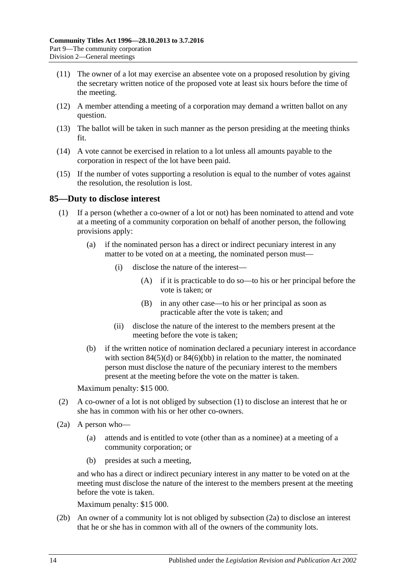- (11) The owner of a lot may exercise an absentee vote on a proposed resolution by giving the secretary written notice of the proposed vote at least six hours before the time of the meeting.
- (12) A member attending a meeting of a corporation may demand a written ballot on any question.
- (13) The ballot will be taken in such manner as the person presiding at the meeting thinks fit.
- (14) A vote cannot be exercised in relation to a lot unless all amounts payable to the corporation in respect of the lot have been paid.
- (15) If the number of votes supporting a resolution is equal to the number of votes against the resolution, the resolution is lost.

#### <span id="page-81-0"></span>**85—Duty to disclose interest**

- (1) If a person (whether a co-owner of a lot or not) has been nominated to attend and vote at a meeting of a community corporation on behalf of another person, the following provisions apply:
	- (a) if the nominated person has a direct or indirect pecuniary interest in any matter to be voted on at a meeting, the nominated person must—
		- (i) disclose the nature of the interest—
			- (A) if it is practicable to do so—to his or her principal before the vote is taken; or
			- (B) in any other case—to his or her principal as soon as practicable after the vote is taken; and
		- (ii) disclose the nature of the interest to the members present at the meeting before the vote is taken;
	- (b) if the written notice of nomination declared a pecuniary interest in accordance with section  $84(5)(d)$  or  $84(6)(bb)$  in relation to the matter, the nominated person must disclose the nature of the pecuniary interest to the members present at the meeting before the vote on the matter is taken.

Maximum penalty: \$15 000.

- (2) A co-owner of a lot is not obliged by [subsection](#page-81-0) (1) to disclose an interest that he or she has in common with his or her other co-owners.
- <span id="page-81-1"></span>(2a) A person who—
	- (a) attends and is entitled to vote (other than as a nominee) at a meeting of a community corporation; or
	- (b) presides at such a meeting,

and who has a direct or indirect pecuniary interest in any matter to be voted on at the meeting must disclose the nature of the interest to the members present at the meeting before the vote is taken.

Maximum penalty: \$15 000.

(2b) An owner of a community lot is not obliged by [subsection](#page-81-1) (2a) to disclose an interest that he or she has in common with all of the owners of the community lots.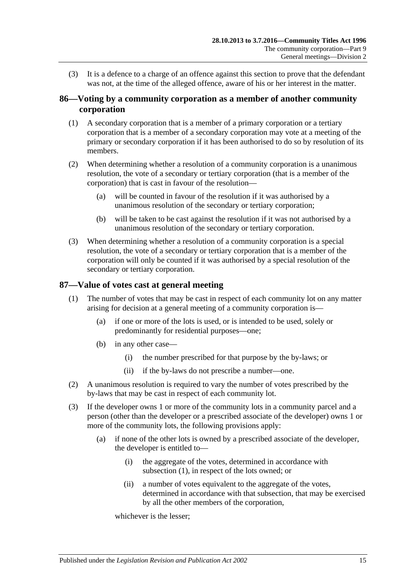(3) It is a defence to a charge of an offence against this section to prove that the defendant was not, at the time of the alleged offence, aware of his or her interest in the matter.

## **86—Voting by a community corporation as a member of another community corporation**

- (1) A secondary corporation that is a member of a primary corporation or a tertiary corporation that is a member of a secondary corporation may vote at a meeting of the primary or secondary corporation if it has been authorised to do so by resolution of its members.
- (2) When determining whether a resolution of a community corporation is a unanimous resolution, the vote of a secondary or tertiary corporation (that is a member of the corporation) that is cast in favour of the resolution—
	- (a) will be counted in favour of the resolution if it was authorised by a unanimous resolution of the secondary or tertiary corporation;
	- (b) will be taken to be cast against the resolution if it was not authorised by a unanimous resolution of the secondary or tertiary corporation.
- (3) When determining whether a resolution of a community corporation is a special resolution, the vote of a secondary or tertiary corporation that is a member of the corporation will only be counted if it was authorised by a special resolution of the secondary or tertiary corporation.

## <span id="page-82-0"></span>**87—Value of votes cast at general meeting**

- (1) The number of votes that may be cast in respect of each community lot on any matter arising for decision at a general meeting of a community corporation is—
	- (a) if one or more of the lots is used, or is intended to be used, solely or predominantly for residential purposes—one;
	- (b) in any other case—
		- (i) the number prescribed for that purpose by the by-laws; or
		- (ii) if the by-laws do not prescribe a number—one.
- (2) A unanimous resolution is required to vary the number of votes prescribed by the by-laws that may be cast in respect of each community lot.
- (3) If the developer owns 1 or more of the community lots in a community parcel and a person (other than the developer or a prescribed associate of the developer) owns 1 or more of the community lots, the following provisions apply:
	- (a) if none of the other lots is owned by a prescribed associate of the developer, the developer is entitled to—
		- (i) the aggregate of the votes, determined in accordance with [subsection](#page-82-0) (1), in respect of the lots owned; or
		- (ii) a number of votes equivalent to the aggregate of the votes, determined in accordance with that subsection, that may be exercised by all the other members of the corporation,

whichever is the lesser;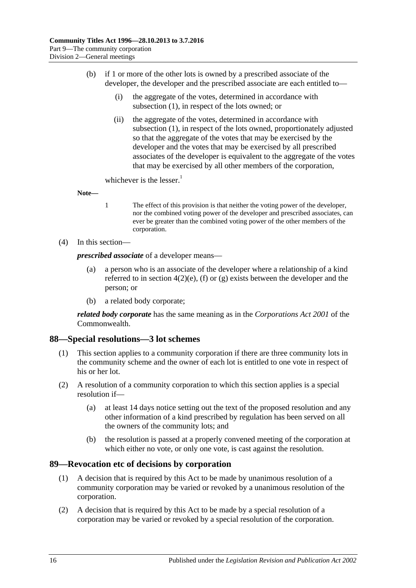- (b) if 1 or more of the other lots is owned by a prescribed associate of the developer, the developer and the prescribed associate are each entitled to—
	- (i) the aggregate of the votes, determined in accordance with [subsection](#page-82-0) (1), in respect of the lots owned; or
	- (ii) the aggregate of the votes, determined in accordance with [subsection](#page-82-0) (1), in respect of the lots owned, proportionately adjusted so that the aggregate of the votes that may be exercised by the developer and the votes that may be exercised by all prescribed associates of the developer is equivalent to the aggregate of the votes that may be exercised by all other members of the corporation,

whichever is the lesser.<sup>1</sup>

**Note—**

- 1 The effect of this provision is that neither the voting power of the developer, nor the combined voting power of the developer and prescribed associates, can ever be greater than the combined voting power of the other members of the corporation.
- (4) In this section—

*prescribed associate* of a developer means—

- (a) a person who is an associate of the developer where a relationship of a kind referred to in [section](#page-13-0)  $4(2)(e)$ , [\(f\)](#page-13-1) or [\(g\)](#page-13-2) exists between the developer and the person; or
- (b) a related body corporate;

*related body corporate* has the same meaning as in the *Corporations Act 2001* of the Commonwealth.

## **88—Special resolutions—3 lot schemes**

- (1) This section applies to a community corporation if there are three community lots in the community scheme and the owner of each lot is entitled to one vote in respect of his or her lot.
- (2) A resolution of a community corporation to which this section applies is a special resolution if—
	- (a) at least 14 days notice setting out the text of the proposed resolution and any other information of a kind prescribed by regulation has been served on all the owners of the community lots; and
	- (b) the resolution is passed at a properly convened meeting of the corporation at which either no vote, or only one vote, is cast against the resolution.

#### **89—Revocation etc of decisions by corporation**

- (1) A decision that is required by this Act to be made by unanimous resolution of a community corporation may be varied or revoked by a unanimous resolution of the corporation.
- (2) A decision that is required by this Act to be made by a special resolution of a corporation may be varied or revoked by a special resolution of the corporation.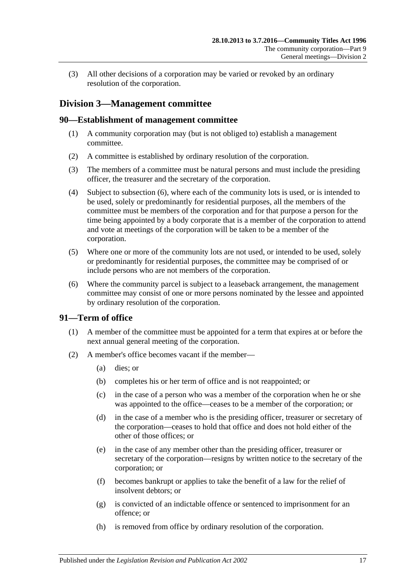(3) All other decisions of a corporation may be varied or revoked by an ordinary resolution of the corporation.

# **Division 3—Management committee**

## **90—Establishment of management committee**

- (1) A community corporation may (but is not obliged to) establish a management committee.
- (2) A committee is established by ordinary resolution of the corporation.
- (3) The members of a committee must be natural persons and must include the presiding officer, the treasurer and the secretary of the corporation.
- (4) Subject to [subsection](#page-84-0) (6), where each of the community lots is used, or is intended to be used, solely or predominantly for residential purposes, all the members of the committee must be members of the corporation and for that purpose a person for the time being appointed by a body corporate that is a member of the corporation to attend and vote at meetings of the corporation will be taken to be a member of the corporation.
- (5) Where one or more of the community lots are not used, or intended to be used, solely or predominantly for residential purposes, the committee may be comprised of or include persons who are not members of the corporation.
- <span id="page-84-0"></span>(6) Where the community parcel is subject to a leaseback arrangement, the management committee may consist of one or more persons nominated by the lessee and appointed by ordinary resolution of the corporation.

## **91—Term of office**

- (1) A member of the committee must be appointed for a term that expires at or before the next annual general meeting of the corporation.
- <span id="page-84-1"></span>(2) A member's office becomes vacant if the member—
	- (a) dies; or
	- (b) completes his or her term of office and is not reappointed; or
	- (c) in the case of a person who was a member of the corporation when he or she was appointed to the office—ceases to be a member of the corporation; or
	- (d) in the case of a member who is the presiding officer, treasurer or secretary of the corporation—ceases to hold that office and does not hold either of the other of those offices; or
	- (e) in the case of any member other than the presiding officer, treasurer or secretary of the corporation—resigns by written notice to the secretary of the corporation; or
	- (f) becomes bankrupt or applies to take the benefit of a law for the relief of insolvent debtors; or
	- (g) is convicted of an indictable offence or sentenced to imprisonment for an offence; or
	- (h) is removed from office by ordinary resolution of the corporation.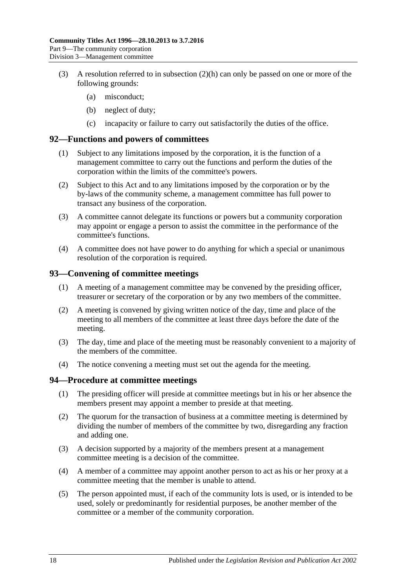- (3) A resolution referred to in [subsection](#page-84-1) (2)(h) can only be passed on one or more of the following grounds:
	- (a) misconduct;
	- (b) neglect of duty;
	- (c) incapacity or failure to carry out satisfactorily the duties of the office.

#### **92—Functions and powers of committees**

- (1) Subject to any limitations imposed by the corporation, it is the function of a management committee to carry out the functions and perform the duties of the corporation within the limits of the committee's powers.
- (2) Subject to this Act and to any limitations imposed by the corporation or by the by-laws of the community scheme, a management committee has full power to transact any business of the corporation.
- (3) A committee cannot delegate its functions or powers but a community corporation may appoint or engage a person to assist the committee in the performance of the committee's functions.
- (4) A committee does not have power to do anything for which a special or unanimous resolution of the corporation is required.

## **93—Convening of committee meetings**

- (1) A meeting of a management committee may be convened by the presiding officer, treasurer or secretary of the corporation or by any two members of the committee.
- (2) A meeting is convened by giving written notice of the day, time and place of the meeting to all members of the committee at least three days before the date of the meeting.
- (3) The day, time and place of the meeting must be reasonably convenient to a majority of the members of the committee.
- (4) The notice convening a meeting must set out the agenda for the meeting.

## **94—Procedure at committee meetings**

- (1) The presiding officer will preside at committee meetings but in his or her absence the members present may appoint a member to preside at that meeting.
- (2) The quorum for the transaction of business at a committee meeting is determined by dividing the number of members of the committee by two, disregarding any fraction and adding one.
- (3) A decision supported by a majority of the members present at a management committee meeting is a decision of the committee.
- (4) A member of a committee may appoint another person to act as his or her proxy at a committee meeting that the member is unable to attend.
- (5) The person appointed must, if each of the community lots is used, or is intended to be used, solely or predominantly for residential purposes, be another member of the committee or a member of the community corporation.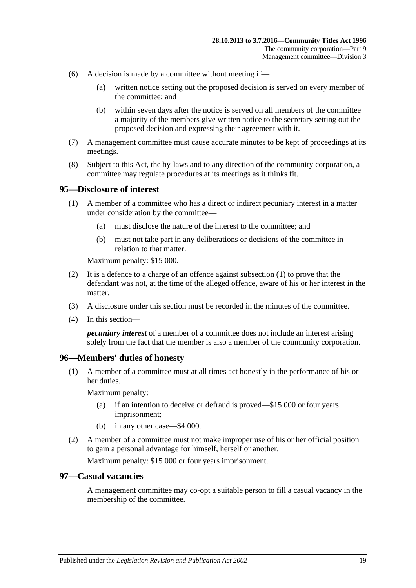- (6) A decision is made by a committee without meeting if—
	- (a) written notice setting out the proposed decision is served on every member of the committee; and
	- (b) within seven days after the notice is served on all members of the committee a majority of the members give written notice to the secretary setting out the proposed decision and expressing their agreement with it.
- (7) A management committee must cause accurate minutes to be kept of proceedings at its meetings.
- (8) Subject to this Act, the by-laws and to any direction of the community corporation, a committee may regulate procedures at its meetings as it thinks fit.

#### <span id="page-86-0"></span>**95—Disclosure of interest**

- (1) A member of a committee who has a direct or indirect pecuniary interest in a matter under consideration by the committee—
	- (a) must disclose the nature of the interest to the committee; and
	- (b) must not take part in any deliberations or decisions of the committee in relation to that matter.

Maximum penalty: \$15 000.

- (2) It is a defence to a charge of an offence against [subsection](#page-86-0) (1) to prove that the defendant was not, at the time of the alleged offence, aware of his or her interest in the matter.
- (3) A disclosure under this section must be recorded in the minutes of the committee.
- (4) In this section—

*pecuniary interest* of a member of a committee does not include an interest arising solely from the fact that the member is also a member of the community corporation.

#### **96—Members' duties of honesty**

(1) A member of a committee must at all times act honestly in the performance of his or her duties.

Maximum penalty:

- (a) if an intention to deceive or defraud is proved—\$15 000 or four years imprisonment;
- (b) in any other case—\$4 000.
- (2) A member of a committee must not make improper use of his or her official position to gain a personal advantage for himself, herself or another.

Maximum penalty: \$15 000 or four years imprisonment.

#### **97—Casual vacancies**

A management committee may co-opt a suitable person to fill a casual vacancy in the membership of the committee.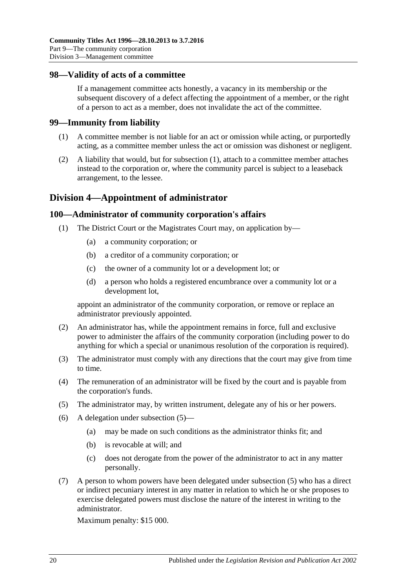#### **98—Validity of acts of a committee**

If a management committee acts honestly, a vacancy in its membership or the subsequent discovery of a defect affecting the appointment of a member, or the right of a person to act as a member, does not invalidate the act of the committee.

#### <span id="page-87-0"></span>**99—Immunity from liability**

- (1) A committee member is not liable for an act or omission while acting, or purportedly acting, as a committee member unless the act or omission was dishonest or negligent.
- (2) A liability that would, but for [subsection](#page-87-0) (1), attach to a committee member attaches instead to the corporation or, where the community parcel is subject to a leaseback arrangement, to the lessee.

# **Division 4—Appointment of administrator**

## **100—Administrator of community corporation's affairs**

- (1) The District Court or the Magistrates Court may, on application by—
	- (a) a community corporation; or
	- (b) a creditor of a community corporation; or
	- (c) the owner of a community lot or a development lot; or
	- (d) a person who holds a registered encumbrance over a community lot or a development lot,

appoint an administrator of the community corporation, or remove or replace an administrator previously appointed.

- (2) An administrator has, while the appointment remains in force, full and exclusive power to administer the affairs of the community corporation (including power to do anything for which a special or unanimous resolution of the corporation is required).
- (3) The administrator must comply with any directions that the court may give from time to time.
- (4) The remuneration of an administrator will be fixed by the court and is payable from the corporation's funds.
- <span id="page-87-1"></span>(5) The administrator may, by written instrument, delegate any of his or her powers.
- (6) A delegation under [subsection](#page-87-1) (5)—
	- (a) may be made on such conditions as the administrator thinks fit; and
	- (b) is revocable at will; and
	- (c) does not derogate from the power of the administrator to act in any matter personally.
- <span id="page-87-2"></span>(7) A person to whom powers have been delegated under [subsection](#page-87-1) (5) who has a direct or indirect pecuniary interest in any matter in relation to which he or she proposes to exercise delegated powers must disclose the nature of the interest in writing to the administrator.

Maximum penalty: \$15 000.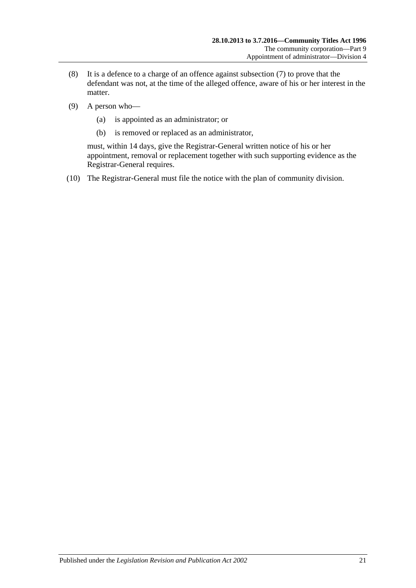- (8) It is a defence to a charge of an offence against [subsection](#page-87-2) (7) to prove that the defendant was not, at the time of the alleged offence, aware of his or her interest in the matter.
- (9) A person who—
	- (a) is appointed as an administrator; or
	- (b) is removed or replaced as an administrator,

must, within 14 days, give the Registrar-General written notice of his or her appointment, removal or replacement together with such supporting evidence as the Registrar-General requires.

(10) The Registrar-General must file the notice with the plan of community division.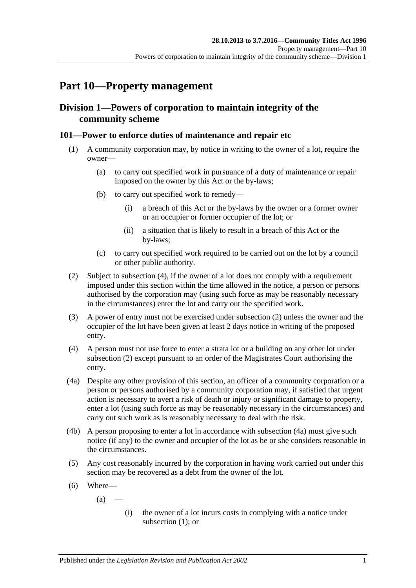# **Part 10—Property management**

# **Division 1—Powers of corporation to maintain integrity of the community scheme**

## <span id="page-90-3"></span>**101—Power to enforce duties of maintenance and repair etc**

- (1) A community corporation may, by notice in writing to the owner of a lot, require the owner—
	- (a) to carry out specified work in pursuance of a duty of maintenance or repair imposed on the owner by this Act or the by-laws;
	- (b) to carry out specified work to remedy—
		- (i) a breach of this Act or the by-laws by the owner or a former owner or an occupier or former occupier of the lot; or
		- (ii) a situation that is likely to result in a breach of this Act or the by-laws;
	- (c) to carry out specified work required to be carried out on the lot by a council or other public authority.
- <span id="page-90-1"></span>(2) Subject to [subsection](#page-90-0) (4), if the owner of a lot does not comply with a requirement imposed under this section within the time allowed in the notice, a person or persons authorised by the corporation may (using such force as may be reasonably necessary in the circumstances) enter the lot and carry out the specified work.
- (3) A power of entry must not be exercised under [subsection](#page-90-1) (2) unless the owner and the occupier of the lot have been given at least 2 days notice in writing of the proposed entry.
- <span id="page-90-0"></span>(4) A person must not use force to enter a strata lot or a building on any other lot under [subsection](#page-90-1) (2) except pursuant to an order of the Magistrates Court authorising the entry.
- <span id="page-90-2"></span>(4a) Despite any other provision of this section, an officer of a community corporation or a person or persons authorised by a community corporation may, if satisfied that urgent action is necessary to avert a risk of death or injury or significant damage to property, enter a lot (using such force as may be reasonably necessary in the circumstances) and carry out such work as is reasonably necessary to deal with the risk.
- (4b) A person proposing to enter a lot in accordance with [subsection](#page-90-2) (4a) must give such notice (if any) to the owner and occupier of the lot as he or she considers reasonable in the circumstances.
- <span id="page-90-4"></span>(5) Any cost reasonably incurred by the corporation in having work carried out under this section may be recovered as a debt from the owner of the lot.
- (6) Where—

 $(a)$ 

(i) the owner of a lot incurs costs in complying with a notice under [subsection](#page-90-3)  $(1)$ ; or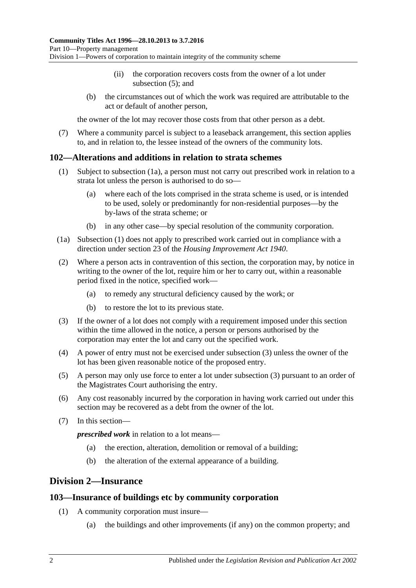- (ii) the corporation recovers costs from the owner of a lot under [subsection](#page-90-4)  $(5)$ ; and
- (b) the circumstances out of which the work was required are attributable to the act or default of another person,

the owner of the lot may recover those costs from that other person as a debt.

(7) Where a community parcel is subject to a leaseback arrangement, this section applies to, and in relation to, the lessee instead of the owners of the community lots.

#### <span id="page-91-2"></span>**102—Alterations and additions in relation to strata schemes**

- (1) Subject to [subsection](#page-91-1) (1a), a person must not carry out prescribed work in relation to a strata lot unless the person is authorised to do so—
	- (a) where each of the lots comprised in the strata scheme is used, or is intended to be used, solely or predominantly for non-residential purposes—by the by-laws of the strata scheme; or
	- (b) in any other case—by special resolution of the community corporation.
- <span id="page-91-1"></span>(1a) [Subsection](#page-91-2) (1) does not apply to prescribed work carried out in compliance with a direction under section 23 of the *[Housing Improvement Act](http://www.legislation.sa.gov.au/index.aspx?action=legref&type=act&legtitle=Housing%20Improvement%20Act%201940) 1940*.
- (2) Where a person acts in contravention of this section, the corporation may, by notice in writing to the owner of the lot, require him or her to carry out, within a reasonable period fixed in the notice, specified work—
	- (a) to remedy any structural deficiency caused by the work; or
	- (b) to restore the lot to its previous state.
- <span id="page-91-3"></span>(3) If the owner of a lot does not comply with a requirement imposed under this section within the time allowed in the notice, a person or persons authorised by the corporation may enter the lot and carry out the specified work.
- (4) A power of entry must not be exercised under [subsection](#page-91-3) (3) unless the owner of the lot has been given reasonable notice of the proposed entry.
- (5) A person may only use force to enter a lot under [subsection](#page-91-3) (3) pursuant to an order of the Magistrates Court authorising the entry.
- (6) Any cost reasonably incurred by the corporation in having work carried out under this section may be recovered as a debt from the owner of the lot.
- (7) In this section—

*prescribed work* in relation to a lot means—

- (a) the erection, alteration, demolition or removal of a building;
- (b) the alteration of the external appearance of a building.

# <span id="page-91-0"></span>**Division 2—Insurance**

#### **103—Insurance of buildings etc by community corporation**

- (1) A community corporation must insure—
	- (a) the buildings and other improvements (if any) on the common property; and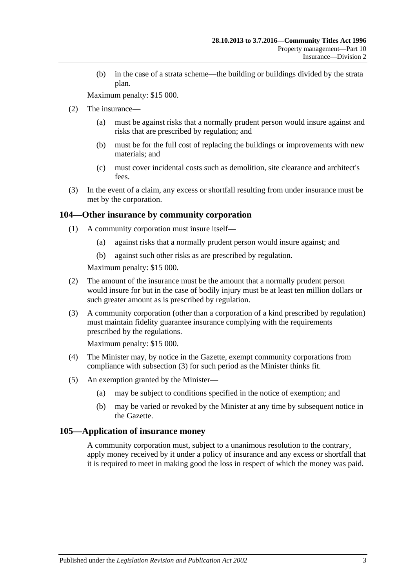(b) in the case of a strata scheme—the building or buildings divided by the strata plan.

Maximum penalty: \$15 000.

- (2) The insurance—
	- (a) must be against risks that a normally prudent person would insure against and risks that are prescribed by regulation; and
	- (b) must be for the full cost of replacing the buildings or improvements with new materials; and
	- (c) must cover incidental costs such as demolition, site clearance and architect's fees.
- (3) In the event of a claim, any excess or shortfall resulting from under insurance must be met by the corporation.

#### **104—Other insurance by community corporation**

- (1) A community corporation must insure itself—
	- (a) against risks that a normally prudent person would insure against; and
	- (b) against such other risks as are prescribed by regulation.

Maximum penalty: \$15 000.

- (2) The amount of the insurance must be the amount that a normally prudent person would insure for but in the case of bodily injury must be at least ten million dollars or such greater amount as is prescribed by regulation.
- <span id="page-92-0"></span>(3) A community corporation (other than a corporation of a kind prescribed by regulation) must maintain fidelity guarantee insurance complying with the requirements prescribed by the regulations.

Maximum penalty: \$15 000.

- (4) The Minister may, by notice in the Gazette, exempt community corporations from compliance with [subsection](#page-92-0) (3) for such period as the Minister thinks fit.
- (5) An exemption granted by the Minister—
	- (a) may be subject to conditions specified in the notice of exemption; and
	- (b) may be varied or revoked by the Minister at any time by subsequent notice in the Gazette.

#### **105—Application of insurance money**

A community corporation must, subject to a unanimous resolution to the contrary, apply money received by it under a policy of insurance and any excess or shortfall that it is required to meet in making good the loss in respect of which the money was paid.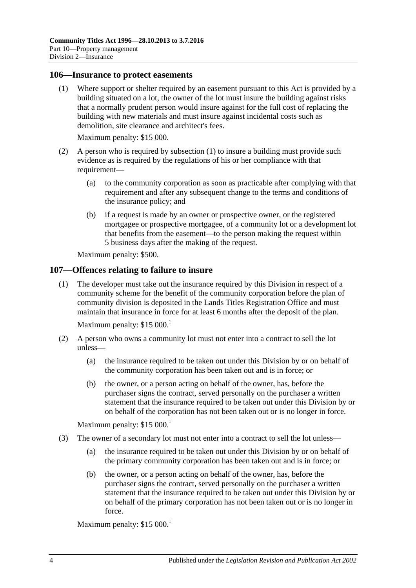#### <span id="page-93-0"></span>**106—Insurance to protect easements**

(1) Where support or shelter required by an easement pursuant to this Act is provided by a building situated on a lot, the owner of the lot must insure the building against risks that a normally prudent person would insure against for the full cost of replacing the building with new materials and must insure against incidental costs such as demolition, site clearance and architect's fees.

Maximum penalty: \$15 000.

- (2) A person who is required by [subsection](#page-93-0) (1) to insure a building must provide such evidence as is required by the regulations of his or her compliance with that requirement—
	- (a) to the community corporation as soon as practicable after complying with that requirement and after any subsequent change to the terms and conditions of the insurance policy; and
	- (b) if a request is made by an owner or prospective owner, or the registered mortgagee or prospective mortgagee, of a community lot or a development lot that benefits from the easement—to the person making the request within 5 business days after the making of the request.

Maximum penalty: \$500.

#### **107—Offences relating to failure to insure**

(1) The developer must take out the insurance required by this Division in respect of a community scheme for the benefit of the community corporation before the plan of community division is deposited in the Lands Titles Registration Office and must maintain that insurance in force for at least 6 months after the deposit of the plan.

Maximum penalty: \$15 000.

- (2) A person who owns a community lot must not enter into a contract to sell the lot unless—
	- (a) the insurance required to be taken out under this Division by or on behalf of the community corporation has been taken out and is in force; or
	- (b) the owner, or a person acting on behalf of the owner, has, before the purchaser signs the contract, served personally on the purchaser a written statement that the insurance required to be taken out under this Division by or on behalf of the corporation has not been taken out or is no longer in force.

Maximum penalty:  $$15,000$ <sup>1</sup>

- (3) The owner of a secondary lot must not enter into a contract to sell the lot unless—
	- (a) the insurance required to be taken out under this Division by or on behalf of the primary community corporation has been taken out and is in force; or
	- (b) the owner, or a person acting on behalf of the owner, has, before the purchaser signs the contract, served personally on the purchaser a written statement that the insurance required to be taken out under this Division by or on behalf of the primary corporation has not been taken out or is no longer in force.

Maximum penalty:  $$15\,000$ <sup>1</sup>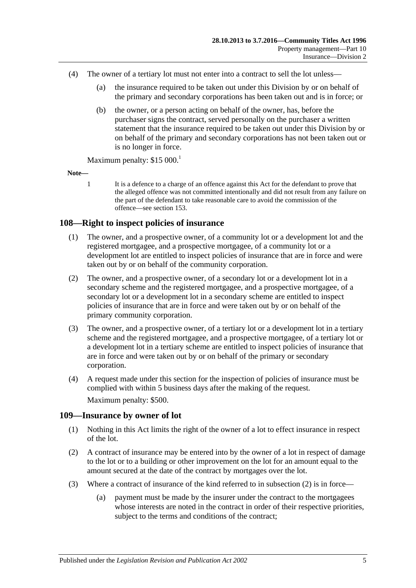- (4) The owner of a tertiary lot must not enter into a contract to sell the lot unless—
	- (a) the insurance required to be taken out under this Division by or on behalf of the primary and secondary corporations has been taken out and is in force; or
	- (b) the owner, or a person acting on behalf of the owner, has, before the purchaser signs the contract, served personally on the purchaser a written statement that the insurance required to be taken out under this Division by or on behalf of the primary and secondary corporations has not been taken out or is no longer in force.

Maximum penalty:  $$15\,000$ <sup>1</sup>

**Note—**

1 It is a defence to a charge of an offence against this Act for the defendant to prove that the alleged offence was not committed intentionally and did not result from any failure on the part of the defendant to take reasonable care to avoid the commission of the offence—se[e section](#page-121-0) 153.

## **108—Right to inspect policies of insurance**

- (1) The owner, and a prospective owner, of a community lot or a development lot and the registered mortgagee, and a prospective mortgagee, of a community lot or a development lot are entitled to inspect policies of insurance that are in force and were taken out by or on behalf of the community corporation.
- (2) The owner, and a prospective owner, of a secondary lot or a development lot in a secondary scheme and the registered mortgagee, and a prospective mortgagee, of a secondary lot or a development lot in a secondary scheme are entitled to inspect policies of insurance that are in force and were taken out by or on behalf of the primary community corporation.
- (3) The owner, and a prospective owner, of a tertiary lot or a development lot in a tertiary scheme and the registered mortgagee, and a prospective mortgagee, of a tertiary lot or a development lot in a tertiary scheme are entitled to inspect policies of insurance that are in force and were taken out by or on behalf of the primary or secondary corporation.
- (4) A request made under this section for the inspection of policies of insurance must be complied with within 5 business days after the making of the request. Maximum penalty: \$500.

## **109—Insurance by owner of lot**

- (1) Nothing in this Act limits the right of the owner of a lot to effect insurance in respect of the lot.
- <span id="page-94-0"></span>(2) A contract of insurance may be entered into by the owner of a lot in respect of damage to the lot or to a building or other improvement on the lot for an amount equal to the amount secured at the date of the contract by mortgages over the lot.
- (3) Where a contract of insurance of the kind referred to in [subsection](#page-94-0) (2) is in force—
	- (a) payment must be made by the insurer under the contract to the mortgagees whose interests are noted in the contract in order of their respective priorities, subject to the terms and conditions of the contract: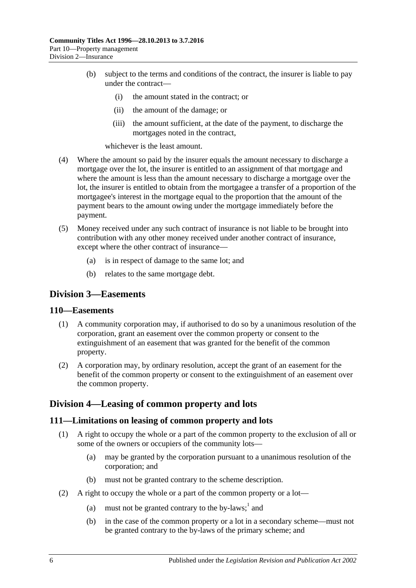- (b) subject to the terms and conditions of the contract, the insurer is liable to pay under the contract—
	- (i) the amount stated in the contract; or
	- (ii) the amount of the damage; or
	- (iii) the amount sufficient, at the date of the payment, to discharge the mortgages noted in the contract,

whichever is the least amount.

- (4) Where the amount so paid by the insurer equals the amount necessary to discharge a mortgage over the lot, the insurer is entitled to an assignment of that mortgage and where the amount is less than the amount necessary to discharge a mortgage over the lot, the insurer is entitled to obtain from the mortgagee a transfer of a proportion of the mortgagee's interest in the mortgage equal to the proportion that the amount of the payment bears to the amount owing under the mortgage immediately before the payment.
- (5) Money received under any such contract of insurance is not liable to be brought into contribution with any other money received under another contract of insurance, except where the other contract of insurance—
	- (a) is in respect of damage to the same lot; and
	- (b) relates to the same mortgage debt.

## **Division 3—Easements**

#### **110—Easements**

- (1) A community corporation may, if authorised to do so by a unanimous resolution of the corporation, grant an easement over the common property or consent to the extinguishment of an easement that was granted for the benefit of the common property.
- (2) A corporation may, by ordinary resolution, accept the grant of an easement for the benefit of the common property or consent to the extinguishment of an easement over the common property.

# **Division 4—Leasing of common property and lots**

#### **111—Limitations on leasing of common property and lots**

- (1) A right to occupy the whole or a part of the common property to the exclusion of all or some of the owners or occupiers of the community lots—
	- (a) may be granted by the corporation pursuant to a unanimous resolution of the corporation; and
	- (b) must not be granted contrary to the scheme description.
- (2) A right to occupy the whole or a part of the common property or a lot—
	- (a) must not be granted contrary to the by-laws; $<sup>1</sup>$  and</sup>
	- (b) in the case of the common property or a lot in a secondary scheme—must not be granted contrary to the by-laws of the primary scheme; and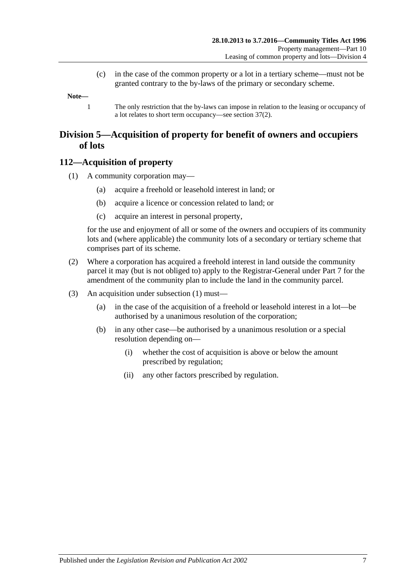(c) in the case of the common property or a lot in a tertiary scheme—must not be granted contrary to the by-laws of the primary or secondary scheme.

**Note—**

1 The only restriction that the by-laws can impose in relation to the leasing or occupancy of a lot relates to short term occupancy—se[e section](#page-39-0) 37(2).

# **Division 5—Acquisition of property for benefit of owners and occupiers of lots**

## <span id="page-96-0"></span>**112—Acquisition of property**

- (1) A community corporation may—
	- (a) acquire a freehold or leasehold interest in land; or
	- (b) acquire a licence or concession related to land; or
	- (c) acquire an interest in personal property,

for the use and enjoyment of all or some of the owners and occupiers of its community lots and (where applicable) the community lots of a secondary or tertiary scheme that comprises part of its scheme.

- (2) Where a corporation has acquired a freehold interest in land outside the community parcel it may (but is not obliged to) apply to the Registrar-General under [Part 7](#page-50-0) for the amendment of the community plan to include the land in the community parcel.
- (3) An acquisition under [subsection](#page-96-0) (1) must—
	- (a) in the case of the acquisition of a freehold or leasehold interest in a lot—be authorised by a unanimous resolution of the corporation;
	- (b) in any other case—be authorised by a unanimous resolution or a special resolution depending on—
		- (i) whether the cost of acquisition is above or below the amount prescribed by regulation;
		- (ii) any other factors prescribed by regulation.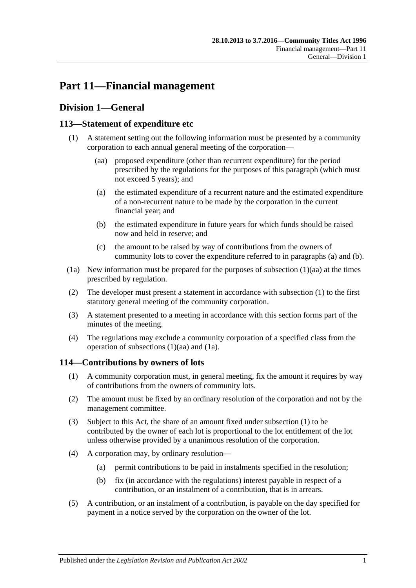# **Part 11—Financial management**

# **Division 1—General**

# <span id="page-98-4"></span><span id="page-98-0"></span>**113—Statement of expenditure etc**

- <span id="page-98-3"></span><span id="page-98-1"></span>(1) A statement setting out the following information must be presented by a community corporation to each annual general meeting of the corporation—
	- (aa) proposed expenditure (other than recurrent expenditure) for the period prescribed by the regulations for the purposes of this paragraph (which must not exceed 5 years); and
	- (a) the estimated expenditure of a recurrent nature and the estimated expenditure of a non-recurrent nature to be made by the corporation in the current financial year; and
	- (b) the estimated expenditure in future years for which funds should be raised now and held in reserve; and
	- (c) the amount to be raised by way of contributions from the owners of community lots to cover the expenditure referred to in [paragraphs](#page-98-1) (a) and [\(b\).](#page-98-2)
- <span id="page-98-5"></span><span id="page-98-2"></span>(1a) New information must be prepared for the purposes of [subsection](#page-98-3) (1)(aa) at the times prescribed by regulation.
- (2) The developer must present a statement in accordance with [subsection](#page-98-4) (1) to the first statutory general meeting of the community corporation.
- (3) A statement presented to a meeting in accordance with this section forms part of the minutes of the meeting.
- (4) The regulations may exclude a community corporation of a specified class from the operation of [subsections](#page-98-3) (1)(aa) and [\(1a\).](#page-98-5)

# <span id="page-98-6"></span>**114—Contributions by owners of lots**

- (1) A community corporation must, in general meeting, fix the amount it requires by way of contributions from the owners of community lots.
- (2) The amount must be fixed by an ordinary resolution of the corporation and not by the management committee.
- (3) Subject to this Act, the share of an amount fixed under [subsection](#page-98-6) (1) to be contributed by the owner of each lot is proportional to the lot entitlement of the lot unless otherwise provided by a unanimous resolution of the corporation.
- (4) A corporation may, by ordinary resolution—
	- (a) permit contributions to be paid in instalments specified in the resolution;
	- (b) fix (in accordance with the regulations) interest payable in respect of a contribution, or an instalment of a contribution, that is in arrears.
- (5) A contribution, or an instalment of a contribution, is payable on the day specified for payment in a notice served by the corporation on the owner of the lot.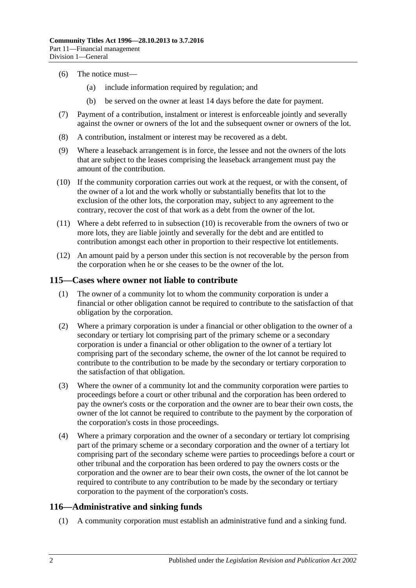- (6) The notice must—
	- (a) include information required by regulation; and
	- (b) be served on the owner at least 14 days before the date for payment.
- (7) Payment of a contribution, instalment or interest is enforceable jointly and severally against the owner or owners of the lot and the subsequent owner or owners of the lot.
- (8) A contribution, instalment or interest may be recovered as a debt.
- (9) Where a leaseback arrangement is in force, the lessee and not the owners of the lots that are subject to the leases comprising the leaseback arrangement must pay the amount of the contribution.
- <span id="page-99-0"></span>(10) If the community corporation carries out work at the request, or with the consent, of the owner of a lot and the work wholly or substantially benefits that lot to the exclusion of the other lots, the corporation may, subject to any agreement to the contrary, recover the cost of that work as a debt from the owner of the lot.
- (11) Where a debt referred to in [subsection](#page-99-0) (10) is recoverable from the owners of two or more lots, they are liable jointly and severally for the debt and are entitled to contribution amongst each other in proportion to their respective lot entitlements.
- (12) An amount paid by a person under this section is not recoverable by the person from the corporation when he or she ceases to be the owner of the lot.

#### <span id="page-99-1"></span>**115—Cases where owner not liable to contribute**

- (1) The owner of a community lot to whom the community corporation is under a financial or other obligation cannot be required to contribute to the satisfaction of that obligation by the corporation.
- (2) Where a primary corporation is under a financial or other obligation to the owner of a secondary or tertiary lot comprising part of the primary scheme or a secondary corporation is under a financial or other obligation to the owner of a tertiary lot comprising part of the secondary scheme, the owner of the lot cannot be required to contribute to the contribution to be made by the secondary or tertiary corporation to the satisfaction of that obligation.
- <span id="page-99-2"></span>(3) Where the owner of a community lot and the community corporation were parties to proceedings before a court or other tribunal and the corporation has been ordered to pay the owner's costs or the corporation and the owner are to bear their own costs, the owner of the lot cannot be required to contribute to the payment by the corporation of the corporation's costs in those proceedings.
- (4) Where a primary corporation and the owner of a secondary or tertiary lot comprising part of the primary scheme or a secondary corporation and the owner of a tertiary lot comprising part of the secondary scheme were parties to proceedings before a court or other tribunal and the corporation has been ordered to pay the owners costs or the corporation and the owner are to bear their own costs, the owner of the lot cannot be required to contribute to any contribution to be made by the secondary or tertiary corporation to the payment of the corporation's costs.

## **116—Administrative and sinking funds**

(1) A community corporation must establish an administrative fund and a sinking fund.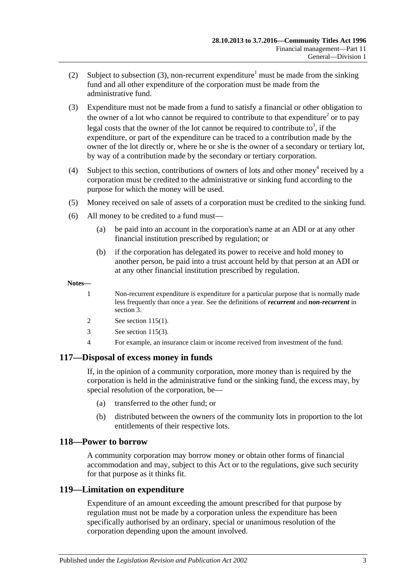- (2) Subject to [subsection](#page-100-0) (3), non-recurrent expenditure<sup>1</sup> must be made from the sinking fund and all other expenditure of the corporation must be made from the administrative fund.
- <span id="page-100-0"></span>(3) Expenditure must not be made from a fund to satisfy a financial or other obligation to the owner of a lot who cannot be required to contribute to that expenditure<sup>2</sup> or to pay legal costs that the owner of the lot cannot be required to contribute to<sup>3</sup>, if the expenditure, or part of the expenditure can be traced to a contribution made by the owner of the lot directly or, where he or she is the owner of a secondary or tertiary lot, by way of a contribution made by the secondary or tertiary corporation.
- (4) Subject to this section, contributions of owners of lots and other money<sup>4</sup> received by a corporation must be credited to the administrative or sinking fund according to the purpose for which the money will be used.
- (5) Money received on sale of assets of a corporation must be credited to the sinking fund.
- (6) All money to be credited to a fund must—
	- (a) be paid into an account in the corporation's name at an ADI or at any other financial institution prescribed by regulation; or
	- (b) if the corporation has delegated its power to receive and hold money to another person, be paid into a trust account held by that person at an ADI or at any other financial institution prescribed by regulation.

#### **Notes—**

- 1 Non-recurrent expenditure is expenditure for a particular purpose that is normally made less frequently than once a year. See the definitions of *recurrent* and *non-recurrent* in [section](#page-6-0) 3.
- 2 See [section](#page-99-1) 115(1).
- 3 See [section](#page-99-2) 115(3).
- 4 For example, an insurance claim or income received from investment of the fund.

## **117—Disposal of excess money in funds**

If, in the opinion of a community corporation, more money than is required by the corporation is held in the administrative fund or the sinking fund, the excess may, by special resolution of the corporation, be—

- (a) transferred to the other fund; or
- (b) distributed between the owners of the community lots in proportion to the lot entitlements of their respective lots.

#### **118—Power to borrow**

A community corporation may borrow money or obtain other forms of financial accommodation and may, subject to this Act or to the regulations, give such security for that purpose as it thinks fit.

## **119—Limitation on expenditure**

Expenditure of an amount exceeding the amount prescribed for that purpose by regulation must not be made by a corporation unless the expenditure has been specifically authorised by an ordinary, special or unanimous resolution of the corporation depending upon the amount involved.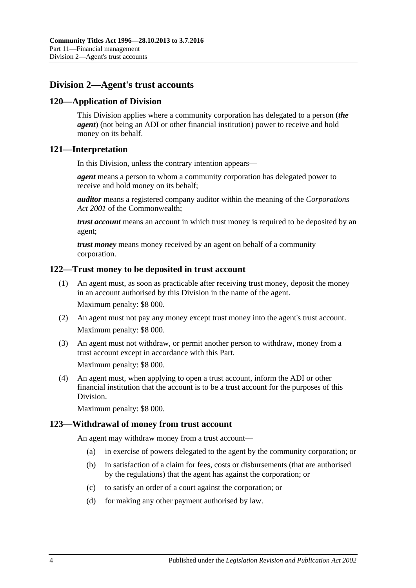# **Division 2—Agent's trust accounts**

## **120—Application of Division**

This Division applies where a community corporation has delegated to a person (*the agent*) (not being an ADI or other financial institution) power to receive and hold money on its behalf.

## **121—Interpretation**

In this Division, unless the contrary intention appears—

*agent* means a person to whom a community corporation has delegated power to receive and hold money on its behalf;

*auditor* means a registered company auditor within the meaning of the *Corporations Act 2001* of the Commonwealth;

*trust account* means an account in which trust money is required to be deposited by an agent;

*trust money* means money received by an agent on behalf of a community corporation.

## **122—Trust money to be deposited in trust account**

- (1) An agent must, as soon as practicable after receiving trust money, deposit the money in an account authorised by this Division in the name of the agent. Maximum penalty: \$8 000.
- (2) An agent must not pay any money except trust money into the agent's trust account. Maximum penalty: \$8 000.
- (3) An agent must not withdraw, or permit another person to withdraw, money from a trust account except in accordance with this Part. Maximum penalty: \$8 000.

(4) An agent must, when applying to open a trust account, inform the ADI or other financial institution that the account is to be a trust account for the purposes of this Division.

Maximum penalty: \$8 000.

## **123—Withdrawal of money from trust account**

An agent may withdraw money from a trust account—

- (a) in exercise of powers delegated to the agent by the community corporation; or
- (b) in satisfaction of a claim for fees, costs or disbursements (that are authorised by the regulations) that the agent has against the corporation; or
- (c) to satisfy an order of a court against the corporation; or
- (d) for making any other payment authorised by law.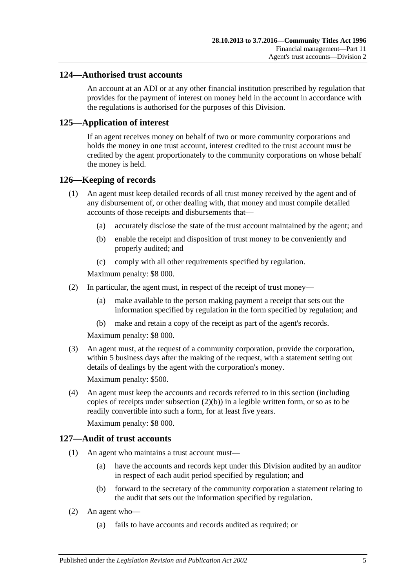#### **124—Authorised trust accounts**

An account at an ADI or at any other financial institution prescribed by regulation that provides for the payment of interest on money held in the account in accordance with the regulations is authorised for the purposes of this Division.

## **125—Application of interest**

If an agent receives money on behalf of two or more community corporations and holds the money in one trust account, interest credited to the trust account must be credited by the agent proportionately to the community corporations on whose behalf the money is held.

#### **126—Keeping of records**

- (1) An agent must keep detailed records of all trust money received by the agent and of any disbursement of, or other dealing with, that money and must compile detailed accounts of those receipts and disbursements that—
	- (a) accurately disclose the state of the trust account maintained by the agent; and
	- (b) enable the receipt and disposition of trust money to be conveniently and properly audited; and
	- (c) comply with all other requirements specified by regulation.

Maximum penalty: \$8 000.

- <span id="page-102-0"></span>(2) In particular, the agent must, in respect of the receipt of trust money—
	- (a) make available to the person making payment a receipt that sets out the information specified by regulation in the form specified by regulation; and
	- (b) make and retain a copy of the receipt as part of the agent's records.

Maximum penalty: \$8 000.

(3) An agent must, at the request of a community corporation, provide the corporation, within 5 business days after the making of the request, with a statement setting out details of dealings by the agent with the corporation's money.

Maximum penalty: \$500.

(4) An agent must keep the accounts and records referred to in this section (including copies of receipts under [subsection](#page-102-0)  $(2)(b)$ ) in a legible written form, or so as to be readily convertible into such a form, for at least five years.

Maximum penalty: \$8 000.

#### **127—Audit of trust accounts**

- (1) An agent who maintains a trust account must—
	- (a) have the accounts and records kept under this Division audited by an auditor in respect of each audit period specified by regulation; and
	- (b) forward to the secretary of the community corporation a statement relating to the audit that sets out the information specified by regulation.
- (2) An agent who—
	- (a) fails to have accounts and records audited as required; or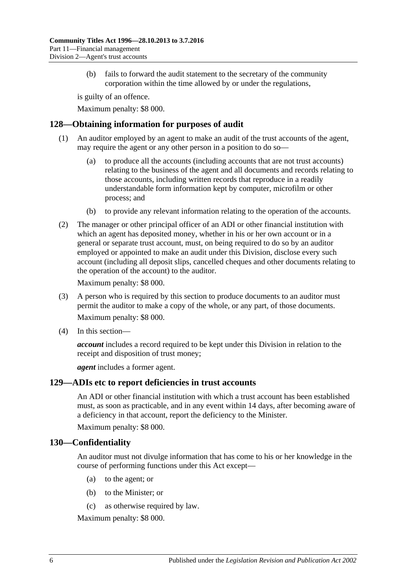(b) fails to forward the audit statement to the secretary of the community corporation within the time allowed by or under the regulations,

is guilty of an offence.

Maximum penalty: \$8 000.

## **128—Obtaining information for purposes of audit**

- (1) An auditor employed by an agent to make an audit of the trust accounts of the agent, may require the agent or any other person in a position to do so—
	- (a) to produce all the accounts (including accounts that are not trust accounts) relating to the business of the agent and all documents and records relating to those accounts, including written records that reproduce in a readily understandable form information kept by computer, microfilm or other process; and
	- (b) to provide any relevant information relating to the operation of the accounts.
- (2) The manager or other principal officer of an ADI or other financial institution with which an agent has deposited money, whether in his or her own account or in a general or separate trust account, must, on being required to do so by an auditor employed or appointed to make an audit under this Division, disclose every such account (including all deposit slips, cancelled cheques and other documents relating to the operation of the account) to the auditor.

Maximum penalty: \$8 000.

- (3) A person who is required by this section to produce documents to an auditor must permit the auditor to make a copy of the whole, or any part, of those documents. Maximum penalty: \$8 000.
- (4) In this section—

*account* includes a record required to be kept under this Division in relation to the receipt and disposition of trust money;

*agent* includes a former agent.

## **129—ADIs etc to report deficiencies in trust accounts**

An ADI or other financial institution with which a trust account has been established must, as soon as practicable, and in any event within 14 days, after becoming aware of a deficiency in that account, report the deficiency to the Minister.

Maximum penalty: \$8 000.

## **130—Confidentiality**

An auditor must not divulge information that has come to his or her knowledge in the course of performing functions under this Act except—

- (a) to the agent; or
- (b) to the Minister; or
- (c) as otherwise required by law.

Maximum penalty: \$8 000.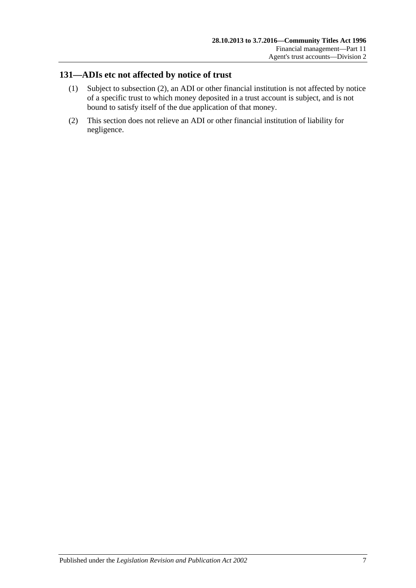# **131—ADIs etc not affected by notice of trust**

- (1) Subject to [subsection](#page-104-0) (2), an ADI or other financial institution is not affected by notice of a specific trust to which money deposited in a trust account is subject, and is not bound to satisfy itself of the due application of that money.
- <span id="page-104-0"></span>(2) This section does not relieve an ADI or other financial institution of liability for negligence.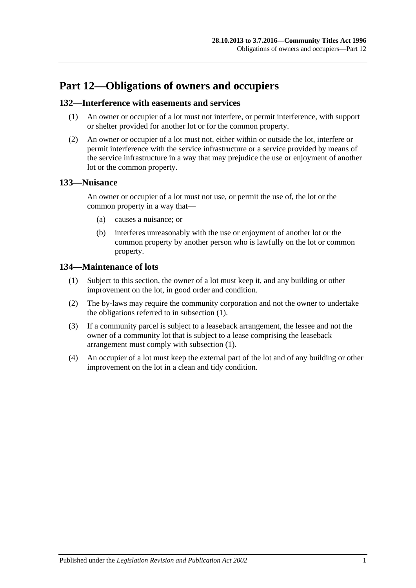# **Part 12—Obligations of owners and occupiers**

#### **132—Interference with easements and services**

- (1) An owner or occupier of a lot must not interfere, or permit interference, with support or shelter provided for another lot or for the common property.
- (2) An owner or occupier of a lot must not, either within or outside the lot, interfere or permit interference with the service infrastructure or a service provided by means of the service infrastructure in a way that may prejudice the use or enjoyment of another lot or the common property.

#### **133—Nuisance**

An owner or occupier of a lot must not use, or permit the use of, the lot or the common property in a way that—

- (a) causes a nuisance; or
- (b) interferes unreasonably with the use or enjoyment of another lot or the common property by another person who is lawfully on the lot or common property.

## <span id="page-106-0"></span>**134—Maintenance of lots**

- (1) Subject to this section, the owner of a lot must keep it, and any building or other improvement on the lot, in good order and condition.
- (2) The by-laws may require the community corporation and not the owner to undertake the obligations referred to in [subsection](#page-106-0) (1).
- (3) If a community parcel is subject to a leaseback arrangement, the lessee and not the owner of a community lot that is subject to a lease comprising the leaseback arrangement must comply with [subsection](#page-106-0) (1).
- (4) An occupier of a lot must keep the external part of the lot and of any building or other improvement on the lot in a clean and tidy condition.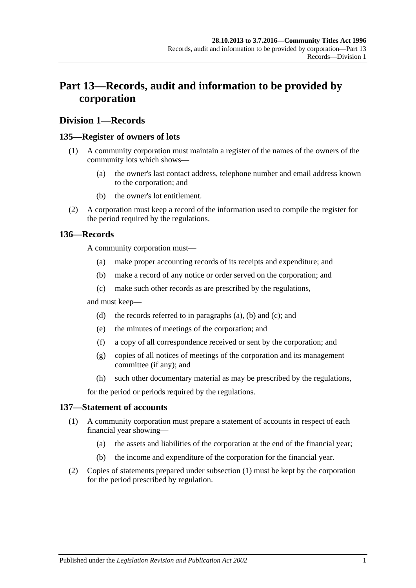# **Part 13—Records, audit and information to be provided by corporation**

### **Division 1—Records**

#### <span id="page-108-4"></span>**135—Register of owners of lots**

- (1) A community corporation must maintain a register of the names of the owners of the community lots which shows—
	- (a) the owner's last contact address, telephone number and email address known to the corporation; and
	- (b) the owner's lot entitlement.
- (2) A corporation must keep a record of the information used to compile the register for the period required by the regulations.

#### <span id="page-108-1"></span><span id="page-108-0"></span>**136—Records**

A community corporation must—

- (a) make proper accounting records of its receipts and expenditure; and
- (b) make a record of any notice or order served on the corporation; and
- (c) make such other records as are prescribed by the regulations,

<span id="page-108-2"></span>and must keep—

- (d) the records referred to in [paragraphs](#page-108-0) (a), [\(b\)](#page-108-1) and [\(c\);](#page-108-2) and
- (e) the minutes of meetings of the corporation; and
- (f) a copy of all correspondence received or sent by the corporation; and
- (g) copies of all notices of meetings of the corporation and its management committee (if any); and
- (h) such other documentary material as may be prescribed by the regulations,

for the period or periods required by the regulations.

#### <span id="page-108-3"></span>**137—Statement of accounts**

- (1) A community corporation must prepare a statement of accounts in respect of each financial year showing—
	- (a) the assets and liabilities of the corporation at the end of the financial year;
	- (b) the income and expenditure of the corporation for the financial year.
- (2) Copies of statements prepared under [subsection](#page-108-3) (1) must be kept by the corporation for the period prescribed by regulation.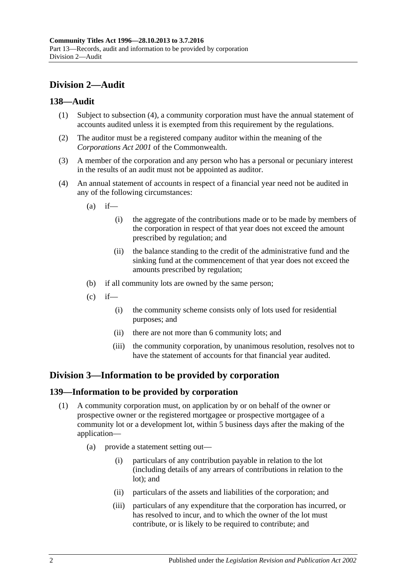## **Division 2—Audit**

#### **138—Audit**

- (1) Subject to [subsection](#page-109-0) (4), a community corporation must have the annual statement of accounts audited unless it is exempted from this requirement by the regulations.
- (2) The auditor must be a registered company auditor within the meaning of the *Corporations Act 2001* of the Commonwealth.
- (3) A member of the corporation and any person who has a personal or pecuniary interest in the results of an audit must not be appointed as auditor.
- <span id="page-109-0"></span>(4) An annual statement of accounts in respect of a financial year need not be audited in any of the following circumstances:
	- $(a)$  if—
		- (i) the aggregate of the contributions made or to be made by members of the corporation in respect of that year does not exceed the amount prescribed by regulation; and
		- (ii) the balance standing to the credit of the administrative fund and the sinking fund at the commencement of that year does not exceed the amounts prescribed by regulation;
	- (b) if all community lots are owned by the same person;
	- $(c)$  if—
		- (i) the community scheme consists only of lots used for residential purposes; and
		- (ii) there are not more than 6 community lots; and
		- (iii) the community corporation, by unanimous resolution, resolves not to have the statement of accounts for that financial year audited.

## **Division 3—Information to be provided by corporation**

#### <span id="page-109-2"></span>**139—Information to be provided by corporation**

- <span id="page-109-1"></span>(1) A community corporation must, on application by or on behalf of the owner or prospective owner or the registered mortgagee or prospective mortgagee of a community lot or a development lot, within 5 business days after the making of the application—
	- (a) provide a statement setting out—
		- (i) particulars of any contribution payable in relation to the lot (including details of any arrears of contributions in relation to the lot); and
		- (ii) particulars of the assets and liabilities of the corporation; and
		- (iii) particulars of any expenditure that the corporation has incurred, or has resolved to incur, and to which the owner of the lot must contribute, or is likely to be required to contribute; and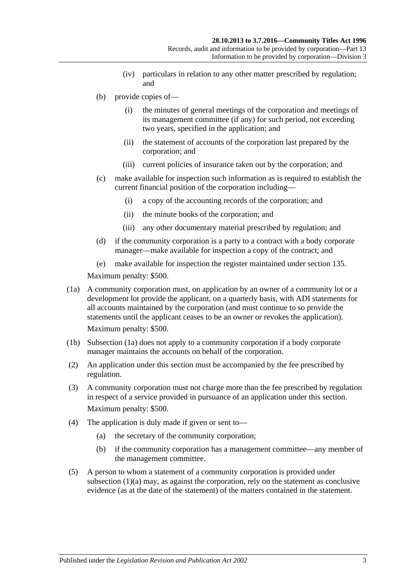- (iv) particulars in relation to any other matter prescribed by regulation; and
- (b) provide copies of—
	- (i) the minutes of general meetings of the corporation and meetings of its management committee (if any) for such period, not exceeding two years, specified in the application; and
	- (ii) the statement of accounts of the corporation last prepared by the corporation; and
	- (iii) current policies of insurance taken out by the corporation; and
- (c) make available for inspection such information as is required to establish the current financial position of the corporation including—
	- (i) a copy of the accounting records of the corporation; and
	- (ii) the minute books of the corporation; and
	- (iii) any other documentary material prescribed by regulation; and
- (d) if the community corporation is a party to a contract with a body corporate manager—make available for inspection a copy of the contract; and
- (e) make available for inspection the register maintained under [section](#page-108-4) 135.

Maximum penalty: \$500.

<span id="page-110-0"></span>(1a) A community corporation must, on application by an owner of a community lot or a development lot provide the applicant, on a quarterly basis, with ADI statements for all accounts maintained by the corporation (and must continue to so provide the statements until the applicant ceases to be an owner or revokes the application).

Maximum penalty: \$500.

- (1b) [Subsection](#page-110-0) (1a) does not apply to a community corporation if a body corporate manager maintains the accounts on behalf of the corporation.
- (2) An application under this section must be accompanied by the fee prescribed by regulation.
- (3) A community corporation must not charge more than the fee prescribed by regulation in respect of a service provided in pursuance of an application under this section. Maximum penalty: \$500.
- (4) The application is duly made if given or sent to—
	- (a) the secretary of the community corporation;
	- (b) if the community corporation has a management committee—any member of the management committee.
- (5) A person to whom a statement of a community corporation is provided under [subsection](#page-109-1) (1)(a) may, as against the corporation, rely on the statement as conclusive evidence (as at the date of the statement) of the matters contained in the statement.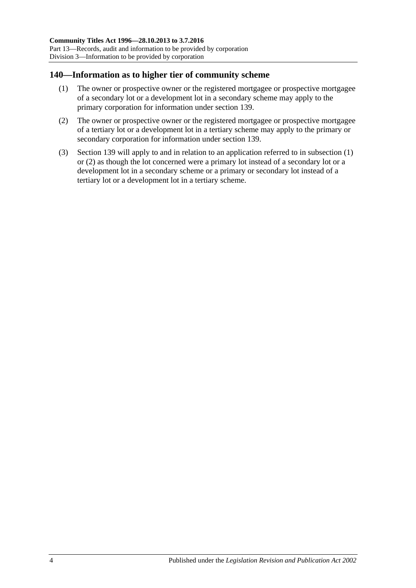#### <span id="page-111-0"></span>**140—Information as to higher tier of community scheme**

- (1) The owner or prospective owner or the registered mortgagee or prospective mortgagee of a secondary lot or a development lot in a secondary scheme may apply to the primary corporation for information under [section](#page-109-2) 139.
- <span id="page-111-1"></span>(2) The owner or prospective owner or the registered mortgagee or prospective mortgagee of a tertiary lot or a development lot in a tertiary scheme may apply to the primary or secondary corporation for information under [section](#page-109-2) 139.
- (3) [Section](#page-109-2) 139 will apply to and in relation to an application referred to in [subsection](#page-111-0) (1) or [\(2\)](#page-111-1) as though the lot concerned were a primary lot instead of a secondary lot or a development lot in a secondary scheme or a primary or secondary lot instead of a tertiary lot or a development lot in a tertiary scheme.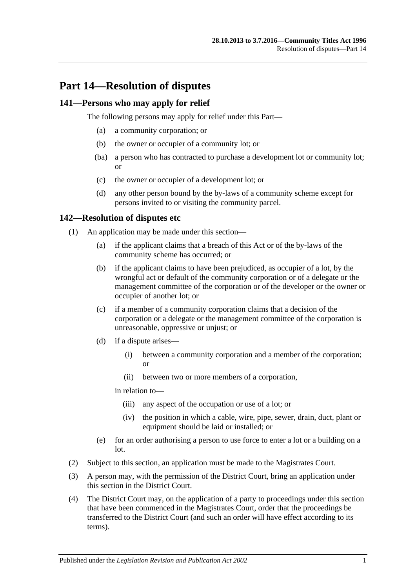## **Part 14—Resolution of disputes**

#### **141—Persons who may apply for relief**

The following persons may apply for relief under this Part—

- (a) a community corporation; or
- (b) the owner or occupier of a community lot; or
- (ba) a person who has contracted to purchase a development lot or community lot; or
- (c) the owner or occupier of a development lot; or
- (d) any other person bound by the by-laws of a community scheme except for persons invited to or visiting the community parcel.

#### <span id="page-112-2"></span>**142—Resolution of disputes etc**

- (1) An application may be made under this section—
	- (a) if the applicant claims that a breach of this Act or of the by-laws of the community scheme has occurred; or
	- (b) if the applicant claims to have been prejudiced, as occupier of a lot, by the wrongful act or default of the community corporation or of a delegate or the management committee of the corporation or of the developer or the owner or occupier of another lot; or
	- (c) if a member of a community corporation claims that a decision of the corporation or a delegate or the management committee of the corporation is unreasonable, oppressive or unjust; or
	- (d) if a dispute arises—
		- (i) between a community corporation and a member of the corporation; or
		- (ii) between two or more members of a corporation,

in relation to—

- (iii) any aspect of the occupation or use of a lot; or
- (iv) the position in which a cable, wire, pipe, sewer, drain, duct, plant or equipment should be laid or installed; or
- (e) for an order authorising a person to use force to enter a lot or a building on a lot.
- (2) Subject to this section, an application must be made to the Magistrates Court.
- <span id="page-112-0"></span>(3) A person may, with the permission of the District Court, bring an application under this section in the District Court.
- <span id="page-112-1"></span>(4) The District Court may, on the application of a party to proceedings under this section that have been commenced in the Magistrates Court, order that the proceedings be transferred to the District Court (and such an order will have effect according to its terms).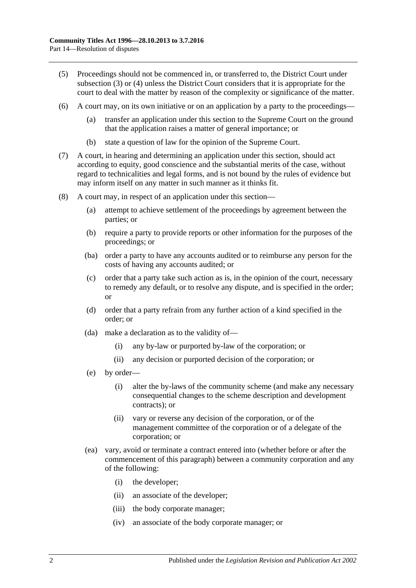- (5) Proceedings should not be commenced in, or transferred to, the District Court under [subsection](#page-112-0) (3) or [\(4\)](#page-112-1) unless the District Court considers that it is appropriate for the court to deal with the matter by reason of the complexity or significance of the matter.
- (6) A court may, on its own initiative or on an application by a party to the proceedings—
	- (a) transfer an application under this section to the Supreme Court on the ground that the application raises a matter of general importance; or
	- (b) state a question of law for the opinion of the Supreme Court.
- (7) A court, in hearing and determining an application under this section, should act according to equity, good conscience and the substantial merits of the case, without regard to technicalities and legal forms, and is not bound by the rules of evidence but may inform itself on any matter in such manner as it thinks fit.
- (8) A court may, in respect of an application under this section—
	- (a) attempt to achieve settlement of the proceedings by agreement between the parties; or
	- (b) require a party to provide reports or other information for the purposes of the proceedings; or
	- (ba) order a party to have any accounts audited or to reimburse any person for the costs of having any accounts audited; or
	- (c) order that a party take such action as is, in the opinion of the court, necessary to remedy any default, or to resolve any dispute, and is specified in the order; or
	- (d) order that a party refrain from any further action of a kind specified in the order; or
	- (da) make a declaration as to the validity of—
		- (i) any by-law or purported by-law of the corporation; or
		- (ii) any decision or purported decision of the corporation; or
	- (e) by order—
		- (i) alter the by-laws of the community scheme (and make any necessary consequential changes to the scheme description and development contracts); or
		- (ii) vary or reverse any decision of the corporation, or of the management committee of the corporation or of a delegate of the corporation; or
	- (ea) vary, avoid or terminate a contract entered into (whether before or after the commencement of this paragraph) between a community corporation and any of the following:
		- (i) the developer;
		- (ii) an associate of the developer;
		- (iii) the body corporate manager;
		- (iv) an associate of the body corporate manager; or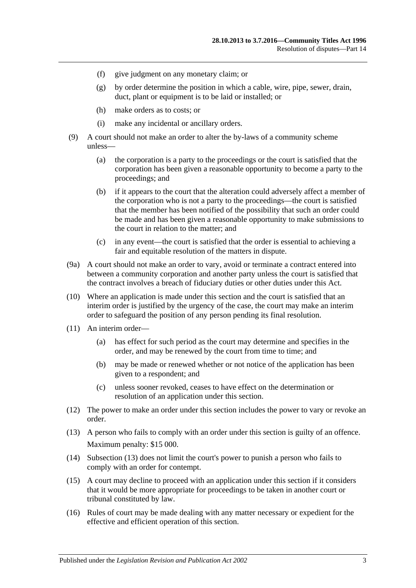- (f) give judgment on any monetary claim; or
- (g) by order determine the position in which a cable, wire, pipe, sewer, drain, duct, plant or equipment is to be laid or installed; or
- (h) make orders as to costs; or
- (i) make any incidental or ancillary orders.
- (9) A court should not make an order to alter the by-laws of a community scheme unless—
	- (a) the corporation is a party to the proceedings or the court is satisfied that the corporation has been given a reasonable opportunity to become a party to the proceedings; and
	- (b) if it appears to the court that the alteration could adversely affect a member of the corporation who is not a party to the proceedings—the court is satisfied that the member has been notified of the possibility that such an order could be made and has been given a reasonable opportunity to make submissions to the court in relation to the matter; and
	- (c) in any event—the court is satisfied that the order is essential to achieving a fair and equitable resolution of the matters in dispute.
- (9a) A court should not make an order to vary, avoid or terminate a contract entered into between a community corporation and another party unless the court is satisfied that the contract involves a breach of fiduciary duties or other duties under this Act.
- (10) Where an application is made under this section and the court is satisfied that an interim order is justified by the urgency of the case, the court may make an interim order to safeguard the position of any person pending its final resolution.
- (11) An interim order—
	- (a) has effect for such period as the court may determine and specifies in the order, and may be renewed by the court from time to time; and
	- (b) may be made or renewed whether or not notice of the application has been given to a respondent; and
	- (c) unless sooner revoked, ceases to have effect on the determination or resolution of an application under this section.
- (12) The power to make an order under this section includes the power to vary or revoke an order.
- <span id="page-114-0"></span>(13) A person who fails to comply with an order under this section is guilty of an offence. Maximum penalty: \$15 000.
- (14) [Subsection](#page-114-0) (13) does not limit the court's power to punish a person who fails to comply with an order for contempt.
- (15) A court may decline to proceed with an application under this section if it considers that it would be more appropriate for proceedings to be taken in another court or tribunal constituted by law.
- (16) Rules of court may be made dealing with any matter necessary or expedient for the effective and efficient operation of this section.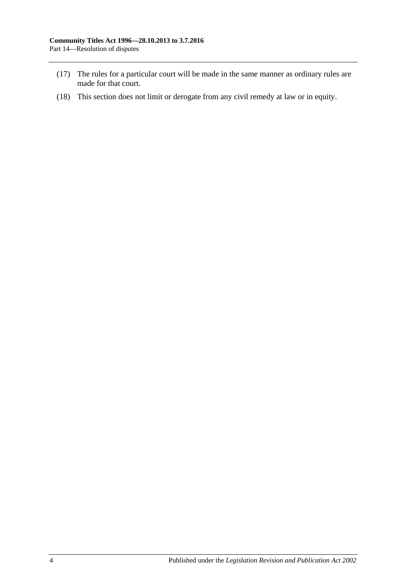- (17) The rules for a particular court will be made in the same manner as ordinary rules are made for that court.
- (18) This section does not limit or derogate from any civil remedy at law or in equity.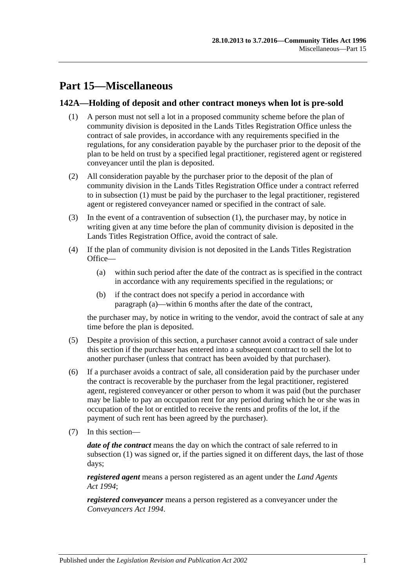# **Part 15—Miscellaneous**

#### <span id="page-116-0"></span>**142A—Holding of deposit and other contract moneys when lot is pre-sold**

- (1) A person must not sell a lot in a proposed community scheme before the plan of community division is deposited in the Lands Titles Registration Office unless the contract of sale provides, in accordance with any requirements specified in the regulations, for any consideration payable by the purchaser prior to the deposit of the plan to be held on trust by a specified legal practitioner, registered agent or registered conveyancer until the plan is deposited.
- (2) All consideration payable by the purchaser prior to the deposit of the plan of community division in the Lands Titles Registration Office under a contract referred to in [subsection](#page-116-0) (1) must be paid by the purchaser to the legal practitioner, registered agent or registered conveyancer named or specified in the contract of sale.
- (3) In the event of a contravention of [subsection](#page-116-0) (1), the purchaser may, by notice in writing given at any time before the plan of community division is deposited in the Lands Titles Registration Office, avoid the contract of sale.
- <span id="page-116-1"></span>(4) If the plan of community division is not deposited in the Lands Titles Registration Office—
	- (a) within such period after the date of the contract as is specified in the contract in accordance with any requirements specified in the regulations; or
	- (b) if the contract does not specify a period in accordance with [paragraph](#page-116-1) (a)—within 6 months after the date of the contract,

the purchaser may, by notice in writing to the vendor, avoid the contract of sale at any time before the plan is deposited.

- (5) Despite a provision of this section, a purchaser cannot avoid a contract of sale under this section if the purchaser has entered into a subsequent contract to sell the lot to another purchaser (unless that contract has been avoided by that purchaser).
- (6) If a purchaser avoids a contract of sale, all consideration paid by the purchaser under the contract is recoverable by the purchaser from the legal practitioner, registered agent, registered conveyancer or other person to whom it was paid (but the purchaser may be liable to pay an occupation rent for any period during which he or she was in occupation of the lot or entitled to receive the rents and profits of the lot, if the payment of such rent has been agreed by the purchaser).
- (7) In this section—

*date of the contract* means the day on which the contract of sale referred to in [subsection](#page-116-0) (1) was signed or, if the parties signed it on different days, the last of those days;

*registered agent* means a person registered as an agent under the *[Land Agents](http://www.legislation.sa.gov.au/index.aspx?action=legref&type=act&legtitle=Land%20Agents%20Act%201994)  Act [1994](http://www.legislation.sa.gov.au/index.aspx?action=legref&type=act&legtitle=Land%20Agents%20Act%201994)*;

*registered conveyancer* means a person registered as a conveyancer under the *[Conveyancers Act](http://www.legislation.sa.gov.au/index.aspx?action=legref&type=act&legtitle=Conveyancers%20Act%201994) 1994*.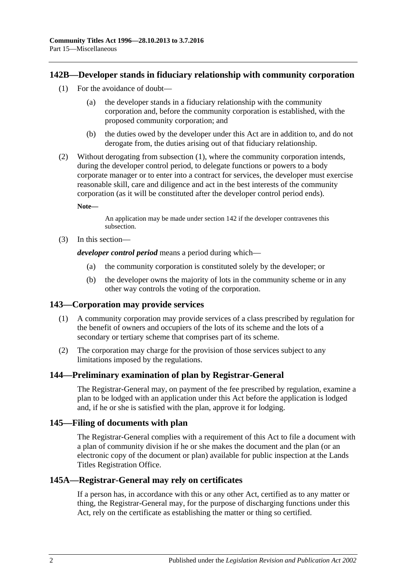#### <span id="page-117-0"></span>**142B—Developer stands in fiduciary relationship with community corporation**

- (1) For the avoidance of doubt—
	- (a) the developer stands in a fiduciary relationship with the community corporation and, before the community corporation is established, with the proposed community corporation; and
	- (b) the duties owed by the developer under this Act are in addition to, and do not derogate from, the duties arising out of that fiduciary relationship.
- (2) Without derogating from [subsection](#page-117-0) (1), where the community corporation intends, during the developer control period, to delegate functions or powers to a body corporate manager or to enter into a contract for services, the developer must exercise reasonable skill, care and diligence and act in the best interests of the community corporation (as it will be constituted after the developer control period ends).

**Note—**

An application may be made under [section](#page-112-2) 142 if the developer contravenes this subsection.

(3) In this section—

*developer control period* means a period during which—

- (a) the community corporation is constituted solely by the developer; or
- (b) the developer owns the majority of lots in the community scheme or in any other way controls the voting of the corporation.

#### **143—Corporation may provide services**

- (1) A community corporation may provide services of a class prescribed by regulation for the benefit of owners and occupiers of the lots of its scheme and the lots of a secondary or tertiary scheme that comprises part of its scheme.
- (2) The corporation may charge for the provision of those services subject to any limitations imposed by the regulations.

#### **144—Preliminary examination of plan by Registrar-General**

The Registrar-General may, on payment of the fee prescribed by regulation, examine a plan to be lodged with an application under this Act before the application is lodged and, if he or she is satisfied with the plan, approve it for lodging.

#### **145—Filing of documents with plan**

The Registrar-General complies with a requirement of this Act to file a document with a plan of community division if he or she makes the document and the plan (or an electronic copy of the document or plan) available for public inspection at the Lands Titles Registration Office.

#### **145A—Registrar-General may rely on certificates**

If a person has, in accordance with this or any other Act, certified as to any matter or thing, the Registrar-General may, for the purpose of discharging functions under this Act, rely on the certificate as establishing the matter or thing so certified.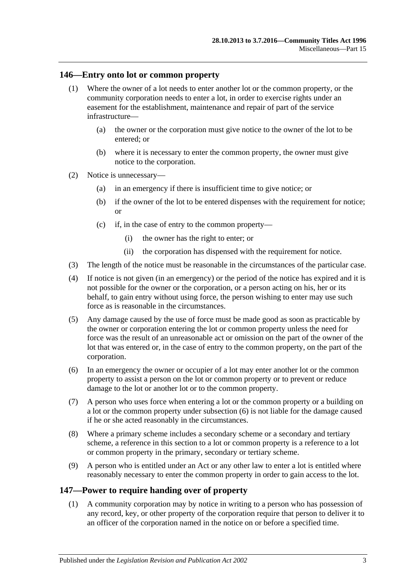#### **146—Entry onto lot or common property**

- (1) Where the owner of a lot needs to enter another lot or the common property, or the community corporation needs to enter a lot, in order to exercise rights under an easement for the establishment, maintenance and repair of part of the service infrastructure—
	- (a) the owner or the corporation must give notice to the owner of the lot to be entered; or
	- (b) where it is necessary to enter the common property, the owner must give notice to the corporation.
- (2) Notice is unnecessary—
	- (a) in an emergency if there is insufficient time to give notice; or
	- (b) if the owner of the lot to be entered dispenses with the requirement for notice; or
	- (c) if, in the case of entry to the common property—
		- (i) the owner has the right to enter; or
		- (ii) the corporation has dispensed with the requirement for notice.
- (3) The length of the notice must be reasonable in the circumstances of the particular case.
- (4) If notice is not given (in an emergency) or the period of the notice has expired and it is not possible for the owner or the corporation, or a person acting on his, her or its behalf, to gain entry without using force, the person wishing to enter may use such force as is reasonable in the circumstances.
- (5) Any damage caused by the use of force must be made good as soon as practicable by the owner or corporation entering the lot or common property unless the need for force was the result of an unreasonable act or omission on the part of the owner of the lot that was entered or, in the case of entry to the common property, on the part of the corporation.
- <span id="page-118-0"></span>(6) In an emergency the owner or occupier of a lot may enter another lot or the common property to assist a person on the lot or common property or to prevent or reduce damage to the lot or another lot or to the common property.
- (7) A person who uses force when entering a lot or the common property or a building on a lot or the common property under [subsection](#page-118-0) (6) is not liable for the damage caused if he or she acted reasonably in the circumstances.
- (8) Where a primary scheme includes a secondary scheme or a secondary and tertiary scheme, a reference in this section to a lot or common property is a reference to a lot or common property in the primary, secondary or tertiary scheme.
- (9) A person who is entitled under an Act or any other law to enter a lot is entitled where reasonably necessary to enter the common property in order to gain access to the lot.

#### <span id="page-118-1"></span>**147—Power to require handing over of property**

(1) A community corporation may by notice in writing to a person who has possession of any record, key, or other property of the corporation require that person to deliver it to an officer of the corporation named in the notice on or before a specified time.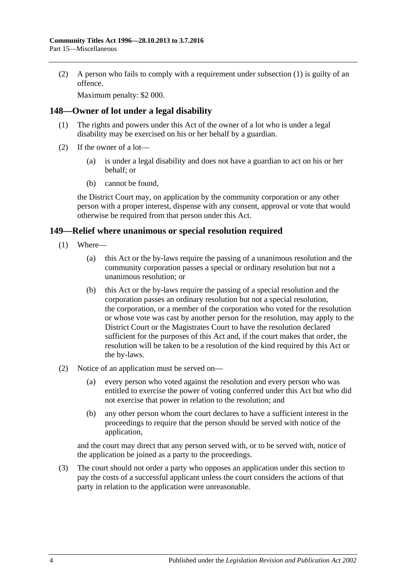(2) A person who fails to comply with a requirement under [subsection](#page-118-1) (1) is guilty of an offence.

Maximum penalty: \$2 000.

#### **148—Owner of lot under a legal disability**

- (1) The rights and powers under this Act of the owner of a lot who is under a legal disability may be exercised on his or her behalf by a guardian.
- (2) If the owner of a lot—
	- (a) is under a legal disability and does not have a guardian to act on his or her behalf; or
	- (b) cannot be found,

the District Court may, on application by the community corporation or any other person with a proper interest, dispense with any consent, approval or vote that would otherwise be required from that person under this Act.

#### **149—Relief where unanimous or special resolution required**

- (1) Where—
	- (a) this Act or the by-laws require the passing of a unanimous resolution and the community corporation passes a special or ordinary resolution but not a unanimous resolution; or
	- (b) this Act or the by-laws require the passing of a special resolution and the corporation passes an ordinary resolution but not a special resolution, the corporation, or a member of the corporation who voted for the resolution or whose vote was cast by another person for the resolution, may apply to the District Court or the Magistrates Court to have the resolution declared sufficient for the purposes of this Act and, if the court makes that order, the resolution will be taken to be a resolution of the kind required by this Act or the by-laws.
- (2) Notice of an application must be served on—
	- (a) every person who voted against the resolution and every person who was entitled to exercise the power of voting conferred under this Act but who did not exercise that power in relation to the resolution; and
	- (b) any other person whom the court declares to have a sufficient interest in the proceedings to require that the person should be served with notice of the application,

and the court may direct that any person served with, or to be served with, notice of the application be joined as a party to the proceedings.

(3) The court should not order a party who opposes an application under this section to pay the costs of a successful applicant unless the court considers the actions of that party in relation to the application were unreasonable.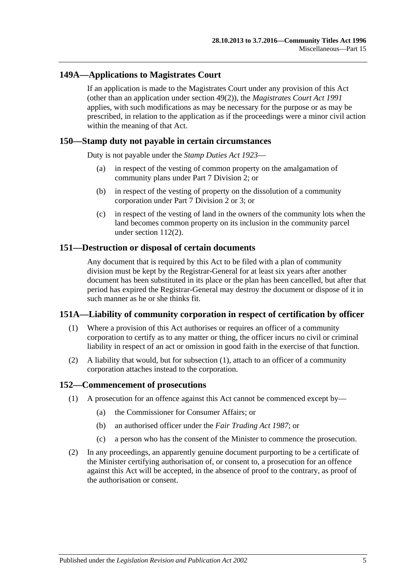### **149A—Applications to Magistrates Court**

If an application is made to the Magistrates Court under any provision of this Act (other than an application under [section](#page-46-0) 49(2)), the *[Magistrates Court Act](http://www.legislation.sa.gov.au/index.aspx?action=legref&type=act&legtitle=Magistrates%20Court%20Act%201991) 1991* applies, with such modifications as may be necessary for the purpose or as may be prescribed, in relation to the application as if the proceedings were a minor civil action within the meaning of that Act.

#### **150—Stamp duty not payable in certain circumstances**

Duty is not payable under the *[Stamp Duties Act](http://www.legislation.sa.gov.au/index.aspx?action=legref&type=act&legtitle=Stamp%20Duties%20Act%201923) 1923*—

- (a) in respect of the vesting of common property on the amalgamation of community plans under [Part 7 Division 2;](#page-57-0) or
- (b) in respect of the vesting of property on the dissolution of a community corporation under [Part 7 Division 2](#page-57-0) or [3;](#page-61-0) or
- (c) in respect of the vesting of land in the owners of the community lots when the land becomes common property on its inclusion in the community parcel under [section](#page-96-0) 112(2).

#### **151—Destruction or disposal of certain documents**

Any document that is required by this Act to be filed with a plan of community division must be kept by the Registrar-General for at least six years after another document has been substituted in its place or the plan has been cancelled, but after that period has expired the Registrar-General may destroy the document or dispose of it in such manner as he or she thinks fit.

#### <span id="page-120-0"></span>**151A—Liability of community corporation in respect of certification by officer**

- (1) Where a provision of this Act authorises or requires an officer of a community corporation to certify as to any matter or thing, the officer incurs no civil or criminal liability in respect of an act or omission in good faith in the exercise of that function.
- (2) A liability that would, but for [subsection](#page-120-0) (1), attach to an officer of a community corporation attaches instead to the corporation.

#### **152—Commencement of prosecutions**

- (1) A prosecution for an offence against this Act cannot be commenced except by—
	- (a) the Commissioner for Consumer Affairs; or
	- (b) an authorised officer under the *[Fair Trading Act](http://www.legislation.sa.gov.au/index.aspx?action=legref&type=act&legtitle=Fair%20Trading%20Act%201987) 1987*; or
	- (c) a person who has the consent of the Minister to commence the prosecution.
- (2) In any proceedings, an apparently genuine document purporting to be a certificate of the Minister certifying authorisation of, or consent to, a prosecution for an offence against this Act will be accepted, in the absence of proof to the contrary, as proof of the authorisation or consent.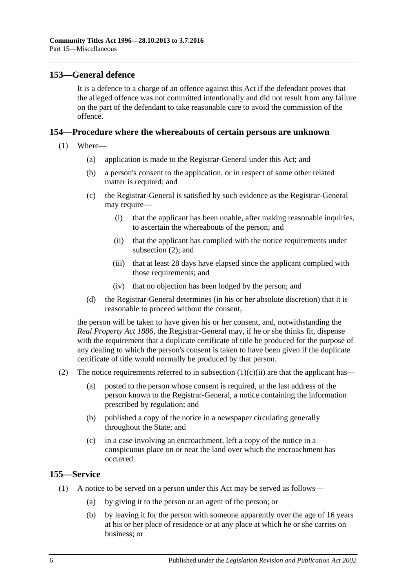#### **153—General defence**

It is a defence to a charge of an offence against this Act if the defendant proves that the alleged offence was not committed intentionally and did not result from any failure on the part of the defendant to take reasonable care to avoid the commission of the offence.

#### **154—Procedure where the whereabouts of certain persons are unknown**

- <span id="page-121-1"></span>(1) Where—
	- (a) application is made to the Registrar-General under this Act; and
	- (b) a person's consent to the application, or in respect of some other related matter is required; and
	- (c) the Registrar-General is satisfied by such evidence as the Registrar-General may require—
		- (i) that the applicant has been unable, after making reasonable inquiries, to ascertain the whereabouts of the person; and
		- (ii) that the applicant has complied with the notice requirements under [subsection](#page-121-0) (2); and
		- (iii) that at least 28 days have elapsed since the applicant complied with those requirements; and
		- (iv) that no objection has been lodged by the person; and
	- (d) the Registrar-General determines (in his or her absolute discretion) that it is reasonable to proceed without the consent,

the person will be taken to have given his or her consent, and, notwithstanding the *[Real Property Act](http://www.legislation.sa.gov.au/index.aspx?action=legref&type=act&legtitle=Real%20Property%20Act%201886) 1886*, the Registrar-General may, if he or she thinks fit, dispense with the requirement that a duplicate certificate of title be produced for the purpose of any dealing to which the person's consent is taken to have been given if the duplicate certificate of title would normally be produced by that person.

- <span id="page-121-0"></span>(2) The notice requirements referred to in [subsection](#page-121-1)  $(1)(c)(ii)$  are that the applicant has—
	- (a) posted to the person whose consent is required, at the last address of the person known to the Registrar-General, a notice containing the information prescribed by regulation; and
	- (b) published a copy of the notice in a newspaper circulating generally throughout the State; and
	- (c) in a case involving an encroachment, left a copy of the notice in a conspicuous place on or near the land over which the encroachment has occurred.

#### **155—Service**

- (1) A notice to be served on a person under this Act may be served as follows—
	- (a) by giving it to the person or an agent of the person; or
	- (b) by leaving it for the person with someone apparently over the age of 16 years at his or her place of residence or at any place at which he or she carries on business; or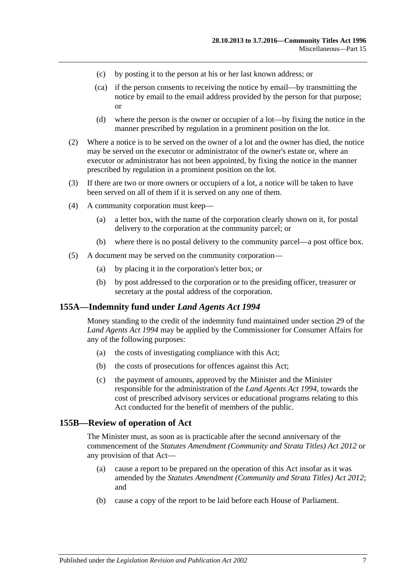- (c) by posting it to the person at his or her last known address; or
- (ca) if the person consents to receiving the notice by email—by transmitting the notice by email to the email address provided by the person for that purpose; or
- (d) where the person is the owner or occupier of a lot—by fixing the notice in the manner prescribed by regulation in a prominent position on the lot.
- (2) Where a notice is to be served on the owner of a lot and the owner has died, the notice may be served on the executor or administrator of the owner's estate or, where an executor or administrator has not been appointed, by fixing the notice in the manner prescribed by regulation in a prominent position on the lot.
- (3) If there are two or more owners or occupiers of a lot, a notice will be taken to have been served on all of them if it is served on any one of them.
- (4) A community corporation must keep—
	- (a) a letter box, with the name of the corporation clearly shown on it, for postal delivery to the corporation at the community parcel; or
	- (b) where there is no postal delivery to the community parcel—a post office box.
- (5) A document may be served on the community corporation—
	- (a) by placing it in the corporation's letter box; or
	- (b) by post addressed to the corporation or to the presiding officer, treasurer or secretary at the postal address of the corporation.

#### **155A—Indemnity fund under** *Land Agents Act 1994*

Money standing to the credit of the indemnity fund maintained under section 29 of the *[Land Agents Act](http://www.legislation.sa.gov.au/index.aspx?action=legref&type=act&legtitle=Land%20Agents%20Act%201994) 1994* may be applied by the Commissioner for Consumer Affairs for any of the following purposes:

- (a) the costs of investigating compliance with this Act;
- (b) the costs of prosecutions for offences against this Act;
- (c) the payment of amounts, approved by the Minister and the Minister responsible for the administration of the *[Land Agents Act](http://www.legislation.sa.gov.au/index.aspx?action=legref&type=act&legtitle=Land%20Agents%20Act%201994) 1994*, towards the cost of prescribed advisory services or educational programs relating to this Act conducted for the benefit of members of the public.

#### **155B—Review of operation of Act**

The Minister must, as soon as is practicable after the second anniversary of the commencement of the *[Statutes Amendment \(Community and Strata Titles\) Act](http://www.legislation.sa.gov.au/index.aspx?action=legref&type=act&legtitle=Statutes%20Amendment%20(Community%20and%20Strata%20Titles)%20Act%202012) 2012* or any provision of that Act—

- (a) cause a report to be prepared on the operation of this Act insofar as it was amended by the *[Statutes Amendment \(Community and Strata Titles\) Act](http://www.legislation.sa.gov.au/index.aspx?action=legref&type=act&legtitle=Statutes%20Amendment%20(Community%20and%20Strata%20Titles)%20Act%202012) 2012*; and
- (b) cause a copy of the report to be laid before each House of Parliament.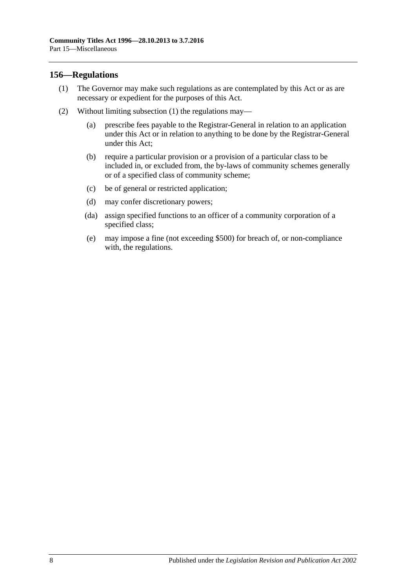#### <span id="page-123-0"></span>**156—Regulations**

- (1) The Governor may make such regulations as are contemplated by this Act or as are necessary or expedient for the purposes of this Act.
- (2) Without limiting [subsection](#page-123-0) (1) the regulations may—
	- (a) prescribe fees payable to the Registrar-General in relation to an application under this Act or in relation to anything to be done by the Registrar-General under this Act;
	- (b) require a particular provision or a provision of a particular class to be included in, or excluded from, the by-laws of community schemes generally or of a specified class of community scheme;
	- (c) be of general or restricted application;
	- (d) may confer discretionary powers;
	- (da) assign specified functions to an officer of a community corporation of a specified class;
	- (e) may impose a fine (not exceeding \$500) for breach of, or non-compliance with, the regulations.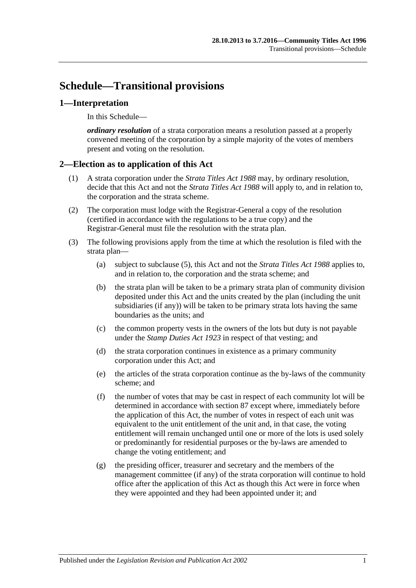# **Schedule—Transitional provisions**

#### **1—Interpretation**

In this Schedule—

*ordinary resolution* of a strata corporation means a resolution passed at a properly convened meeting of the corporation by a simple majority of the votes of members present and voting on the resolution.

### **2—Election as to application of this Act**

- (1) A strata corporation under the *[Strata Titles Act](http://www.legislation.sa.gov.au/index.aspx?action=legref&type=act&legtitle=Strata%20Titles%20Act%201988) 1988* may, by ordinary resolution, decide that this Act and not the *[Strata Titles Act](http://www.legislation.sa.gov.au/index.aspx?action=legref&type=act&legtitle=Strata%20Titles%20Act%201988) 1988* will apply to, and in relation to, the corporation and the strata scheme.
- (2) The corporation must lodge with the Registrar-General a copy of the resolution (certified in accordance with the regulations to be a true copy) and the Registrar-General must file the resolution with the strata plan.
- (3) The following provisions apply from the time at which the resolution is filed with the strata plan—
	- (a) subject to [subclause](#page-125-0) (5), this Act and not the *Strata [Titles Act](http://www.legislation.sa.gov.au/index.aspx?action=legref&type=act&legtitle=Strata%20Titles%20Act%201988) 1988* applies to, and in relation to, the corporation and the strata scheme; and
	- (b) the strata plan will be taken to be a primary strata plan of community division deposited under this Act and the units created by the plan (including the unit subsidiaries (if any)) will be taken to be primary strata lots having the same boundaries as the units; and
	- (c) the common property vests in the owners of the lots but duty is not payable under the *[Stamp Duties Act](http://www.legislation.sa.gov.au/index.aspx?action=legref&type=act&legtitle=Stamp%20Duties%20Act%201923) 1923* in respect of that vesting; and
	- (d) the strata corporation continues in existence as a primary community corporation under this Act; and
	- (e) the articles of the strata corporation continue as the by-laws of the community scheme; and
	- (f) the number of votes that may be cast in respect of each community lot will be determined in accordance with [section](#page-82-0) 87 except where, immediately before the application of this Act, the number of votes in respect of each unit was equivalent to the unit entitlement of the unit and, in that case, the voting entitlement will remain unchanged until one or more of the lots is used solely or predominantly for residential purposes or the by-laws are amended to change the voting entitlement; and
	- (g) the presiding officer, treasurer and secretary and the members of the management committee (if any) of the strata corporation will continue to hold office after the application of this Act as though this Act were in force when they were appointed and they had been appointed under it; and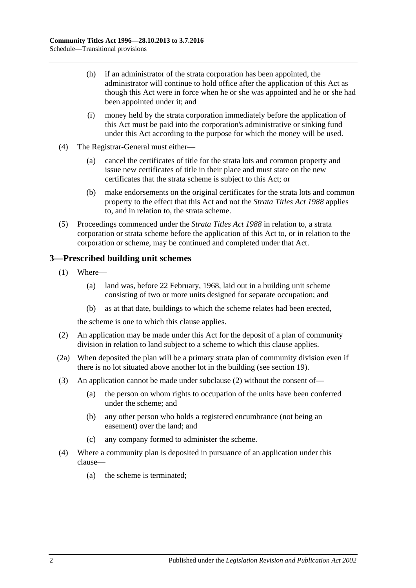- (h) if an administrator of the strata corporation has been appointed, the administrator will continue to hold office after the application of this Act as though this Act were in force when he or she was appointed and he or she had been appointed under it; and
- (i) money held by the strata corporation immediately before the application of this Act must be paid into the corporation's administrative or sinking fund under this Act according to the purpose for which the money will be used.
- (4) The Registrar-General must either—
	- (a) cancel the certificates of title for the strata lots and common property and issue new certificates of title in their place and must state on the new certificates that the strata scheme is subject to this Act; or
	- (b) make endorsements on the original certificates for the strata lots and common property to the effect that this Act and not the *[Strata Titles Act](http://www.legislation.sa.gov.au/index.aspx?action=legref&type=act&legtitle=Strata%20Titles%20Act%201988) 1988* applies to, and in relation to, the strata scheme.
- <span id="page-125-0"></span>(5) Proceedings commenced under the *[Strata Titles Act](http://www.legislation.sa.gov.au/index.aspx?action=legref&type=act&legtitle=Strata%20Titles%20Act%201988) 1988* in relation to, a strata corporation or strata scheme before the application of this Act to, or in relation to the corporation or scheme, may be continued and completed under that Act.

### **3—Prescribed building unit schemes**

- (1) Where—
	- (a) land was, before 22 February, 1968, laid out in a building unit scheme consisting of two or more units designed for separate occupation; and
	- (b) as at that date, buildings to which the scheme relates had been erected,

the scheme is one to which this clause applies.

- <span id="page-125-1"></span>(2) An application may be made under this Act for the deposit of a plan of community division in relation to land subject to a scheme to which this clause applies.
- (2a) When deposited the plan will be a primary strata plan of community division even if there is no lot situated above another lot in the building (see [section](#page-21-0) 19).
- (3) An application cannot be made under [subclause](#page-125-1) (2) without the consent of—
	- (a) the person on whom rights to occupation of the units have been conferred under the scheme; and
	- (b) any other person who holds a registered encumbrance (not being an easement) over the land; and
	- (c) any company formed to administer the scheme.
- (4) Where a community plan is deposited in pursuance of an application under this clause—
	- (a) the scheme is terminated;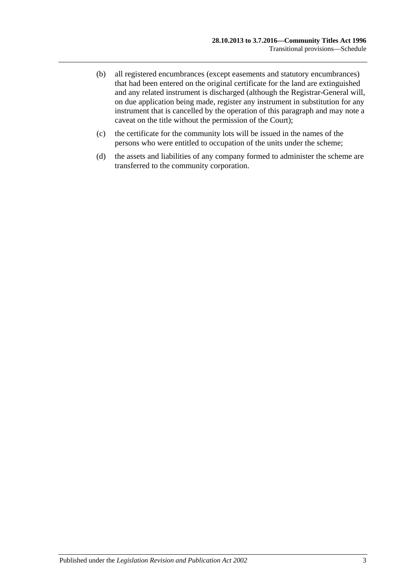- (b) all registered encumbrances (except easements and statutory encumbrances) that had been entered on the original certificate for the land are extinguished and any related instrument is discharged (although the Registrar-General will, on due application being made, register any instrument in substitution for any instrument that is cancelled by the operation of this paragraph and may note a caveat on the title without the permission of the Court);
- (c) the certificate for the community lots will be issued in the names of the persons who were entitled to occupation of the units under the scheme;
- (d) the assets and liabilities of any company formed to administer the scheme are transferred to the community corporation.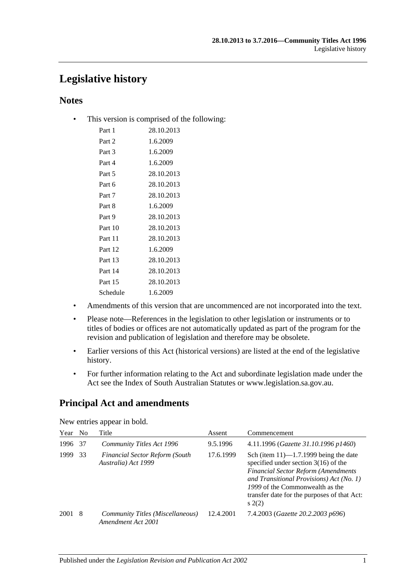# **Legislative history**

### **Notes**

• This version is comprised of the following:

| Part 1   | 28.10.2013 |
|----------|------------|
| Part 2   | 1.6.2009   |
| Part 3   | 1.6.2009   |
| Part 4   | 1.6.2009   |
| Part 5   | 28.10.2013 |
| Part 6   | 28.10.2013 |
| Part 7   | 28.10.2013 |
| Part 8   | 1.6.2009   |
| Part 9   | 28.10.2013 |
| Part 10  | 28.10.2013 |
| Part 11  | 28.10.2013 |
| Part 12  | 1.6.2009   |
| Part 13  | 28.10.2013 |
| Part 14  | 28.10.2013 |
| Part 15  | 28.10.2013 |
| Schedule | 1.6.2009   |
|          |            |

- Amendments of this version that are uncommenced are not incorporated into the text.
- Please note—References in the legislation to other legislation or instruments or to titles of bodies or offices are not automatically updated as part of the program for the revision and publication of legislation and therefore may be obsolete.
- Earlier versions of this Act (historical versions) are listed at the end of the legislative history.
- For further information relating to the Act and subordinate legislation made under the Act see the Index of South Australian Statutes or www.legislation.sa.gov.au.

## **Principal Act and amendments**

| Year | N <sub>0</sub> | Title                                                        | Assent    | Commencement                                                                                                                                                                                                                                                              |
|------|----------------|--------------------------------------------------------------|-----------|---------------------------------------------------------------------------------------------------------------------------------------------------------------------------------------------------------------------------------------------------------------------------|
| 1996 | 37             | <b>Community Titles Act 1996</b>                             | 9.5.1996  | 4.11.1996 (Gazette 31.10.1996 p1460)                                                                                                                                                                                                                                      |
| 1999 | 33             | <b>Financial Sector Reform (South</b><br>Australia) Act 1999 | 17.6.1999 | Sch (item $11$ )— $1.7.1999$ being the date<br>specified under section $3(16)$ of the<br><b>Financial Sector Reform (Amendments</b><br>and Transitional Provisions) Act (No. 1)<br>1999 of the Commonwealth as the<br>transfer date for the purposes of that Act:<br>s(2) |
| 2001 | 8              | Community Titles (Miscellaneous)<br>Amendment Act 2001       | 12.4.2001 | 7.4.2003 (Gazette 20.2.2003 p696)                                                                                                                                                                                                                                         |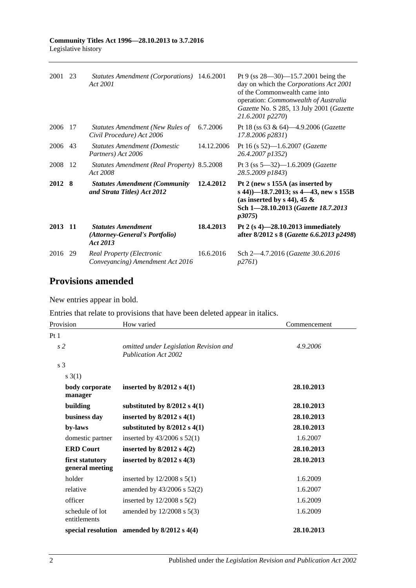| 2001    | 23 | Statutes Amendment (Corporations) 14.6.2001<br>Act 2001                 |            | Pt 9 (ss $28 - 30$ ) -15.7.2001 being the<br>day on which the Corporations Act 2001<br>of the Commonwealth came into<br>operation: Commonwealth of Australia<br>Gazette No. S 285, 13 July 2001 (Gazette<br>21.6.2001 p2270) |
|---------|----|-------------------------------------------------------------------------|------------|------------------------------------------------------------------------------------------------------------------------------------------------------------------------------------------------------------------------------|
| 2006    | 17 | <b>Statutes Amendment (New Rules of</b><br>Civil Procedure) Act 2006    | 6.7.2006   | Pt 18 (ss 63 & 64)-4.9.2006 ( <i>Gazette</i><br>17.8.2006 p2831)                                                                                                                                                             |
| 2006 43 |    | <b>Statutes Amendment (Domestic</b><br>Partners) Act 2006               | 14.12.2006 | Pt 16 (s $52$ )-1.6.2007 ( <i>Gazette</i><br>26.4.2007 p1352)                                                                                                                                                                |
| 2008    | 12 | <b>Statutes Amendment (Real Property) 8.5.2008</b><br>Act 2008          |            | Pt 3 (ss $5-32$ )-1.6.2009 ( <i>Gazette</i><br>28.5.2009 p1843)                                                                                                                                                              |
| 2012 8  |    | <b>Statutes Amendment (Community)</b><br>and Strata Titles) Act 2012    | 12.4.2012  | Pt 2 (new s 155A (as inserted by<br>s 44))–18.7.2013; ss 4–43, new s 155B<br>(as inserted by s 44), 45 $\&$<br>Sch 1-28.10.2013 (Gazette 18.7.2013<br><i>p</i> 3075)                                                         |
| 2013 11 |    | <b>Statutes Amendment</b><br>(Attorney-General's Portfolio)<br>Act 2013 | 18.4.2013  | Pt 2 $(s 4)$ —28.10.2013 immediately<br>after 8/2012 s 8 (Gazette 6.6.2013 p2498)                                                                                                                                            |
| 2016 29 |    | <b>Real Property (Electronic</b><br>Conveyancing) Amendment Act 2016    | 16.6.2016  | Sch 2-4.7.2016 (Gazette 30.6.2016)<br>p2761                                                                                                                                                                                  |

## **Provisions amended**

New entries appear in bold.

Entries that relate to provisions that have been deleted appear in italics.

| Provision                          | How varied                                                            | Commencement |
|------------------------------------|-----------------------------------------------------------------------|--------------|
| Pt1                                |                                                                       |              |
| s <sub>2</sub>                     | omitted under Legislation Revision and<br><b>Publication Act 2002</b> | 4.9.2006     |
| s <sub>3</sub>                     |                                                                       |              |
| s(1)                               |                                                                       |              |
| body corporate<br>manager          | inserted by $8/2012$ s $4(1)$                                         | 28.10.2013   |
| building                           | substituted by $8/2012$ s $4(1)$                                      | 28.10.2013   |
| business day                       | inserted by $8/2012$ s $4(1)$                                         | 28.10.2013   |
| by-laws                            | substituted by $8/2012$ s $4(1)$                                      | 28.10.2013   |
| domestic partner                   | inserted by $43/2006$ s $52(1)$                                       | 1.6.2007     |
| <b>ERD Court</b>                   | inserted by $8/2012$ s $4(2)$                                         | 28.10.2013   |
| first statutory<br>general meeting | inserted by $8/2012$ s $4(3)$                                         | 28.10.2013   |
| holder                             | inserted by $12/2008$ s $5(1)$                                        | 1.6.2009     |
| relative                           | amended by $43/2006$ s $52(2)$                                        | 1.6.2007     |
| officer                            | inserted by $12/2008$ s $5(2)$                                        | 1.6.2009     |
| schedule of lot<br>entitlements    | amended by $12/2008$ s $5(3)$                                         | 1.6.2009     |
|                                    | special resolution amended by $8/2012$ s $4(4)$                       | 28.10.2013   |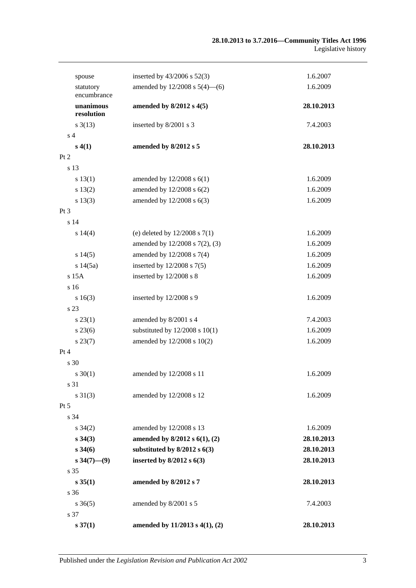| spouse                   | inserted by $43/2006$ s $52(3)$    | 1.6.2007   |
|--------------------------|------------------------------------|------------|
| statutory<br>encumbrance | amended by $12/2008$ s $5(4)$ —(6) | 1.6.2009   |
| unanimous<br>resolution  | amended by 8/2012 s 4(5)           | 28.10.2013 |
| $s \frac{3(13)}{2}$      | inserted by 8/2001 s 3             | 7.4.2003   |
| s <sub>4</sub>           |                                    |            |
| s(4(1))                  | amended by 8/2012 s 5              | 28.10.2013 |
| Pt 2                     |                                    |            |
| s 13                     |                                    |            |
| s 13(1)                  | amended by $12/2008$ s $6(1)$      | 1.6.2009   |
| s 13(2)                  | amended by $12/2008$ s $6(2)$      | 1.6.2009   |
| s 13(3)                  | amended by 12/2008 s 6(3)          | 1.6.2009   |
| $Pt\,3$                  |                                    |            |
| s 14                     |                                    |            |
| s 14(4)                  | (e) deleted by $12/2008$ s $7(1)$  | 1.6.2009   |
|                          | amended by 12/2008 s 7(2), (3)     | 1.6.2009   |
| s 14(5)                  | amended by 12/2008 s 7(4)          | 1.6.2009   |
| s 14(5a)                 | inserted by $12/2008$ s $7(5)$     | 1.6.2009   |
| s 15A                    | inserted by 12/2008 s 8            | 1.6.2009   |
| s 16                     |                                    |            |
| s16(3)                   | inserted by 12/2008 s 9            | 1.6.2009   |
| s 23                     |                                    |            |
| $s\,23(1)$               | amended by 8/2001 s 4              | 7.4.2003   |
| $s\,23(6)$               | substituted by $12/2008$ s $10(1)$ | 1.6.2009   |
| $s\,23(7)$               | amended by 12/2008 s 10(2)         | 1.6.2009   |
| Pt 4                     |                                    |            |
| $\sqrt{30}$              |                                    |            |
| $s \ 30(1)$              | amended by 12/2008 s 11            | 1.6.2009   |
| s 31                     |                                    |            |
| $s \, 31(3)$             | amended by 12/2008 s 12            | 1.6.2009   |
| Pt 5                     |                                    |            |
| s 34                     |                                    |            |
| $s \; 34(2)$             | amended by 12/2008 s 13            | 1.6.2009   |
| $s\,34(3)$               | amended by $8/2012$ s $6(1)$ , (2) | 28.10.2013 |
| $s\,34(6)$               | substituted by $8/2012$ s $6(3)$   | 28.10.2013 |
| $s\,34(7)$ — $(9)$       | inserted by $8/2012$ s $6(3)$      | 28.10.2013 |
| s 35                     |                                    |            |
| s 35(1)                  | amended by 8/2012 s 7              | 28.10.2013 |
| s <sub>36</sub>          |                                    |            |
| $s \, 36(5)$             | amended by 8/2001 s 5              | 7.4.2003   |
| s 37                     |                                    |            |
| $s \, 37(1)$             | amended by 11/2013 s 4(1), (2)     | 28.10.2013 |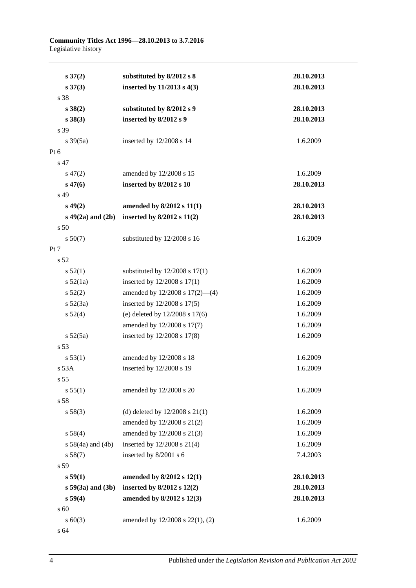**Community Titles Act 1996—28.10.2013 to 3.7.2016** Legislative history

| $s \, 37(2)$           | substituted by 8/2012 s 8          | 28.10.2013 |
|------------------------|------------------------------------|------------|
| $s \, 37(3)$           | inserted by $11/2013$ s $4(3)$     | 28.10.2013 |
| s 38                   |                                    |            |
| s 38(2)                | substituted by 8/2012 s 9          | 28.10.2013 |
| $s\,38(3)$             | inserted by 8/2012 s 9             | 28.10.2013 |
| s 39                   |                                    |            |
| $s \frac{39(5a)}{2}$   | inserted by 12/2008 s 14           | 1.6.2009   |
| Pt 6                   |                                    |            |
| s 47                   |                                    |            |
| $s\,47(2)$             | amended by 12/2008 s 15            | 1.6.2009   |
| $s\,47(6)$             | inserted by 8/2012 s 10            | 28.10.2013 |
| s 49                   |                                    |            |
| $s\,49(2)$             | amended by 8/2012 s 11(1)          | 28.10.2013 |
| $s\ 49(2a)$ and $(2b)$ | inserted by $8/2012$ s $11(2)$     | 28.10.2013 |
| s <sub>50</sub>        |                                    |            |
| $s\,50(7)$             | substituted by 12/2008 s 16        | 1.6.2009   |
| Pt 7                   |                                    |            |
| s 52                   |                                    |            |
| s 52(1)                | substituted by $12/2008$ s $17(1)$ | 1.6.2009   |
| $s\,52(1a)$            | inserted by 12/2008 s 17(1)        | 1.6.2009   |
| $s\,52(2)$             | amended by 12/2008 s 17(2)-(4)     | 1.6.2009   |
| $s\ 52(3a)$            | inserted by 12/2008 s 17(5)        | 1.6.2009   |
| $s\,52(4)$             | (e) deleted by $12/2008$ s $17(6)$ | 1.6.2009   |
|                        | amended by 12/2008 s 17(7)         | 1.6.2009   |
| $s\,52(5a)$            | inserted by 12/2008 s 17(8)        | 1.6.2009   |
| s 53                   |                                    |            |
| s 53(1)                | amended by 12/2008 s 18            | 1.6.2009   |
| s 53A                  | inserted by 12/2008 s 19           | 1.6.2009   |
| s <sub>55</sub>        |                                    |            |
| s 55(1)                | amended by 12/2008 s 20            | 1.6.2009   |
| s 58                   |                                    |            |
| s 58(3)                | (d) deleted by $12/2008$ s $21(1)$ | 1.6.2009   |
|                        | amended by 12/2008 s 21(2)         | 1.6.2009   |
| s 58(4)                | amended by 12/2008 s 21(3)         | 1.6.2009   |
| $s 58(4a)$ and $(4b)$  | inserted by $12/2008$ s $21(4)$    | 1.6.2009   |
| s 58(7)                | inserted by 8/2001 s 6             | 7.4.2003   |
| s 59                   |                                    |            |
| s 59(1)                | amended by 8/2012 s 12(1)          | 28.10.2013 |
| $s 59(3a)$ and $(3b)$  | inserted by $8/2012$ s $12(2)$     | 28.10.2013 |
| s 59(4)                | amended by 8/2012 s 12(3)          | 28.10.2013 |
| s 60                   |                                    |            |
| $s \ 60(3)$            | amended by 12/2008 s 22(1), (2)    | 1.6.2009   |
| s 64                   |                                    |            |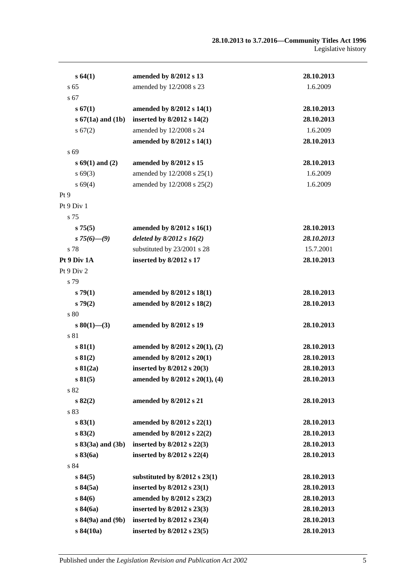| s 64(1)               | amended by 8/2012 s 13              | 28.10.2013 |
|-----------------------|-------------------------------------|------------|
| s <sub>65</sub>       | amended by 12/2008 s 23             | 1.6.2009   |
| s 67                  |                                     |            |
| s 67(1)               | amended by $8/2012$ s $14(1)$       | 28.10.2013 |
| $s 67(1a)$ and $(1b)$ | inserted by $8/2012$ s $14(2)$      | 28.10.2013 |
| s 67(2)               | amended by 12/2008 s 24             | 1.6.2009   |
|                       | amended by 8/2012 s 14(1)           | 28.10.2013 |
| s 69                  |                                     |            |
| $s\,69(1)$ and (2)    | amended by 8/2012 s 15              | 28.10.2013 |
| $s\,69(3)$            | amended by 12/2008 s 25(1)          | 1.6.2009   |
| $s\,69(4)$            | amended by 12/2008 s 25(2)          | 1.6.2009   |
| Pt <sub>9</sub>       |                                     |            |
| Pt 9 Div 1            |                                     |            |
| s 75                  |                                     |            |
| s75(5)                | amended by $8/2012$ s $16(1)$       | 28.10.2013 |
| s $75(6)$ — $(9)$     | deleted by $8/2012 s 16(2)$         | 28.10.2013 |
| s 78                  | substituted by 23/2001 s 28         | 15.7.2001  |
| Pt 9 Div 1A           | inserted by 8/2012 s 17             | 28.10.2013 |
| Pt 9 Div 2            |                                     |            |
| s 79                  |                                     |            |
| s79(1)                | amended by 8/2012 s 18(1)           | 28.10.2013 |
| s79(2)                | amended by 8/2012 s 18(2)           | 28.10.2013 |
| s 80                  |                                     |            |
| $s\,80(1)$ —(3)       | amended by 8/2012 s 19              | 28.10.2013 |
| s 81                  |                                     |            |
| s 81(1)               | amended by $8/2012$ s $20(1)$ , (2) | 28.10.2013 |
| s 81(2)               | amended by 8/2012 s 20(1)           | 28.10.2013 |
| s 81(2a)              | inserted by $8/2012$ s $20(3)$      | 28.10.2013 |
| s81(5)                | amended by $8/2012$ s $20(1)$ , (4) | 28.10.2013 |
| s 82                  |                                     |            |
| $s\,82(2)$            | amended by 8/2012 s 21              | 28.10.2013 |
| s 83                  |                                     |            |
| s 83(1)               | amended by $8/2012$ s $22(1)$       | 28.10.2013 |
| s 83(2)               | amended by 8/2012 s 22(2)           | 28.10.2013 |
| $s 83(3a)$ and $(3b)$ | inserted by $8/2012$ s $22(3)$      | 28.10.2013 |
| s83(6a)               | inserted by 8/2012 s 22(4)          | 28.10.2013 |
| s 84                  |                                     |            |
| s 84(5)               | substituted by $8/2012$ s $23(1)$   | 28.10.2013 |
| s 84(5a)              | inserted by 8/2012 s 23(1)          | 28.10.2013 |
| s 84(6)               | amended by 8/2012 s 23(2)           | 28.10.2013 |
| s 84(6a)              | inserted by 8/2012 s 23(3)          | 28.10.2013 |
| s 84(9a) and (9b)     | inserted by 8/2012 s 23(4)          | 28.10.2013 |
| s 84(10a)             | inserted by 8/2012 s 23(5)          | 28.10.2013 |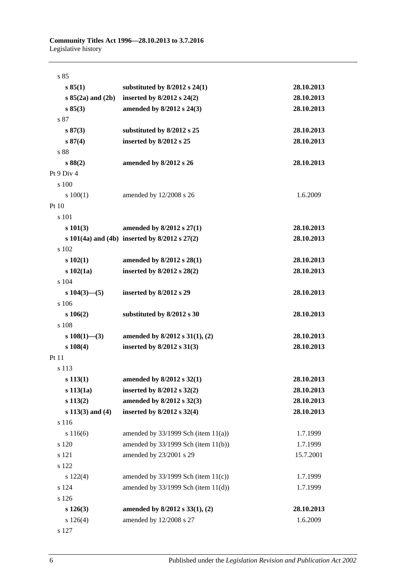| s85                   |                                                       |            |
|-----------------------|-------------------------------------------------------|------------|
| s 85(1)               | substituted by $8/2012$ s 24(1)                       | 28.10.2013 |
| $s 85(2a)$ and $(2b)$ | inserted by $8/2012$ s $24(2)$                        | 28.10.2013 |
| s 85(3)               | amended by 8/2012 s 24(3)                             | 28.10.2013 |
| s 87                  |                                                       |            |
| s 87(3)               | substituted by 8/2012 s 25                            | 28.10.2013 |
| s 87(4)               | inserted by 8/2012 s 25                               | 28.10.2013 |
| s 88                  |                                                       |            |
| s88(2)                | amended by 8/2012 s 26                                | 28.10.2013 |
| Pt 9 Div 4            |                                                       |            |
| s 100                 |                                                       |            |
| 100(1)                | amended by 12/2008 s 26                               | 1.6.2009   |
| Pt 10                 |                                                       |            |
| s 101                 |                                                       |            |
| $s\ 101(3)$           | amended by 8/2012 s 27(1)                             | 28.10.2013 |
|                       | s $101(4a)$ and $(4b)$ inserted by $8/2012$ s $27(2)$ | 28.10.2013 |
| s 102                 |                                                       |            |
| $s\ 102(1)$           | amended by 8/2012 s 28(1)                             | 28.10.2013 |
| $s\ 102(1a)$          | inserted by 8/2012 s 28(2)                            | 28.10.2013 |
| s 104                 |                                                       |            |
| $s 104(3)$ - (5)      | inserted by 8/2012 s 29                               | 28.10.2013 |
| s 106                 |                                                       |            |
| $s\ 106(2)$           | substituted by 8/2012 s 30                            | 28.10.2013 |
| s 108                 |                                                       |            |
| $s\ 108(1)$ —(3)      | amended by $8/2012$ s $31(1)$ , (2)                   | 28.10.2013 |
| s 108(4)              | inserted by 8/2012 s 31(3)                            | 28.10.2013 |
| Pt 11                 |                                                       |            |
| s 113                 |                                                       |            |
| s 113(1)              | amended by $8/2012$ s $32(1)$                         | 28.10.2013 |
| $s$ 113(1a)           | inserted by 8/2012 s 32(2)                            | 28.10.2013 |
| s 113(2)              | amended by 8/2012 s 32(3)                             | 28.10.2013 |
| $s 113(3)$ and $(4)$  | inserted by $8/2012$ s $32(4)$                        | 28.10.2013 |
| s 116                 |                                                       |            |
| s 116(6)              | amended by $33/1999$ Sch (item $11(a)$ )              | 1.7.1999   |
| s 120                 | amended by 33/1999 Sch (item 11(b))                   | 1.7.1999   |
| s 121                 | amended by 23/2001 s 29                               | 15.7.2001  |
| s 122                 |                                                       |            |
| s 122(4)              | amended by $33/1999$ Sch (item $11(c)$ )              | 1.7.1999   |
| s 124                 | amended by $33/1999$ Sch (item $11(d)$ )              | 1.7.1999   |
| s 126                 |                                                       |            |
| $s\ 126(3)$           | amended by $8/2012$ s $33(1)$ , (2)                   | 28.10.2013 |
| s 126(4)              | amended by 12/2008 s 27                               | 1.6.2009   |
| s 127                 |                                                       |            |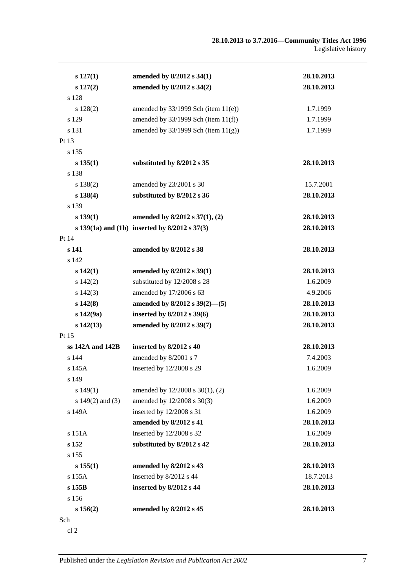| $s\ 127(1)$      | amended by 8/2012 s 34(1)                             | 28.10.2013 |
|------------------|-------------------------------------------------------|------------|
| $s\ 127(2)$      | amended by 8/2012 s 34(2)                             | 28.10.2013 |
| s 128            |                                                       |            |
| s 128(2)         | amended by $33/1999$ Sch (item $11(e)$ )              | 1.7.1999   |
| s 129            | amended by $33/1999$ Sch (item $11(f)$ )              | 1.7.1999   |
| s 131            | amended by $33/1999$ Sch (item $11(g)$ )              | 1.7.1999   |
| Pt 13            |                                                       |            |
| s 135            |                                                       |            |
| s 135(1)         | substituted by 8/2012 s 35                            | 28.10.2013 |
| s 138            |                                                       |            |
| s 138(2)         | amended by 23/2001 s 30                               | 15.7.2001  |
| s 138(4)         | substituted by 8/2012 s 36                            | 28.10.2013 |
| s 139            |                                                       |            |
| s 139(1)         | amended by 8/2012 s 37(1), (2)                        | 28.10.2013 |
|                  | s $139(1a)$ and $(1b)$ inserted by $8/2012$ s $37(3)$ | 28.10.2013 |
| Pt 14            |                                                       |            |
| s 141            | amended by 8/2012 s 38                                | 28.10.2013 |
| s 142            |                                                       |            |
| $s\,142(1)$      | amended by 8/2012 s 39(1)                             | 28.10.2013 |
| s 142(2)         | substituted by 12/2008 s 28                           | 1.6.2009   |
| $s\ 142(3)$      | amended by 17/2006 s 63                               | 4.9.2006   |
| $s\,142(8)$      | amended by 8/2012 s 39(2)-(5)                         | 28.10.2013 |
| $s\ 142(9a)$     | inserted by $8/2012$ s 39(6)                          | 28.10.2013 |
| $s\,142(13)$     | amended by 8/2012 s 39(7)                             | 28.10.2013 |
| Pt 15            |                                                       |            |
| ss 142A and 142B | inserted by 8/2012 s 40                               | 28.10.2013 |
| s 144            | amended by 8/2001 s 7                                 | 7.4.2003   |
| s 145A           | inserted by 12/2008 s 29                              | 1.6.2009   |
| s 149            |                                                       |            |
| s 149(1)         | amended by 12/2008 s 30(1), (2)                       | 1.6.2009   |
| s 149(2) and (3) | amended by 12/2008 s 30(3)                            | 1.6.2009   |
| s 149A           | inserted by 12/2008 s 31                              | 1.6.2009   |
|                  | amended by 8/2012 s 41                                | 28.10.2013 |
| s 151A           | inserted by 12/2008 s 32                              | 1.6.2009   |
| s 152            | substituted by 8/2012 s 42                            | 28.10.2013 |
| s 155            |                                                       |            |
| s 155(1)         | amended by 8/2012 s 43                                | 28.10.2013 |
| s 155A           | inserted by 8/2012 s 44                               | 18.7.2013  |
| s 155B           | inserted by 8/2012 s 44                               | 28.10.2013 |
| s 156            |                                                       |            |
| s 156(2)         | amended by 8/2012 s 45                                | 28.10.2013 |
| Sch              |                                                       |            |

cl 2